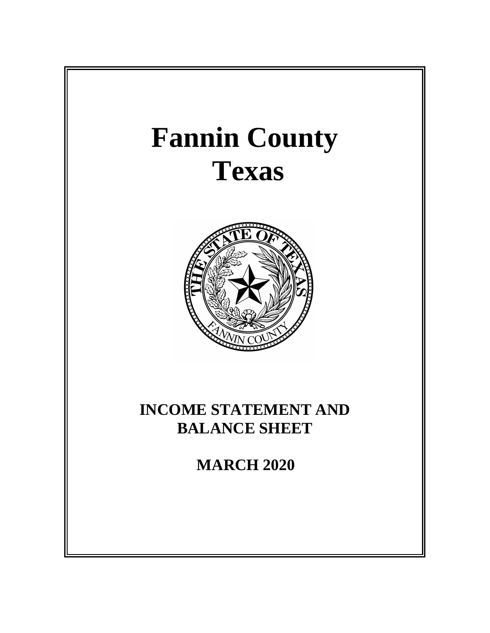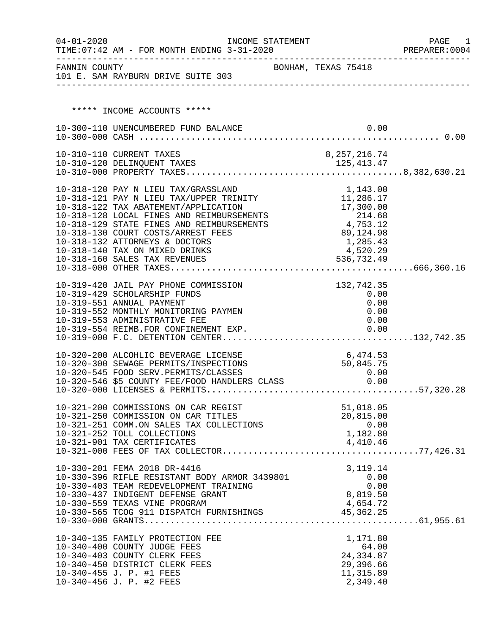| $04 - 01 - 2020$ | TIME: 07:42 AM - FOR MONTH ENDING 3-31-2020                                                     | INCOME STATEMENT |                        | PAGE<br>1<br>PREPARER: 0004 |
|------------------|-------------------------------------------------------------------------------------------------|------------------|------------------------|-----------------------------|
| FANNIN COUNTY    | 101 E. SAM RAYBURN DRIVE SUITE 303                                                              |                  | BONHAM, TEXAS 75418    |                             |
|                  | ***** INCOME ACCOUNTS *****                                                                     |                  |                        |                             |
|                  |                                                                                                 |                  |                        |                             |
|                  | 10-300-110 UNENCUMBERED FUND BALANCE                                                            |                  | 0.00                   |                             |
|                  | 10-310-110 CURRENT TAXES                                                                        |                  | 8,257,216.74           |                             |
|                  |                                                                                                 |                  |                        |                             |
|                  |                                                                                                 |                  |                        |                             |
|                  | 10-318-120 PAY N LIEU TAX/GRASSLAND                                                             |                  | 1,143.00               |                             |
|                  | 10-318-121 PAY N LIEU TAX/UPPER TRINITY                                                         |                  | 11,286.17              |                             |
|                  | 10-318-122 TAX ABATEMENT/APPLICATION                                                            |                  | 17,300.00              |                             |
|                  | 10-318-128 LOCAL FINES AND REIMBURSEMENTS<br>10-318-129 STATE FINES AND REIMBURSEMENTS          |                  | 214.68<br>4,753.12     |                             |
|                  | 10-318-130 COURT COSTS/ARREST FEES                                                              |                  | 89,124.98              |                             |
|                  | 10-318-132 ATTORNEYS & DOCTORS                                                                  |                  | 1,285.43               |                             |
|                  | 10-318-140 TAX ON MIXED DRINKS                                                                  |                  | 4,520.29               |                             |
|                  | 10-318-160 SALES TAX REVENUES                                                                   |                  | 536,732.49             |                             |
|                  |                                                                                                 |                  |                        |                             |
|                  | 10-319-420 JAIL PAY PHONE COMMISSION<br>10-319-429 SCHOLARSHIP FUNDS                            |                  | 132,742.35<br>0.00     |                             |
|                  | 10-319-551 ANNUAL PAYMENT                                                                       |                  | 0.00                   |                             |
|                  | 10-319-552 MONTHLY MONITORING PAYMEN                                                            |                  | 0.00                   |                             |
|                  | 10-319-553 ADMINISTRATIVE FEE                                                                   |                  | 0.00                   |                             |
|                  | 10-319-554 REIMB.FOR CONFINEMENT EXP.                                                           |                  | 0.00                   |                             |
|                  |                                                                                                 |                  | 6,474.53               |                             |
|                  | 10-320-200 ALCOHLIC BEVERAGE LICENSE<br>10-320-300 SEWAGE PERMITS/INSPECTIONS                   |                  | 50,845.75              |                             |
|                  |                                                                                                 |                  |                        |                             |
|                  | 10-320-545 FOOD SERV.PERMITS/CLASSES 0.00<br>10-320-546 \$5 COUNTY FEE/FOOD HANDLERS CLASS 0.00 |                  |                        |                             |
|                  |                                                                                                 |                  |                        |                             |
|                  | 10-321-200 COMMISSIONS ON CAR REGIST                                                            |                  | 51,018.05              |                             |
|                  | 10-321-250 COMMISSION ON CAR TITLES                                                             |                  | 20,815.00<br>0.00      |                             |
|                  | 10-321-251 COMM.ON SALES TAX COLLECTIONS<br>10-321-252 TOLL COLLECTIONS                         |                  | 1,182.80               |                             |
|                  | 10-321-901 TAX CERTIFICATES                                                                     |                  | 4,410.46               |                             |
|                  |                                                                                                 |                  |                        |                             |
|                  | 10-330-201 FEMA 2018 DR-4416                                                                    |                  | 3, 119. 14             |                             |
|                  | 10-330-396 RIFLE RESISTANT BODY ARMOR 3439801                                                   |                  | 0.00                   |                             |
|                  | 10-330-403 TEAM REDEVELOPMENT TRAINING                                                          |                  | 0.00                   |                             |
|                  | 10-330-437 INDIGENT DEFENSE GRANT<br>10-330-559 TEXAS VINE PROGRAM                              |                  | 8,819.50<br>4,654.72   |                             |
|                  | 10-330-565 TCOG 911 DISPATCH FURNISHINGS                                                        |                  | 45,362.25              |                             |
|                  |                                                                                                 |                  |                        |                             |
|                  | 10-340-135 FAMILY PROTECTION FEE                                                                |                  | 1,171.80               |                             |
|                  | 10-340-400 COUNTY JUDGE FEES                                                                    |                  | 64.00                  |                             |
|                  | 10-340-403 COUNTY CLERK FEES                                                                    |                  | 24, 334.87             |                             |
|                  | 10-340-450 DISTRICT CLERK FEES                                                                  |                  | 29,396.66              |                             |
|                  | 10-340-455 J. P. #1 FEES<br>10-340-456 J. P. #2 FEES                                            |                  | 11, 315.89<br>2,349.40 |                             |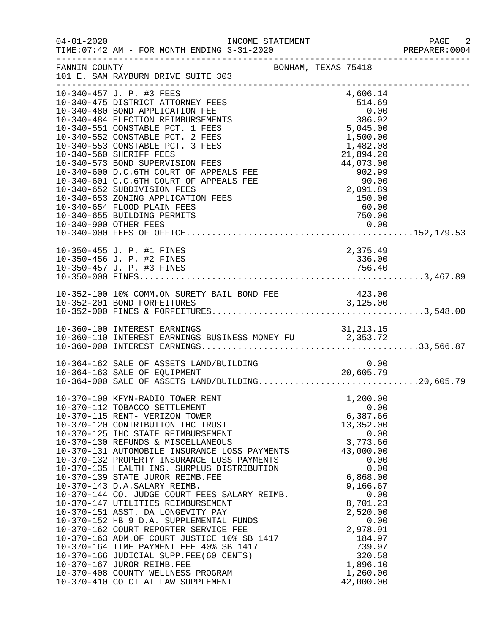| $04 - 01 - 2020$ | INCOME STATEMENT                                                                                                                                                                                                                                                                                                                                                                                                                                                                                                                                                                                                                                                                                                                                                                                                                                                                                                                               |                                                                                                                                                                                                                                           | PAGE<br>2<br>PREPARER: 0004 |
|------------------|------------------------------------------------------------------------------------------------------------------------------------------------------------------------------------------------------------------------------------------------------------------------------------------------------------------------------------------------------------------------------------------------------------------------------------------------------------------------------------------------------------------------------------------------------------------------------------------------------------------------------------------------------------------------------------------------------------------------------------------------------------------------------------------------------------------------------------------------------------------------------------------------------------------------------------------------|-------------------------------------------------------------------------------------------------------------------------------------------------------------------------------------------------------------------------------------------|-----------------------------|
| FANNIN COUNTY    | 101 E. SAM RAYBURN DRIVE SUITE 303                                                                                                                                                                                                                                                                                                                                                                                                                                                                                                                                                                                                                                                                                                                                                                                                                                                                                                             | BONHAM, TEXAS 75418                                                                                                                                                                                                                       |                             |
|                  | 10-340-457 J. P. #3 FEES<br>10-340-475 DISTRICT ATTORNEY FEES<br>10-340-480 BOND APPLICATION FEE<br>10-340-484 ELECTION REIMBURSEMENTS<br>10-340-551 CONSTABLE PCT. 1 FEES<br>10-340-552 CONSTABLE PCT. 2 FEES<br>10-340-553 CONSTABLE PCT. 3 FEES<br>10-340-560 SHERIFF FEES<br>10-340-573 BOND SUPERVISION FEES<br>10-340-600 D.C.6TH COURT OF APPEALS FEE<br>10-340-601 C.C.6TH COURT OF APPEALS FEE<br>10-340-652 SUBDIVISION FEES<br>10-340-653 ZONING APPLICATION FEES<br>10-340-654 FLOOD PLAIN FEES<br>10-340-655 BUILDING PERMITS                                                                                                                                                                                                                                                                                                                                                                                                     | 4,606.14<br>$\begin{array}{r} 514.69 \\ 514.69 \\ 0.00 \\ 386.92 \\ 5,045.00 \\ 1,500.00 \\ 1,482.08 \\ 21,894.20 \end{array}$<br>21,894.20<br>44,073.00<br>902.99<br>90.00<br>2,091.89<br>150.00<br>60.00<br>750.00                      |                             |
|                  | 10-350-455 J. P. #1 FINES<br>10-350-456 J. P. #2 FINES                                                                                                                                                                                                                                                                                                                                                                                                                                                                                                                                                                                                                                                                                                                                                                                                                                                                                         | 2,375.49<br>336.00                                                                                                                                                                                                                        |                             |
|                  | 10-352-100 10% COMM.ON SURETY BAIL BOND FEE 423.00<br>10-352-201 BOND FOREEITURES                                                                                                                                                                                                                                                                                                                                                                                                                                                                                                                                                                                                                                                                                                                                                                                                                                                              |                                                                                                                                                                                                                                           |                             |
|                  | 10-360-110 INTEREST EARNINGS BUSINESS MONEY FU<br>10-360-000 INTEREST EARNINGS BUSINESS MONEY FU<br>10-360-000 INTEREST EARNINGS                                                                                                                                                                                                                                                                                                                                                                                                                                                                                                                                                                                                                                                                                                                                                                                                               |                                                                                                                                                                                                                                           |                             |
|                  | 10-364-162 SALE OF ASSETS LAND/BUILDING $10-364-163$ SALE OF EQUIPMENT $20,605.79$<br>10-364-000 SALE OF ASSETS LAND/BUILDING20,605.79                                                                                                                                                                                                                                                                                                                                                                                                                                                                                                                                                                                                                                                                                                                                                                                                         |                                                                                                                                                                                                                                           |                             |
|                  | 10-370-100 KFYN-RADIO TOWER RENT<br>10-370-112 TOBACCO SETTLEMENT<br>10-370-115 RENT- VERIZON TOWER<br>10-370-120 CONTRIBUTION IHC TRUST<br>10-370-125 IHC STATE REIMBURSEMENT<br>10-370-130 REFUNDS & MISCELLANEOUS<br>10-370-131 AUTOMOBILE INSURANCE LOSS PAYMENTS<br>10-370-132 PROPERTY INSURANCE LOSS PAYMENTS<br>10-370-135 HEALTH INS. SURPLUS DISTRIBUTION<br>10-370-139 STATE JUROR REIMB.FEE<br>10-370-143 D.A.SALARY REIMB.<br>10-370-144 CO. JUDGE COURT FEES SALARY REIMB.<br>10-370-147 UTILITIES REIMBURSEMENT<br>10-370-151 ASST. DA LONGEVITY PAY<br>10-370-152 HB 9 D.A. SUPPLEMENTAL FUNDS<br>10-370-162 COURT REPORTER SERVICE FEE<br>10-370-162 COURT REPORTER SERVICE FEE<br>10-370-163 ADM.OF COURT JUSTICE 10% SB 1417<br>10-370-164 TIME PAYMENT FEE 40% SB 1417<br>10-370-166 JUDICIAL SUPP.FEE(60 CENTS)<br>10-370-167 JUROR REIMB.FEE<br>10-370-408 COUNTY WELLNESS PROGRAM<br>10-370-410 CO CT AT LAW SUPPLEMENT | 1,200.00<br>0.00<br>6,387.66<br>13,352.00<br>0.00<br>3,773.66<br>43,000.00<br>0.00<br>0.00<br>6,868.00<br>9,166.67<br>0.00<br>8,701.23<br>2,520.00<br>0.00<br>2,978.91<br>184.97<br>739.97<br>320.58<br>1,896.10<br>1,260.00<br>42,000.00 |                             |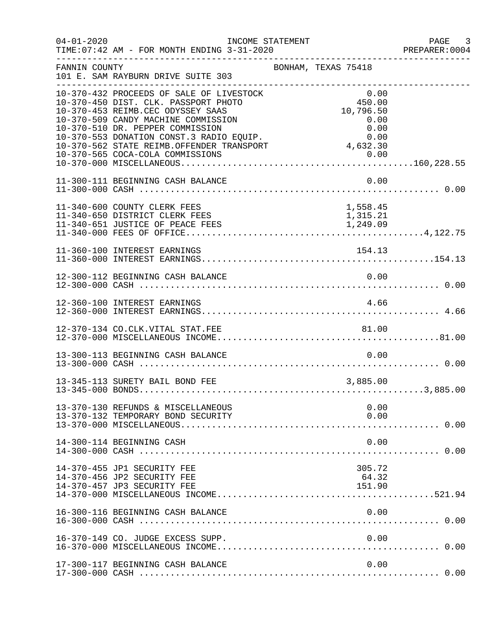| $04 - 01 - 2020$ | INCOME STATEMENT<br>TIME: 07:42 AM - FOR MONTH ENDING 3-31-2020                                                                                                                                                                                                                                                               |                                                                         | PAGE 3<br>PREPARER:0004 |
|------------------|-------------------------------------------------------------------------------------------------------------------------------------------------------------------------------------------------------------------------------------------------------------------------------------------------------------------------------|-------------------------------------------------------------------------|-------------------------|
| FANNIN COUNTY    | 101 E. SAM RAYBURN DRIVE SUITE 303                                                                                                                                                                                                                                                                                            | BONHAM, TEXAS 75418                                                     |                         |
|                  | 10-370-432 PROCEEDS OF SALE OF LIVESTOCK<br>10-370-450 DIST. CLK. PASSPORT PHOTO<br>10-370-453 REIMB.CEC ODYSSEY SAAS<br>10-370-509 CANDY MACHINE COMMISSION<br>10-370-510 DR. PEPPER COMMISSION<br>10-370-553 DONATION CONST.3 RADIO EOUIP.<br>10-370-562 STATE REIMB.OFFENDER TRANSPORT<br>10-370-565 COCA-COLA COMMISSIONS | 0.00<br>450.00<br>10,796.50<br>0.00<br>0.00<br>0.00<br>4,632.30<br>0.00 |                         |
|                  | 11-300-111 BEGINNING CASH BALANCE                                                                                                                                                                                                                                                                                             | 0.00                                                                    |                         |
|                  | 11-340-600 COUNTY CLERK FEES<br>11-340-650 DISTRICT CLERK FEES                                                                                                                                                                                                                                                                | 1,558.45<br>1,315.21                                                    |                         |
|                  | 11-360-100 INTEREST EARNINGS                                                                                                                                                                                                                                                                                                  | 154.13                                                                  |                         |
|                  | 12-300-112 BEGINNING CASH BALANCE                                                                                                                                                                                                                                                                                             | 0.00                                                                    |                         |
|                  | 12-360-100 INTEREST EARNINGS                                                                                                                                                                                                                                                                                                  | 4.66                                                                    |                         |
|                  |                                                                                                                                                                                                                                                                                                                               |                                                                         |                         |
|                  | 13-300-113 BEGINNING CASH BALANCE                                                                                                                                                                                                                                                                                             | 0.00                                                                    |                         |
|                  | 13-345-113 SURETY BAIL BOND FEE                                                                                                                                                                                                                                                                                               | 3,885.00                                                                |                         |
|                  | 13-370-130 REFUNDS & MISCELLANEOUS<br>13-370-132 TEMPORARY BOND SECURITY                                                                                                                                                                                                                                                      | 0.00<br>0.00                                                            |                         |
|                  | 14-300-114 BEGINNING CASH                                                                                                                                                                                                                                                                                                     | 0.00                                                                    |                         |
|                  | 14-370-455 JP1 SECURITY FEE<br>14-370-456 JP2 SECURITY FEE<br>14-370-457 JP3 SECURITY FEE                                                                                                                                                                                                                                     | 305.72<br>64.32<br>151.90                                               |                         |
|                  | 16-300-116 BEGINNING CASH BALANCE                                                                                                                                                                                                                                                                                             | 0.00                                                                    |                         |
|                  | 16-370-149 CO. JUDGE EXCESS SUPP.                                                                                                                                                                                                                                                                                             | 0.00                                                                    |                         |
|                  | 17-300-117 BEGINNING CASH BALANCE                                                                                                                                                                                                                                                                                             | 0.00                                                                    |                         |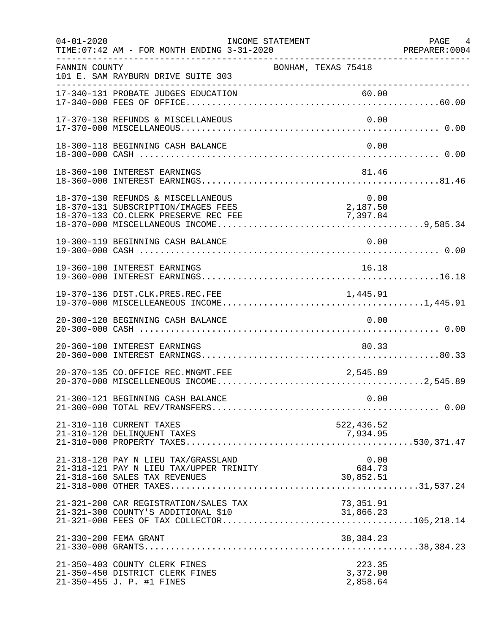| $04 - 01 - 2020$ | TIME: 07:42 AM - FOR MONTH ENDING 3-31-2020                                                   | INCOME STATEMENT    |                                | PAGE 4<br>PREPARER: 0004 |
|------------------|-----------------------------------------------------------------------------------------------|---------------------|--------------------------------|--------------------------|
| FANNIN COUNTY    | 101 E. SAM RAYBURN DRIVE SUITE 303                                                            | BONHAM, TEXAS 75418 |                                |                          |
|                  | 17-340-131 PROBATE JUDGES EDUCATION                                                           |                     | 60.00                          |                          |
|                  | 17-370-130 REFUNDS & MISCELLANEOUS                                                            |                     | 0.00                           |                          |
|                  | 18-300-118 BEGINNING CASH BALANCE                                                             |                     | 0.00                           |                          |
|                  | 18-360-100 INTEREST EARNINGS                                                                  |                     | 81.46                          |                          |
|                  | 18-370-130 REFUNDS & MISCELLANEOUS<br>18-370-131 SUBSCRIPTION/IMAGES FEES                     |                     | 0.00<br>2,187.50               |                          |
|                  | 19-300-119 BEGINNING CASH BALANCE                                                             |                     | 0.00                           |                          |
|                  | 19-360-100 INTEREST EARNINGS                                                                  |                     | 16.18                          |                          |
|                  | 19-370-136 DIST.CLK.PRES.REC.FEE                                                              |                     | 1,445.91                       |                          |
|                  | 20-300-120 BEGINNING CASH BALANCE                                                             |                     | 0.00                           |                          |
|                  | 20-360-100 INTEREST EARNINGS                                                                  |                     | 80.33                          |                          |
|                  | 20-370-135 CO.OFFICE REC.MNGMT.FEE                                                            |                     | 2,545.89                       |                          |
|                  | 21-300-121 BEGINNING CASH BALANCE                                                             |                     | 0.00                           |                          |
|                  | 21-310-110 CURRENT TAXES<br>21-310-120 DELINQUENT TAXES                                       |                     | 522,436.52                     |                          |
|                  | 21-318-120 PAY N LIEU TAX/GRASSLAND<br>21-318-121 PAY N LIEU TAX/UPPER TRINITY                |                     | 0.00<br>$684.73$<br>30,852.51  |                          |
|                  | 21-321-200 CAR REGISTRATION/SALES TAX<br>21-321-300 COUNTY'S ADDITIONAL \$10                  |                     | 73,351.91<br>31,866.23         |                          |
|                  | 21-330-200 FEMA GRANT                                                                         |                     | 38,384.23                      |                          |
|                  | 21-350-403 COUNTY CLERK FINES<br>21-350-450 DISTRICT CLERK FINES<br>21-350-455 J. P. #1 FINES |                     | 223.35<br>3,372.90<br>2,858.64 |                          |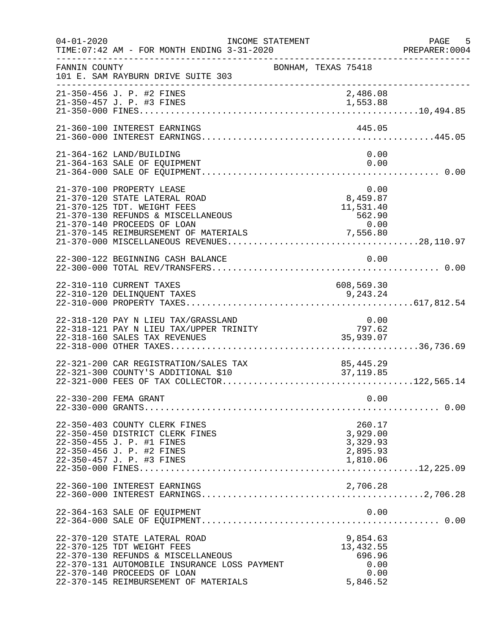| $04 - 01 - 2020$ | TIME: 07:42 AM - FOR MONTH ENDING 3-31-2020                                                                                                                                                                               | INCOME STATEMENT |                                                         | PAGE 5<br>PREPARER<br>----------------------------------<br>PREPARER:0004 |
|------------------|---------------------------------------------------------------------------------------------------------------------------------------------------------------------------------------------------------------------------|------------------|---------------------------------------------------------|---------------------------------------------------------------------------|
| FANNIN COUNTY    | 101 E. SAM RAYBURN DRIVE SUITE 303                                                                                                                                                                                        |                  | BONHAM, TEXAS 75418                                     |                                                                           |
|                  | 21-350-456 J. P. #2 FINES<br>21-350-457 J. P. #3 FINES                                                                                                                                                                    |                  | 2,486.08<br>1,553.88                                    |                                                                           |
|                  | 21-360-100 INTEREST EARNINGS                                                                                                                                                                                              |                  | 445.05                                                  |                                                                           |
|                  | 21-364-162 LAND/BUILDING<br>21-364-163 SALE OF EQUIPMENT                                                                                                                                                                  |                  |                                                         | 0.00<br>0.00                                                              |
|                  | 21-370-100 PROPERTY LEASE<br>21-370-120 STATE LATERAL ROAD<br>21-370-125 TDT. WEIGHT FEES<br>21-370-130 REFUNDS & MISCELLANEOUS<br>21-370-140 PROCEEDS OF LOAN                                                            |                  | 0.00<br>0.00<br>8,459.87<br>11,531.40<br>562.90<br>0.00 |                                                                           |
|                  | 22-300-122 BEGINNING CASH BALANCE                                                                                                                                                                                         |                  |                                                         | 0.00                                                                      |
|                  | 22-310-110 CURRENT TAXES<br>22-310-120 DELINQUENT TAXES                                                                                                                                                                   |                  | 608,569.30<br>9, 243. 24                                |                                                                           |
|                  | 22-318-120 PAY N LIEU TAX/GRASSLAND<br>22 318-121 PAY N LIEU TAX/UPPER TRINITY<br>22-318-160 SALES TAX REVENUES                                                                                                           |                  | $0.00$<br>$797.62$<br>35,939.07                         |                                                                           |
|                  | 22-321-200 CAR REGISTRATION/SALES TAX<br>22-321-300 COUNTY'S ADDITIONAL \$10                                                                                                                                              |                  | 85,445.29<br>37,119.85                                  |                                                                           |
|                  | 22-330-200 FEMA GRANT                                                                                                                                                                                                     |                  |                                                         | 0.00                                                                      |
|                  | 22-350-403 COUNTY CLERK FINES<br>22-350-450 DISTRICT CLERK FINES<br>22-350-455 J. P. #1 FINES<br>22-350-456 J. P. #2 FINES<br>22-350-457 J. P. #3 FINES                                                                   |                  | 260.17<br>3,929.00<br>3,329.93<br>2,895.93<br>1,810.06  |                                                                           |
|                  | 22-360-100 INTEREST EARNINGS                                                                                                                                                                                              |                  | 2,706.28                                                |                                                                           |
|                  | 22-364-163 SALE OF EQUIPMENT                                                                                                                                                                                              |                  |                                                         | 0.00                                                                      |
|                  | 22-370-120 STATE LATERAL ROAD<br>22-370-125 TDT WEIGHT FEES<br>22-370-130 REFUNDS & MISCELLANEOUS<br>22-370-131 AUTOMOBILE INSURANCE LOSS PAYMENT<br>22-370-140 PROCEEDS OF LOAN<br>22-370-145 REIMBURSEMENT OF MATERIALS |                  | 9,854.63<br>13, 432.55<br>696.96<br>5,846.52            | 0.00<br>0.00                                                              |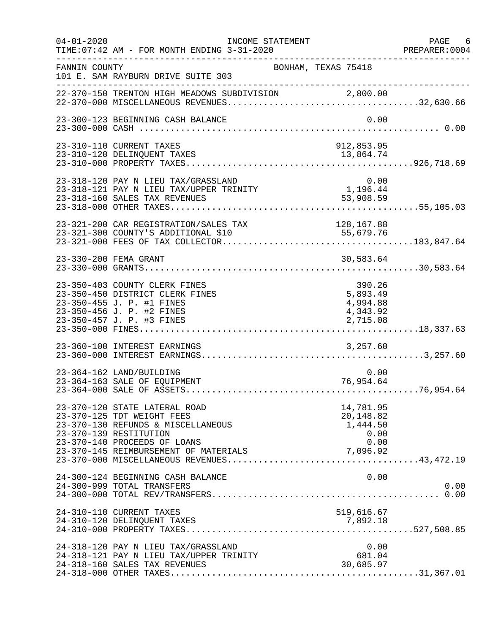| $04 - 01 - 2020$ | INCOME STATEMENT<br>TIME: 07:42 AM - FOR MONTH ENDING 3-31-2020                                                                                             |                                                        | PAGE 6<br>PREPARER:0004 |
|------------------|-------------------------------------------------------------------------------------------------------------------------------------------------------------|--------------------------------------------------------|-------------------------|
| FANNIN COUNTY    | BONHAM, TEXAS 75418<br>101 E. SAM RAYBURN DRIVE SUITE 303                                                                                                   |                                                        |                         |
|                  |                                                                                                                                                             |                                                        |                         |
|                  | 23-300-123 BEGINNING CASH BALANCE                                                                                                                           | 0.00                                                   |                         |
|                  | 23-310-110 CURRENT TAXES                                                                                                                                    | 912,853.95                                             |                         |
|                  | 23-318-120 PAY N LIEU TAX/GRASSLAND<br>23-318-121 PAY N LIEU TAX/UPPER TRINITY<br>23-318-160 SALES TAX REVENUES                                             | 0.00<br>1,196.44<br>53,908.59                          |                         |
|                  | 23-321-200 CAR REGISTRATION/SALES TAX                                                                                                                       | 128,167.88                                             |                         |
|                  | 23-330-200 FEMA GRANT                                                                                                                                       | 30,583.64                                              |                         |
|                  | 23-350-403 COUNTY CLERK FINES<br>23-350-450 DISTRICT CLERK FINES<br>23-350-455 J. P. #1 FINES<br>23-350-456 J. P. #2 FINES<br>23-350-457 J. P. #3 FINES     | 390.26<br>5,893.49<br>4,994.88<br>4,343.92<br>2,715.08 |                         |
|                  | 23-360-100 INTEREST EARNINGS                                                                                                                                | 3,257.60                                               |                         |
|                  | 23-364-162 LAND/BUILDING<br>23-364-163 SALE OF EQUIPMENT                                                                                                    | 0.00<br>76,954.64                                      |                         |
|                  | 23-370-120 STATE LATERAL ROAD<br>23-370-125 TDT WEIGHT FEES<br>23-370-130 REFUNDS & MISCELLANEOUS<br>23-370-139 RESTITUTION<br>23-370-140 PROCEEDS OF LOANS | 14,781.95<br>20,148.82<br>1,444.50<br>0.00<br>0.00     |                         |
|                  | 24-300-124 BEGINNING CASH BALANCE<br>24-300-999 TOTAL TRANSFERS                                                                                             | 0.00                                                   | 0.00                    |
|                  | 24-310-110 CURRENT TAXES<br>24-310-120 DELINQUENT TAXES                                                                                                     | 519,616.67<br>7,892.18                                 |                         |
|                  | 24-318-120 PAY N LIEU TAX/GRASSLAND<br>24-318-121 PAY N LIEU TAX/UPPER TRINITY<br>24-318-160 SALES TAX REVENUES                                             | 0.00<br>681.04<br>30,685.97                            |                         |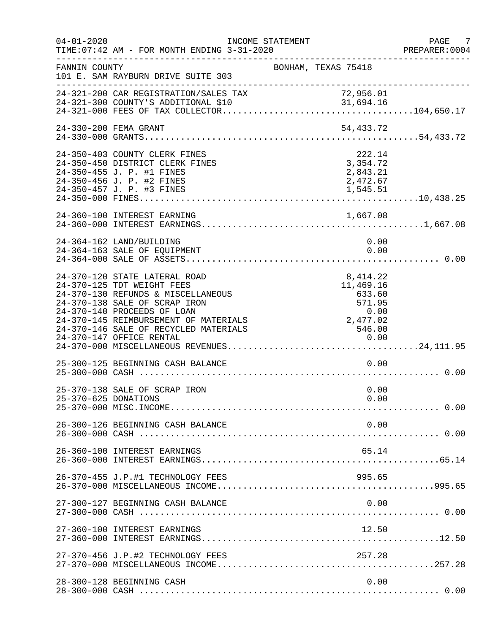| $04 - 01 - 2020$     | TIME: 07:42 AM - FOR MONTH ENDING 3-31-2020                                                                                                                                                                                                         | INCOME STATEMENT    |                                                                                                                   | PAGE 7<br>PREPARER:0004 |
|----------------------|-----------------------------------------------------------------------------------------------------------------------------------------------------------------------------------------------------------------------------------------------------|---------------------|-------------------------------------------------------------------------------------------------------------------|-------------------------|
| FANNIN COUNTY        | 101 E. SAM RAYBURN DRIVE SUITE 303                                                                                                                                                                                                                  | BONHAM, TEXAS 75418 |                                                                                                                   |                         |
|                      | 24-321-200 CAR REGISTRATION/SALES TAX                                                                                                                                                                                                               |                     |                                                                                                                   |                         |
|                      | 24-330-200 FEMA GRANT                                                                                                                                                                                                                               |                     | 54,433.72                                                                                                         |                         |
|                      | 24-350-403 COUNTY CLERK FINES<br>24-350-450 DISTRICT CLERK FINES<br>24-350-455 J. P. #1 FINES<br>24-350-456 J. P. #2 FINES<br>24-350-457 J. P. #3 FINES                                                                                             |                     | 222.14<br>3,354.72<br>2,843.21<br>2,472.67<br>1,545.51                                                            |                         |
|                      | 24-360-100 INTEREST EARNING                                                                                                                                                                                                                         |                     |                                                                                                                   |                         |
|                      | 24-364-162 LAND/BUILDING<br>24-364-163 SALE OF EQUIPMENT                                                                                                                                                                                            |                     | 0.00<br>0.00                                                                                                      |                         |
|                      | 24-370-120 STATE LATERAL ROAD<br>24-370-125 TDT WEIGHT FEES<br>24-370-130 REFUNDS & MISCELLANEOUS<br>24-370-138 SALE OF SCRAP IRON<br>24-370-140 PROCEEDS OF LOAN<br>24-370-145 REIMBURSEMENT OF MATERIALS<br>24-370-146 SALE OF RECYCLED MATERIALS |                     | 8, 414.22<br>11,469.16<br>633.60<br>571.95<br>$\begin{array}{c} 0\,.\,00 \\ 2\,,477\,.\,02 \end{array}$<br>546.00 |                         |
|                      | 25-300-125 BEGINNING CASH BALANCE                                                                                                                                                                                                                   |                     | 0.00                                                                                                              |                         |
| 25-370-625 DONATIONS | 25-370-138 SALE OF SCRAP IRON                                                                                                                                                                                                                       |                     | 0.00<br>0.00                                                                                                      |                         |
|                      | 26-300-126 BEGINNING CASH BALANCE                                                                                                                                                                                                                   |                     | 0.00                                                                                                              |                         |
|                      | 26-360-100 INTEREST EARNINGS                                                                                                                                                                                                                        |                     | 65.14                                                                                                             |                         |
|                      | 26-370-455 J.P.#1 TECHNOLOGY FEES                                                                                                                                                                                                                   |                     | 995.65                                                                                                            |                         |
|                      | 27-300-127 BEGINNING CASH BALANCE                                                                                                                                                                                                                   |                     | 0.00                                                                                                              |                         |
|                      | 27-360-100 INTEREST EARNINGS                                                                                                                                                                                                                        |                     | 12.50                                                                                                             |                         |
|                      | 27-370-456 J.P.#2 TECHNOLOGY FEES                                                                                                                                                                                                                   |                     | 257.28                                                                                                            |                         |
|                      | 28-300-128 BEGINNING CASH                                                                                                                                                                                                                           |                     | 0.00                                                                                                              |                         |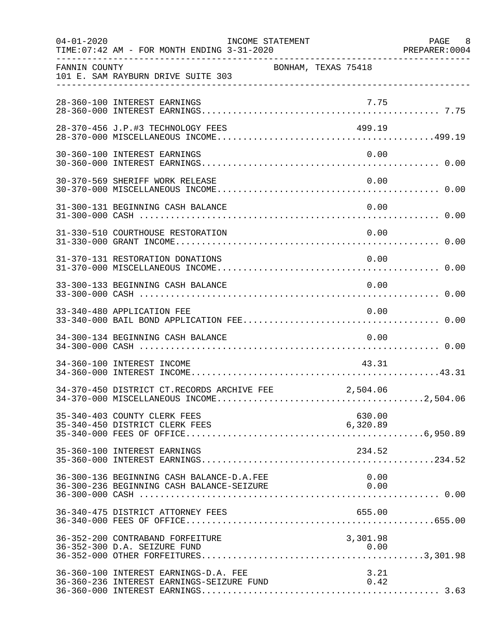| $04 - 01 - 2020$ | TIME: 07:42 AM - FOR MONTH ENDING 3-31-2020                                            | INCOME STATEMENT    |                    | PAGE 8<br>PREPARER: 0004 |
|------------------|----------------------------------------------------------------------------------------|---------------------|--------------------|--------------------------|
| FANNIN COUNTY    | 101 E. SAM RAYBURN DRIVE SUITE 303                                                     | BONHAM, TEXAS 75418 |                    |                          |
|                  | 28-360-100 INTEREST EARNINGS                                                           |                     | 7.75               |                          |
|                  | 28-370-456 J.P.#3 TECHNOLOGY FEES                                                      |                     | 499.19             |                          |
|                  | 30-360-100 INTEREST EARNINGS                                                           |                     | 0.00               |                          |
|                  | 30-370-569 SHERIFF WORK RELEASE                                                        |                     | 0.00               |                          |
|                  | 31-300-131 BEGINNING CASH BALANCE                                                      |                     | 0.00               |                          |
|                  | 31-330-510 COURTHOUSE RESTORATION                                                      |                     | 0.00               |                          |
|                  | 31-370-131 RESTORATION DONATIONS                                                       |                     | 0.00               |                          |
|                  | 33-300-133 BEGINNING CASH BALANCE                                                      |                     | 0.00               |                          |
|                  | 33-340-480 APPLICATION FEE                                                             |                     | 0.00               |                          |
|                  | 34-300-134 BEGINNING CASH BALANCE                                                      |                     | 0.00               |                          |
|                  | 34-360-100 INTEREST INCOME                                                             |                     | 43.31              |                          |
|                  | 34-370-450 DISTRICT CT.RECORDS ARCHIVE FEE                                             |                     | 2,504.06           |                          |
|                  | 35-340-403 COUNTY CLERK FEES<br>35-340-450 DISTRICT CLERK FEES                         |                     | 630.00<br>6,320.89 |                          |
|                  | 35-360-100 INTEREST EARNINGS                                                           |                     | 234.52             |                          |
|                  | 36-300-136 BEGINNING CASH BALANCE-D.A.FEE<br>36-300-236 BEGINNING CASH BALANCE-SEIZURE |                     | 0.00<br>0.00       |                          |
|                  | 36-340-475 DISTRICT ATTORNEY FEES                                                      |                     | 655.00             |                          |
|                  | 36-352-200 CONTRABAND FORFEITURE<br>36-352-300 D.A. SEIZURE FUND                       |                     | 3,301.98           |                          |
|                  | 36-360-100 INTEREST EARNINGS-D.A. FEE<br>36-360-236 INTEREST EARNINGS-SEIZURE FUND     |                     | 3.21<br>0.42       |                          |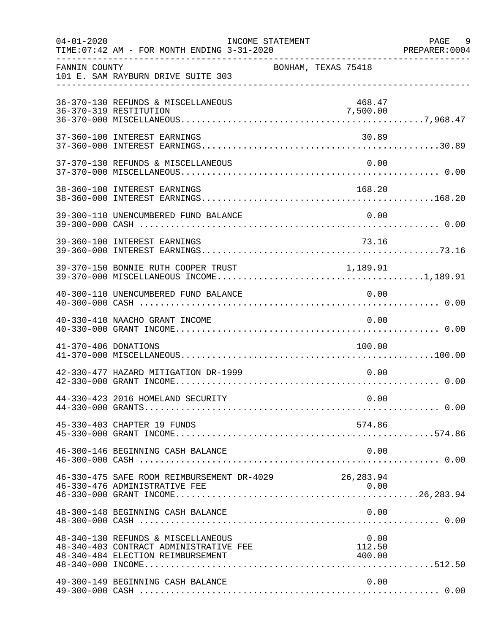| $04 - 01 - 2020$     | TIME: 07:42 AM - FOR MONTH ENDING 3-31-2020                                                                       | INCOME STATEMENT |                     |                    | PAGE 9<br>PREPARER: 0004 |
|----------------------|-------------------------------------------------------------------------------------------------------------------|------------------|---------------------|--------------------|--------------------------|
| FANNIN COUNTY        | 101 E. SAM RAYBURN DRIVE SUITE 303                                                                                |                  | BONHAM, TEXAS 75418 |                    |                          |
|                      | 36-370-130 REFUNDS & MISCELLANEOUS<br>36-370-319 RESTITUTION                                                      |                  |                     | 468.47<br>7,500.00 |                          |
|                      | 37-360-100 INTEREST EARNINGS                                                                                      |                  |                     | 30.89              |                          |
|                      | 37-370-130 REFUNDS & MISCELLANEOUS                                                                                |                  |                     | 0.00               |                          |
|                      | 38-360-100 INTEREST EARNINGS                                                                                      |                  |                     | 168.20             |                          |
|                      | 39-300-110 UNENCUMBERED FUND BALANCE                                                                              |                  |                     | 0.00               |                          |
|                      | 39-360-100 INTEREST EARNINGS                                                                                      |                  |                     | 73.16              |                          |
|                      | 39-370-150 BONNIE RUTH COOPER TRUST                                                                               |                  |                     | 1,189.91           |                          |
|                      | 40-300-110 UNENCUMBERED FUND BALANCE                                                                              |                  |                     | 0.00               |                          |
|                      | 40-330-410 NAACHO GRANT INCOME                                                                                    |                  |                     | 0.00               |                          |
| 41-370-406 DONATIONS |                                                                                                                   |                  |                     | 100.00             |                          |
|                      | 42-330-477 HAZARD MITIGATION DR-1999                                                                              |                  |                     | 0.00               |                          |
|                      | 44-330-423 2016 HOMELAND SECURITY                                                                                 |                  |                     | 0.00               |                          |
|                      | 45-330-403 CHAPTER 19 FUNDS                                                                                       |                  |                     | 574.86             |                          |
|                      | 46-300-146 BEGINNING CASH BALANCE                                                                                 |                  |                     | 0.00               |                          |
|                      | 46-330-475 SAFE ROOM REIMBURSEMENT DR-4029 26,283.94<br>46-330-476 ADMINISTRATIVE FEE                             |                  |                     | 0.00               |                          |
|                      | 48-300-148 BEGINNING CASH BALANCE                                                                                 |                  |                     | 0.00               |                          |
|                      | 48-340-130 REFUNDS & MISCELLANEOUS<br>48-340-403 CONTRACT ADMINISTRATIVE FEE<br>48-340-484 ELECTION REIMBURSEMENT |                  |                     | 0.00<br>112.50     |                          |
|                      | 49-300-149 BEGINNING CASH BALANCE                                                                                 |                  |                     | 0.00               |                          |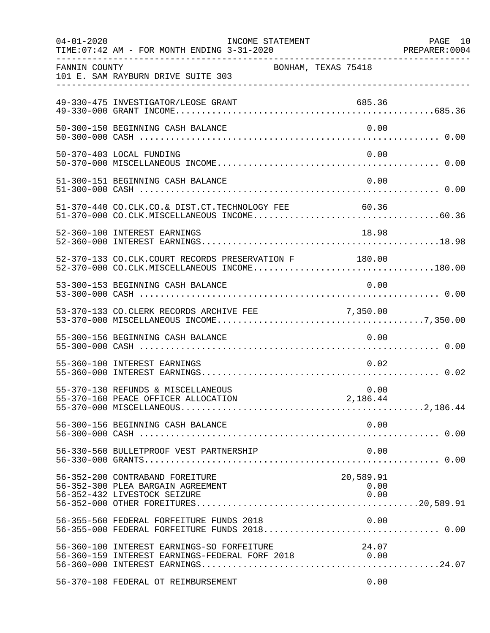| $04 - 01 - 2020$ | TIME: 07:42 AM - FOR MONTH ENDING 3-31-2020                                                           | INCOME STATEMENT |                           | PAGE 10<br>PREPARER: 0004 |
|------------------|-------------------------------------------------------------------------------------------------------|------------------|---------------------------|---------------------------|
| FANNIN COUNTY    | 101 E. SAM RAYBURN DRIVE SUITE 303                                                                    |                  | BONHAM, TEXAS 75418       |                           |
|                  | 49-330-475 INVESTIGATOR/LEOSE GRANT                                                                   |                  | 685.36                    |                           |
|                  | 50-300-150 BEGINNING CASH BALANCE                                                                     |                  | 0.00                      |                           |
|                  | 50-370-403 LOCAL FUNDING                                                                              |                  | 0.00                      |                           |
|                  | 51-300-151 BEGINNING CASH BALANCE                                                                     |                  | 0.00                      |                           |
|                  | 51-370-440 CO.CLK.CO.& DIST.CT.TECHNOLOGY FEE                                                         |                  | 60.36                     |                           |
|                  | 52-360-100 INTEREST EARNINGS                                                                          |                  | 18.98                     |                           |
|                  | 52-370-133 CO.CLK.COURT RECORDS PRESERVATION F 180.00<br>52-370-000 CO.CLK.MISCELLANEOUS INCOME180.00 |                  |                           |                           |
|                  | 53-300-153 BEGINNING CASH BALANCE                                                                     |                  | 0.00                      |                           |
|                  | 53-370-133 CO.CLERK RECORDS ARCHIVE FEE                                                               |                  | 7,350.00                  |                           |
|                  | 55-300-156 BEGINNING CASH BALANCE                                                                     |                  | 0.00                      |                           |
|                  | 55-360-100 INTEREST EARNINGS                                                                          |                  | 0.02                      |                           |
|                  | 55-370-130 REFUNDS & MISCELLANEOUS                                                                    |                  | 0.00                      |                           |
|                  | 56-300-156 BEGINNING CASH BALANCE                                                                     |                  | 0.00                      |                           |
|                  | 56-330-560 BULLETPROOF VEST PARTNERSHIP                                                               |                  | 0.00                      |                           |
|                  | 56-352-200 CONTRABAND FOREITURE<br>56-352-300 PLEA BARGAIN AGREEMENT<br>56-352-432 LIVESTOCK SEIZURE  |                  | 20,589.91<br>0.00<br>0.00 |                           |
|                  | 56-355-560 FEDERAL FORFEITURE FUNDS 2018                                                              |                  | 0.00                      |                           |
|                  | 56-360-100 INTEREST EARNINGS-SO FORFEITURE<br>56-360-159 INTEREST EARNINGS-FEDERAL FORF 2018 0.00     |                  | 24.07                     |                           |
|                  | 56-370-108 FEDERAL OT REIMBURSEMENT                                                                   |                  | 0.00                      |                           |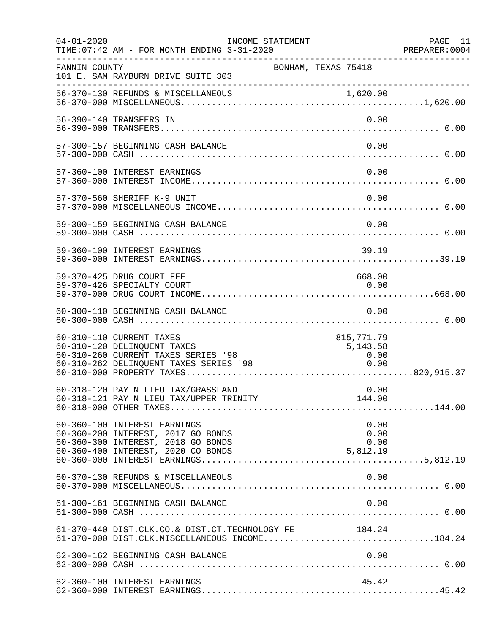| $04 - 01 - 2020$ | INCOME STATEMENT<br>TIME: 07:42 AM - FOR MONTH ENDING 3-31-2020                                                                                |                                        | PAGE 11<br>PREPARER:0004 |
|------------------|------------------------------------------------------------------------------------------------------------------------------------------------|----------------------------------------|--------------------------|
| FANNIN COUNTY    | 101 E. SAM RAYBURN DRIVE SUITE 303                                                                                                             | BONHAM, TEXAS 75418                    |                          |
|                  |                                                                                                                                                |                                        |                          |
|                  | 56-390-140 TRANSFERS IN                                                                                                                        | 0.00                                   |                          |
|                  | 57-300-157 BEGINNING CASH BALANCE                                                                                                              | 0.00                                   |                          |
|                  | 57-360-100 INTEREST EARNINGS                                                                                                                   | 0.00                                   |                          |
|                  | 57-370-560 SHERIFF K-9 UNIT                                                                                                                    | 0.00                                   |                          |
|                  | 59-300-159 BEGINNING CASH BALANCE                                                                                                              | 0.00                                   |                          |
|                  | 59-360-100 INTEREST EARNINGS                                                                                                                   | 39.19                                  |                          |
|                  | 59-370-425 DRUG COURT FEE<br>59-370-426 SPECIALTY COURT                                                                                        | 668.00<br>0.00                         |                          |
|                  | 60-300-110 BEGINNING CASH BALANCE                                                                                                              | 0.00                                   |                          |
|                  | 60-310-110 CURRENT TAXES<br>60-310-120 DELINQUENT TAXES<br>60-310-260 CURRENT TAXES SERIES '98<br>60-310-262 DELINQUENT TAXES SERIES '98       | 815,771.79<br>5,143.58<br>0.00<br>0.00 |                          |
|                  | 60-318-120 PAY N LIEU TAX/GRASSLAND                                                                                                            | 0.00                                   |                          |
|                  | 60-360-100 INTEREST EARNINGS<br>60-360-200 INTEREST, 2017 GO BONDS<br>60-360-300 INTEREST, 2018 GO BONDS<br>60-360-400 INTEREST, 2020 CO BONDS | 0.00<br>0.00<br>0.00<br>5,812.19       |                          |
|                  | 60-370-130 REFUNDS & MISCELLANEOUS                                                                                                             | 0.00                                   |                          |
|                  | 61-300-161 BEGINNING CASH BALANCE                                                                                                              | 0.00                                   |                          |
|                  | 61-370-440 DIST.CLK.CO.& DIST.CT.TECHNOLOGY FE 184.24<br>61-370-000 DIST.CLK.MISCELLANEOUS INCOME184.24                                        |                                        |                          |
|                  | 62-300-162 BEGINNING CASH BALANCE                                                                                                              | 0.00                                   |                          |
|                  | 62-360-100 INTEREST EARNINGS                                                                                                                   | 45.42                                  |                          |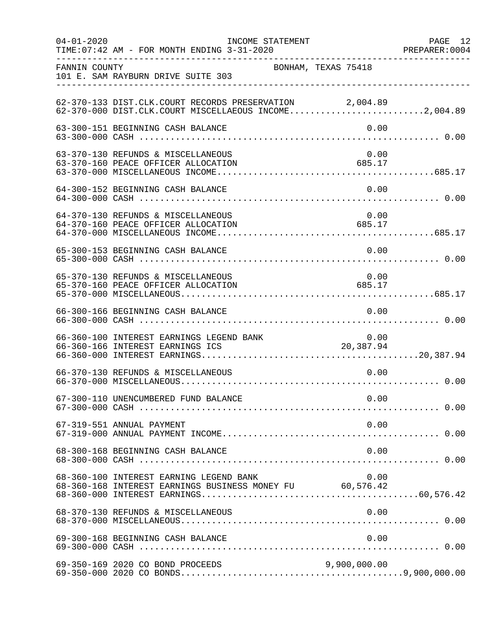| $04 - 01 - 2020$ | INCOME STATEMENT<br>TIME: 07:42 AM - FOR MONTH ENDING 3-31-2020                                                  |                          |                | PAGE 12 |
|------------------|------------------------------------------------------------------------------------------------------------------|--------------------------|----------------|---------|
| FANNIN COUNTY    | 101 E. SAM RAYBURN DRIVE SUITE 303                                                                               | BONHAM, TEXAS 75418      |                |         |
|                  | 62-370-133 DIST.CLK.COURT RECORDS PRESERVATION 2,004.89<br>62-370-000 DIST.CLK.COURT MISCELLAEOUS INCOME2,004.89 |                          |                |         |
|                  | 63-300-151 BEGINNING CASH BALANCE                                                                                |                          | 0.00           |         |
|                  | 63-370-130 REFUNDS & MISCELLANEOUS<br>63-370-160 PEACE OFFICER ALLOCATION                                        |                          | 0.00<br>685.17 |         |
|                  | 64-300-152 BEGINNING CASH BALANCE                                                                                |                          | 0.00           |         |
|                  | 64-370-130 REFUNDS & MISCELLANEOUS<br>64-370-160 PEACE OFFICER ALLOCATION                                        |                          | 0.00<br>685.17 |         |
|                  | 65-300-153 BEGINNING CASH BALANCE                                                                                |                          | 0.00           |         |
|                  | 65-370-130 REFUNDS & MISCELLANEOUS<br>65-370-160 PEACE OFFICER ALLOCATION                                        |                          | 0.00<br>685.17 |         |
|                  | 66-300-166 BEGINNING CASH BALANCE                                                                                |                          | 0.00           |         |
|                  | 66-360-100 INTEREST EARNINGS LEGEND BANK<br>66-360-166 INTEREST EARNINGS ICS                                     | 0.00 0.00 0.00 EANK 0.00 | 0.00           |         |
|                  | 66-370-130 REFUNDS & MISCELLANEOUS                                                                               |                          | 0.00           |         |
|                  |                                                                                                                  |                          |                |         |
|                  | 67-319-551 ANNUAL PAYMENT                                                                                        |                          | 0.00           |         |
|                  | 68-300-168 BEGINNING CASH BALANCE                                                                                |                          | 0.00           |         |
|                  | 68-360-100 INTEREST EARNING LEGEND BANK<br>68-360-168 INTEREST EARNINGS BUSINESS MONEY FU 60,576.42              |                          | 0.00           |         |
|                  | 68-370-130 REFUNDS & MISCELLANEOUS                                                                               |                          | 0.00           |         |
|                  |                                                                                                                  |                          |                |         |
|                  | 69-350-169 2020 CO BOND PROCEEDS                                                                                 |                          | 9,900,000.00   |         |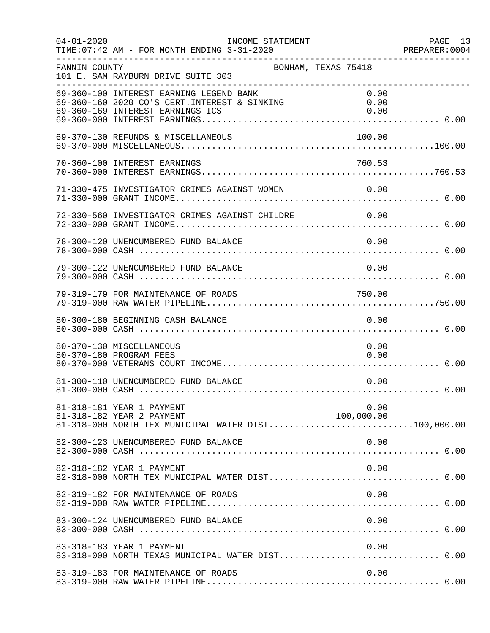| $04 - 01 - 2020$ | INCOME STATEMENT<br>TIME: 07:42 AM - FOR MONTH ENDING 3-31-2020                                                              |                      | PAGE 13<br>PREPARER: 0004 |
|------------------|------------------------------------------------------------------------------------------------------------------------------|----------------------|---------------------------|
| FANNIN COUNTY    | BONHAM, TEXAS 75418<br>101 E. SAM RAYBURN DRIVE SUITE 303                                                                    |                      |                           |
|                  | 69-360-100 INTEREST EARNING LEGEND BANK<br>69-360-160 2020 CO'S CERT. INTEREST & SINKING<br>69-360-169 INTEREST EARNINGS ICS | 0.00<br>0.00<br>0.00 |                           |
|                  | 69-370-130 REFUNDS & MISCELLANEOUS                                                                                           | 100.00               |                           |
|                  | 70-360-100 INTEREST EARNINGS                                                                                                 | 760.53               |                           |
|                  | 71-330-475 INVESTIGATOR CRIMES AGAINST WOMEN 0.00                                                                            |                      |                           |
|                  | 72-330-560 INVESTIGATOR CRIMES AGAINST CHILDRE 0.00                                                                          |                      |                           |
|                  | 78-300-120 UNENCUMBERED FUND BALANCE                                                                                         | 0.00                 |                           |
|                  | 79-300-122 UNENCUMBERED FUND BALANCE                                                                                         | 0.00                 |                           |
|                  | 79-319-179 FOR MAINTENANCE OF ROADS                                                                                          | 750.00               |                           |
|                  | 80-300-180 BEGINNING CASH BALANCE                                                                                            | 0.00                 |                           |
|                  | 80-370-130 MISCELLANEOUS<br>80-370-180 PROGRAM FEES                                                                          | 0.00<br>0.00         |                           |
|                  | 81-300-110 UNENCUMBERED FUND BALANCE                                                                                         | 0.00                 |                           |
|                  | 81-318-181 YEAR 1 PAYMENT<br>81-318-182 YEAR 2 PAYMENT<br>81-318-000 NORTH TEX MUNICIPAL WATER DIST100,000.00                | 0.00<br>100,000.00   |                           |
|                  | 82-300-123 UNENCUMBERED FUND BALANCE                                                                                         | 0.00                 |                           |
|                  | 82-318-182 YEAR 1 PAYMENT                                                                                                    | 0.00                 |                           |
|                  | 82-319-182 FOR MAINTENANCE OF ROADS                                                                                          | 0.00                 |                           |
|                  | 83-300-124 UNENCUMBERED FUND BALANCE                                                                                         | 0.00                 |                           |
|                  | 83-318-183 YEAR 1 PAYMENT<br>83-318-000 NORTH TEXAS MUNICIPAL WATER DIST 0.00                                                | 0.00                 |                           |
|                  | 83-319-183 FOR MAINTENANCE OF ROADS                                                                                          | 0.00                 |                           |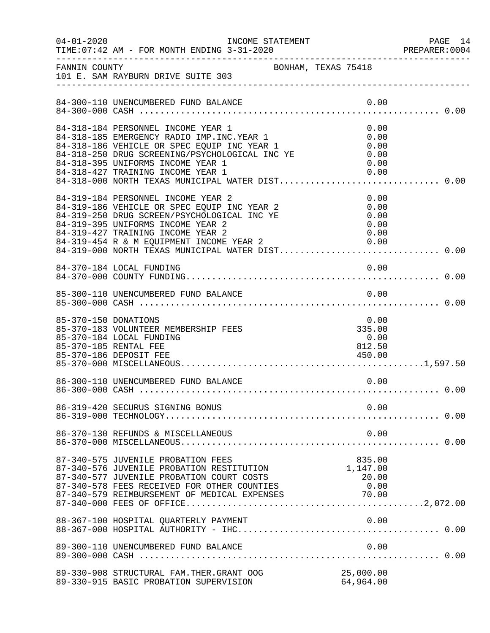| $04 - 01 - 2020$     | INCOME STATEMENT                                                                                                                                                                                                                                                                                                 |      |                                              | PAGE 14<br>PREPARER: 0004 |
|----------------------|------------------------------------------------------------------------------------------------------------------------------------------------------------------------------------------------------------------------------------------------------------------------------------------------------------------|------|----------------------------------------------|---------------------------|
|                      | ---------------<br>BONHAM, TEXAS 75418<br>-----------------------                                                                                                                                                                                                                                                |      |                                              |                           |
|                      | 84-300-110 UNENCUMBERED FUND BALANCE                                                                                                                                                                                                                                                                             |      | 0.00                                         |                           |
|                      | 84-318-184 PERSONNEL INCOME YEAR 1<br>84-318-185 EMERGENCY RADIO IMP. INC. YEAR 1<br>84-318-186 VEHICLE OR SPEC EQUIP INC YEAR 1<br>84-318-250 DRUG SCREENING/PSYCHOLOGICAL INC YE<br>84-318-395 UNIFORMS INCOME YEAR 1<br>84-318-427 TRAINING INCOME YEAR 1<br>84-318-000 NORTH TEXAS MUNICIPAL WATER DIST 0.00 |      | 0.00<br>0.00<br>0.00<br>0.00<br>0.00<br>0.00 |                           |
|                      | 84-319-184 PERSONNEL INCOME YEAR 2<br>84-319-186 VEHICLE OR SPEC EQUIP INC YEAR 2<br>84-319-250 DRUG SCREEN/PSYCHOLOGICAL INC YE<br>84-319-395 UNIFORMS INCOME YEAR 2<br>84-319-427 TRAINING INCOME YEAR 2<br>84-319-454 R & M EQUIPMENT INCOME YEAR 2 0.00                                                      |      | 0.00<br>0.00<br>0.00<br>0.00<br>0.00         |                           |
|                      | 84-370-184 LOCAL FUNDING                                                                                                                                                                                                                                                                                         |      | 0.00                                         |                           |
|                      | 85-300-110 UNENCUMBERED FUND BALANCE                                                                                                                                                                                                                                                                             |      | 0.00                                         |                           |
| 85-370-150 DONATIONS | 85-370-183 VOLUNTEER MEMBERSHIP FEES<br>85-370-184 LOCAL FUNDING<br>85-370-185 RENTAL FEE<br>85-370-186 DEPOSIT FEE                                                                                                                                                                                              |      | 0.00<br>335.00<br>0.00<br>812.50<br>450.00   |                           |
|                      | 86-300-110 UNENCUMBERED FUND BALANCE                                                                                                                                                                                                                                                                             | 0.00 |                                              |                           |
|                      | 86-319-420 SECURUS SIGNING BONUS                                                                                                                                                                                                                                                                                 |      | 0.00                                         |                           |
|                      | 86-370-130 REFUNDS & MISCELLANEOUS                                                                                                                                                                                                                                                                               |      | 0.00                                         |                           |
|                      | 87-340-575 JUVENILE PROBATION FEES<br>87-340-576 JUVENILE PROBATION RESTITUTION<br>87-340-577 JUVENILE PROBATION COURT COSTS<br>87-340-578 FEES RECEIVED FOR OTHER COUNTIES                                                                                                                                      |      | 835.00<br>1,147.00<br>20.00<br>0.00          |                           |
|                      |                                                                                                                                                                                                                                                                                                                  |      |                                              |                           |
|                      | 89-300-110 UNENCUMBERED FUND BALANCE                                                                                                                                                                                                                                                                             |      | 0.00                                         |                           |
|                      | 89-330-908 STRUCTURAL FAM. THER. GRANT OOG<br>89-330-915 BASIC PROBATION SUPERVISION                                                                                                                                                                                                                             |      | 25,000.00<br>64,964.00                       |                           |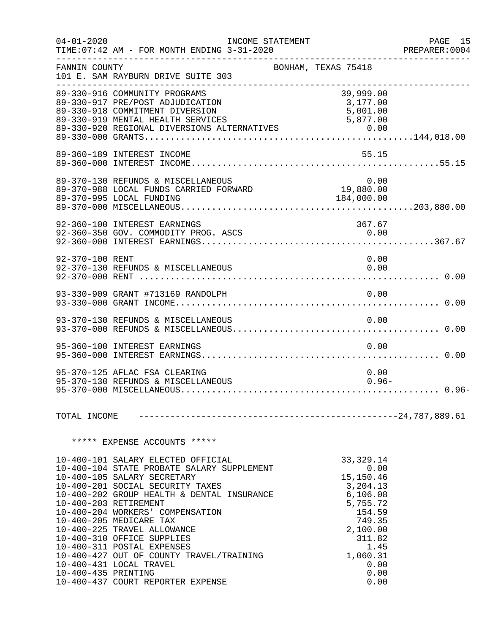| $04 - 01 - 2020$    | TIME: 07:42 AM - FOR MONTH ENDING 3-31-2020                                                                                                                                                                                                                                                                                                                                                                                                                                                      | INCOME STATEMENT    |                                                                                                                                                            | PAGE 15<br>PREPARER:0004<br>------------------------------------- |
|---------------------|--------------------------------------------------------------------------------------------------------------------------------------------------------------------------------------------------------------------------------------------------------------------------------------------------------------------------------------------------------------------------------------------------------------------------------------------------------------------------------------------------|---------------------|------------------------------------------------------------------------------------------------------------------------------------------------------------|-------------------------------------------------------------------|
| FANNIN COUNTY       | 101 E. SAM RAYBURN DRIVE SUITE 303<br>---------------------------------                                                                                                                                                                                                                                                                                                                                                                                                                          | BONHAM, TEXAS 75418 |                                                                                                                                                            |                                                                   |
|                     | 89-330-916 COMMUNITY PROGRAMS<br>89-330-917 PRE/POST ADJUDICATION<br>89-330-918 COMMITMENT DIVERSION                                                                                                                                                                                                                                                                                                                                                                                             |                     | 39,999.00<br>3,177.00                                                                                                                                      |                                                                   |
|                     | 89-360-189 INTEREST INCOME                                                                                                                                                                                                                                                                                                                                                                                                                                                                       |                     | 55.15                                                                                                                                                      |                                                                   |
|                     |                                                                                                                                                                                                                                                                                                                                                                                                                                                                                                  |                     |                                                                                                                                                            |                                                                   |
|                     | 92-360-100 INTEREST EARNINGS<br>92-360-350 GOV. COMMODITY PROG. ASCS                                                                                                                                                                                                                                                                                                                                                                                                                             |                     | 367.67<br>0.00                                                                                                                                             |                                                                   |
| 92-370-100 RENT     | 92-370-130 REFUNDS & MISCELLANEOUS                                                                                                                                                                                                                                                                                                                                                                                                                                                               |                     | 0.00<br>0.00                                                                                                                                               |                                                                   |
|                     |                                                                                                                                                                                                                                                                                                                                                                                                                                                                                                  |                     |                                                                                                                                                            |                                                                   |
|                     | 93-370-130 REFUNDS & MISCELLANEOUS                                                                                                                                                                                                                                                                                                                                                                                                                                                               |                     | 0.00                                                                                                                                                       |                                                                   |
|                     | 95-360-100 INTEREST EARNINGS                                                                                                                                                                                                                                                                                                                                                                                                                                                                     |                     | 0.00                                                                                                                                                       |                                                                   |
|                     | 95-370-125 AFLAC FSA CLEARING<br>95-370-130 REFUNDS & MISCELLANEOUS                                                                                                                                                                                                                                                                                                                                                                                                                              |                     | 0.00<br>$0.96 -$                                                                                                                                           |                                                                   |
| TOTAL INCOME        |                                                                                                                                                                                                                                                                                                                                                                                                                                                                                                  |                     |                                                                                                                                                            |                                                                   |
|                     | ***** EXPENSE ACCOUNTS *****                                                                                                                                                                                                                                                                                                                                                                                                                                                                     |                     |                                                                                                                                                            |                                                                   |
| 10-400-435 PRINTING | 10-400-101 SALARY ELECTED OFFICIAL<br>10-400-104 STATE PROBATE SALARY SUPPLEMENT<br>10-400-105 SALARY SECRETARY<br>10-400-201 SOCIAL SECURITY TAXES<br>10-400-202 GROUP HEALTH & DENTAL INSURANCE<br>10-400-203 RETIREMENT<br>10-400-204 WORKERS' COMPENSATION<br>10-400-205 MEDICARE TAX<br>10-400-225 TRAVEL ALLOWANCE<br>10-400-310 OFFICE SUPPLIES<br>10-400-311 POSTAL EXPENSES<br>10-400-427 OUT OF COUNTY TRAVEL/TRAINING<br>10-400-431 LOCAL TRAVEL<br>10-400-437 COURT REPORTER EXPENSE |                     | 33, 329. 14<br>0.00<br>15,150.46<br>3,204.13<br>6,106.08<br>5,755.72<br>154.59<br>749.35<br>2,100.00<br>311.82<br>1.45<br>1,060.31<br>0.00<br>0.00<br>0.00 |                                                                   |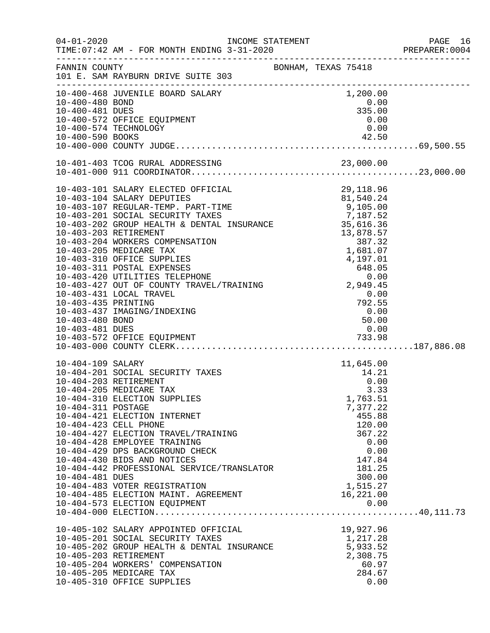|                                                                                                                                                         |                                                                                                        | PREPARER: 0004 |
|---------------------------------------------------------------------------------------------------------------------------------------------------------|--------------------------------------------------------------------------------------------------------|----------------|
| FANNIN COUNTY<br>101 E. SAM RAYBURN DRIVE SUITE 303                                                                                                     | BONHAM, TEXAS 75418                                                                                    |                |
| 10-400-468 JUVENILE BOARD SALARY                                                                                                                        | 1,200.00                                                                                               |                |
| 10-400-480 BOND                                                                                                                                         | 0.00                                                                                                   |                |
| 10-400-481 DUES                                                                                                                                         | 335.00                                                                                                 |                |
| 10-400-572 OFFICE EQUIPMENT                                                                                                                             | 0.00                                                                                                   | 0.00           |
| 10-400-574 TECHNOLOGY<br>10-400-590 BOOKS                                                                                                               | 42.50                                                                                                  |                |
|                                                                                                                                                         |                                                                                                        |                |
|                                                                                                                                                         |                                                                                                        |                |
|                                                                                                                                                         |                                                                                                        |                |
| 10-403-101 SALARY ELECTED OFFICIAL                                                                                                                      | 29,118.96<br>29,118.96<br>81,540.24                                                                    |                |
| 10-403-104 SALARY DEPUTIES                                                                                                                              |                                                                                                        |                |
| 10-403-107 REGULAR-TEMP. PART-TIME<br>10-403-201 SOCIAL SECURITY TAXES<br>10-403-202 GROUP HEALTH & DENTAL INSURANCE 35,616.36<br>10-403-203 RETIREMENT |                                                                                                        |                |
|                                                                                                                                                         |                                                                                                        |                |
| 10-403-203 RETIREMENT                                                                                                                                   |                                                                                                        |                |
| 10-403-204 WORKERS COMPENSATION                                                                                                                         |                                                                                                        |                |
| 10-403-205 MEDICARE TAX                                                                                                                                 |                                                                                                        |                |
| 10-403-310 OFFICE SUPPLIES                                                                                                                              |                                                                                                        |                |
| 10-403-311 POSTAL EXPENSES                                                                                                                              |                                                                                                        |                |
| 10-403-420 UTILITIES TELEPHONE                                                                                                                          | 13,878.57<br>13,878.57<br>13,878.57<br>13,878.57<br>1,681.07<br>4,197.01<br>648.05<br>0.00<br>2,949.45 |                |
| 10-403-427 OUT OF COUNTY TRAVEL/TRAINING                                                                                                                |                                                                                                        |                |
| 10-403-431 LOCAL TRAVEL                                                                                                                                 | 0.00                                                                                                   |                |
| 10-403-435 PRINTING                                                                                                                                     | $792.55$<br>0.00<br>50.00                                                                              |                |
| 10-403-437 IMAGING/INDEXING                                                                                                                             |                                                                                                        |                |
| 10-403-480 BOND                                                                                                                                         | 50.00                                                                                                  |                |
| 10-403-481 DUES                                                                                                                                         | 0.00                                                                                                   |                |
|                                                                                                                                                         |                                                                                                        |                |
| 10-404-109 SALARY                                                                                                                                       | 11,645.00                                                                                              |                |
| 10-404-201 SOCIAL SECURITY TAXES                                                                                                                        | 14.21                                                                                                  |                |
| 10-404-203 RETIREMENT                                                                                                                                   |                                                                                                        | 0.00           |
| 10-404-205 MEDICARE TAX                                                                                                                                 |                                                                                                        | 3.33           |
| 10-404-310 ELECTION SUPPLIES                                                                                                                            | 1,763.51                                                                                               |                |
| 10-404-311 POSTAGE                                                                                                                                      | 7,377.22                                                                                               |                |
| 10-404-421 ELECTION INTERNET                                                                                                                            | 455.88                                                                                                 |                |
| 10-404-423 CELL PHONE                                                                                                                                   | 120.00                                                                                                 |                |
| 10-404-427 ELECTION TRAVEL/TRAINING<br>10-404-428 EMPLOYEE TRAINING                                                                                     | 367.22                                                                                                 | 0.00           |
| 10-404-429 DPS BACKGROUND CHECK                                                                                                                         |                                                                                                        | 0.00           |
| 10-404-430 BIDS AND NOTICES                                                                                                                             | 147.84                                                                                                 |                |
| 10-404-442 PROFESSIONAL SERVICE/TRANSLATOR                                                                                                              | 181.25                                                                                                 |                |
| 10-404-481 DUES                                                                                                                                         | 300.00                                                                                                 |                |
| 10-404-483 VOTER REGISTRATION                                                                                                                           | 1,515.27                                                                                               |                |
| 10-404-485 ELECTION MAINT. AGREEMENT                                                                                                                    | 16,221.00                                                                                              |                |
| 10-404-573 ELECTION EQUIPMENT                                                                                                                           |                                                                                                        | 0.00           |
|                                                                                                                                                         |                                                                                                        |                |
| 10-405-102 SALARY APPOINTED OFFICIAL                                                                                                                    | 19,927.96                                                                                              |                |
| 10-405-201 SOCIAL SECURITY TAXES                                                                                                                        | 1,217.28                                                                                               |                |
| 10-405-202 GROUP HEALTH & DENTAL INSURANCE                                                                                                              | 5,933.52                                                                                               |                |
| 10-405-203 RETIREMENT                                                                                                                                   | 2,308.75                                                                                               |                |
| 10-405-204 WORKERS' COMPENSATION<br>10-405-205 MEDICARE TAX                                                                                             | 284.67                                                                                                 | 60.97          |
| 10-405-310 OFFICE SUPPLIES                                                                                                                              |                                                                                                        | 0.00           |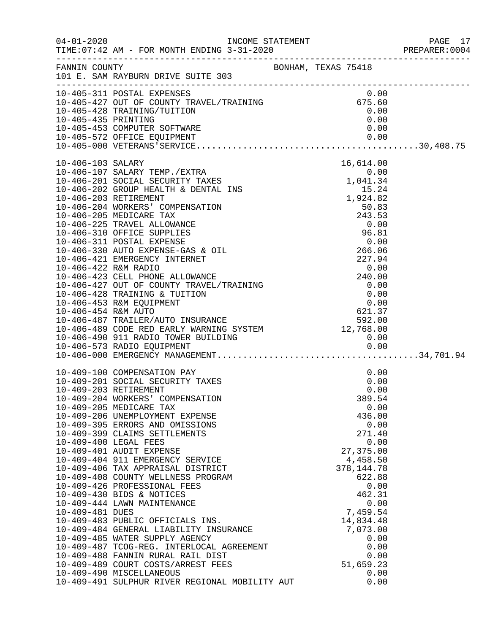|                 |                                                                                                                                                                                                                                                                                                                                                                                                                                                                                                                                                                                                                                                                                                                                                                                                                                                      |                                                                                                                                                                                                                                                   | PAGE 17<br>PREPARER:0004<br>PAGE 17 |
|-----------------|------------------------------------------------------------------------------------------------------------------------------------------------------------------------------------------------------------------------------------------------------------------------------------------------------------------------------------------------------------------------------------------------------------------------------------------------------------------------------------------------------------------------------------------------------------------------------------------------------------------------------------------------------------------------------------------------------------------------------------------------------------------------------------------------------------------------------------------------------|---------------------------------------------------------------------------------------------------------------------------------------------------------------------------------------------------------------------------------------------------|-------------------------------------|
| FANNIN COUNTY   | 101 E. SAM RAYBURN DRIVE SUITE 303                                                                                                                                                                                                                                                                                                                                                                                                                                                                                                                                                                                                                                                                                                                                                                                                                   | BONHAM, TEXAS 75418                                                                                                                                                                                                                               |                                     |
|                 | 10-405-311 POSTAL EXPENSES<br>10-405-427 OUT OF COUNTY TRAVEL/TRAINING<br>10-405-428 TRAINING/TUITION 0.00<br>10-405-435 DRINTING                                                                                                                                                                                                                                                                                                                                                                                                                                                                                                                                                                                                                                                                                                                    |                                                                                                                                                                                                                                                   |                                     |
|                 | $10-406-103 \, \text{SALARY TEMP P}, \text{EXTER} \text{16, 101} \text{36, 102} \text{36, 103} \text{36, 104} \text{406} \text{400} \text{406} \text{407} \text{500} \text{600} \text{600} \text{600} \text{600} \text{600} \text{600} \text{600} \text{600} \text{600} \text{600} \text{600} \text{600} \text{600} \text{600} \text{600} \text{600} \$                                                                                                                                                                                                                                                                                                                                                                                                                                                                                              |                                                                                                                                                                                                                                                   |                                     |
| 10-409-481 DUES | 10-409-100 COMPENSATION PAY<br>10-409-201 SOCIAL SECURITY TAXES<br>10-409-203 RETIREMENT<br>10-409-204 WORKERS' COMPENSATION<br>10-409-205 MEDICARE TAX<br>10-409-206 UNEMPLOYMENT EXPENSE<br>10-409-395 ERRORS AND OMISSIONS<br>10-409-399 CLAIMS SETTLEMENTS<br>10-409-400 LEGAL FEES<br>10-409-401 AUDIT EXPENSE<br>10-409-404 911 EMERGENCY SERVICE<br>10-409-406 TAX APPRAISAL DISTRICT<br>10-409-408 COUNTY WELLNESS PROGRAM<br>10-409-426 PROFESSIONAL FEES<br>10-409-430 BIDS & NOTICES<br>10-409-444 LAWN MAINTENANCE<br>10-409-483 PUBLIC OFFICIALS INS.<br>10-409-484 GENERAL LIABILITY INSURANCE<br>10-409-485 WATER SUPPLY AGENCY<br>10-409-487 TCOG-REG. INTERLOCAL AGREEMENT<br>10-409-488 FANNIN RURAL RAIL DIST<br>10-409-489 COURT COSTS/ARREST FEES<br>10-409-490 MISCELLANEOUS<br>10-409-491 SULPHUR RIVER REGIONAL MOBILITY AUT | 0.00<br>0.00<br>0.00<br>389.54<br>0.00<br>436.00<br>0.00<br>271.40<br>0.00<br>27,375.00<br>4,458.50<br>378, 144. 78<br>622.88<br>0.00<br>462.31<br>0.00<br>7,459.54<br>14,834.48<br>7,073.00<br>0.00<br>0.00<br>0.00<br>51,659.23<br>0.00<br>0.00 |                                     |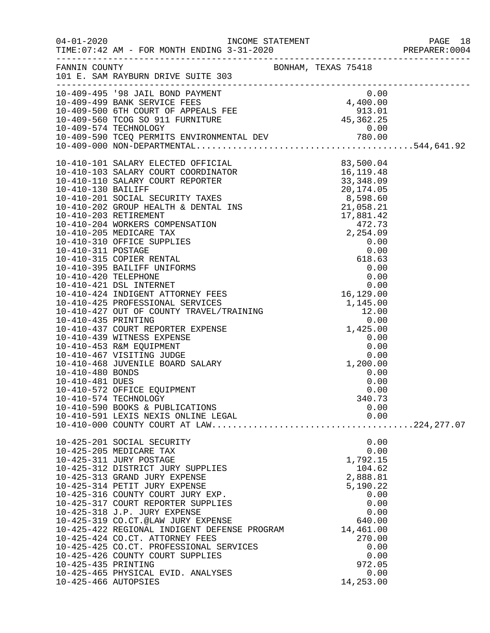|                      |                                                                                                                                                                                                                                            |                | PAGE 18<br>PREPARER:0004<br>PAGE 18 |
|----------------------|--------------------------------------------------------------------------------------------------------------------------------------------------------------------------------------------------------------------------------------------|----------------|-------------------------------------|
|                      | FANNIN COUNTY BONHAM, TEXAS 75418<br>101 E. SAM RAYBURN DRIVE SUITE 303                                                                                                                                                                    |                |                                     |
|                      | 10-409-495 '98 JAIL BOND PAYMENT<br>10-409-495 '98 JAIL BOND PAYMENT<br>10-409-499 BANK SERVICE FEES<br>10-409-500 6TH COURT OF APPEALS FEE<br>10-409-500 TCOG SO 911 FURNITURE<br>10-409-574 TECHNOLOGY<br>10-409-590 TCEQ PERMITS ENVIRO |                |                                     |
|                      |                                                                                                                                                                                                                                            |                |                                     |
|                      |                                                                                                                                                                                                                                            |                |                                     |
|                      |                                                                                                                                                                                                                                            |                |                                     |
|                      |                                                                                                                                                                                                                                            |                |                                     |
|                      |                                                                                                                                                                                                                                            |                |                                     |
|                      |                                                                                                                                                                                                                                            |                |                                     |
|                      |                                                                                                                                                                                                                                            |                |                                     |
|                      |                                                                                                                                                                                                                                            |                |                                     |
|                      |                                                                                                                                                                                                                                            |                |                                     |
|                      |                                                                                                                                                                                                                                            |                |                                     |
|                      |                                                                                                                                                                                                                                            |                |                                     |
|                      |                                                                                                                                                                                                                                            |                |                                     |
|                      |                                                                                                                                                                                                                                            |                |                                     |
|                      |                                                                                                                                                                                                                                            |                |                                     |
|                      |                                                                                                                                                                                                                                            |                |                                     |
|                      |                                                                                                                                                                                                                                            |                |                                     |
|                      |                                                                                                                                                                                                                                            |                |                                     |
|                      |                                                                                                                                                                                                                                            |                |                                     |
|                      |                                                                                                                                                                                                                                            |                |                                     |
|                      |                                                                                                                                                                                                                                            |                |                                     |
| 10-410-480 BONDS     |                                                                                                                                                                                                                                            | 0.00           |                                     |
| 10-410-481 DUES      |                                                                                                                                                                                                                                            | 0.00           |                                     |
|                      | 10-410-572 OFFICE EQUIPMENT<br>10-410-574 TECHNOLOGY                                                                                                                                                                                       | 0.00<br>340.73 |                                     |
|                      | 10-410-590 BOOKS & PUBLICATIONS                                                                                                                                                                                                            | 0.00           |                                     |
|                      | 10-410-591 LEXIS NEXIS ONLINE LEGAL                                                                                                                                                                                                        | 0.00           |                                     |
|                      |                                                                                                                                                                                                                                            |                |                                     |
|                      | 10-425-201 SOCIAL SECURITY<br>10-425-205 MEDICARE TAX                                                                                                                                                                                      | 0.00<br>0.00   |                                     |
|                      | 10-425-311 JURY POSTAGE                                                                                                                                                                                                                    | 1,792.15       |                                     |
|                      | 10-425-312 DISTRICT JURY SUPPLIES                                                                                                                                                                                                          | 104.62         |                                     |
|                      | 10-425-313 GRAND JURY EXPENSE                                                                                                                                                                                                              | 2,888.81       |                                     |
|                      | 10-425-314 PETIT JURY EXPENSE                                                                                                                                                                                                              | 5,190.22       |                                     |
|                      | 10-425-316 COUNTY COURT JURY EXP.<br>10-425-317 COURT REPORTER SUPPLIES                                                                                                                                                                    | 0.00<br>0.00   |                                     |
|                      | 10-425-318 J.P. JURY EXPENSE                                                                                                                                                                                                               | 0.00           |                                     |
|                      | 10-425-319 CO.CT.@LAW JURY EXPENSE                                                                                                                                                                                                         | 640.00         |                                     |
|                      | 10-425-422 REGIONAL INDIGENT DEFENSE PROGRAM                                                                                                                                                                                               | 14,461.00      |                                     |
|                      | 10-425-424 CO.CT. ATTORNEY FEES                                                                                                                                                                                                            | 270.00         |                                     |
|                      | 10-425-425 CO.CT. PROFESSIONAL SERVICES<br>10-425-426 COUNTY COURT SUPPLIES                                                                                                                                                                | 0.00<br>0.00   |                                     |
| 10-425-435 PRINTING  |                                                                                                                                                                                                                                            | 972.05         |                                     |
|                      | 10-425-465 PHYSICAL EVID. ANALYSES                                                                                                                                                                                                         | 0.00           |                                     |
| 10-425-466 AUTOPSIES |                                                                                                                                                                                                                                            | 14,253.00      |                                     |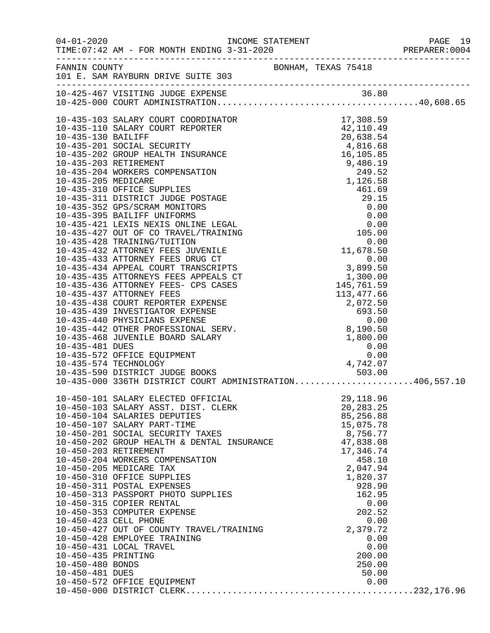|                     |                                                                                                                                                                |                     |                          |                  | PREPARER: 0004 |
|---------------------|----------------------------------------------------------------------------------------------------------------------------------------------------------------|---------------------|--------------------------|------------------|----------------|
|                     | FANNIN COUNTY<br>101 E. SAM RAYBURN DRIVE SUITE 303                                                                                                            | BONHAM, TEXAS 75418 |                          |                  |                |
|                     |                                                                                                                                                                |                     |                          |                  |                |
|                     |                                                                                                                                                                |                     |                          |                  |                |
|                     |                                                                                                                                                                |                     |                          |                  |                |
|                     |                                                                                                                                                                |                     |                          |                  |                |
|                     |                                                                                                                                                                |                     |                          |                  |                |
|                     |                                                                                                                                                                |                     |                          |                  |                |
|                     |                                                                                                                                                                |                     |                          |                  |                |
|                     |                                                                                                                                                                |                     |                          |                  |                |
|                     |                                                                                                                                                                |                     |                          |                  |                |
|                     |                                                                                                                                                                |                     |                          |                  |                |
|                     |                                                                                                                                                                |                     |                          |                  |                |
|                     |                                                                                                                                                                |                     |                          |                  |                |
|                     |                                                                                                                                                                |                     |                          |                  |                |
|                     |                                                                                                                                                                |                     |                          |                  |                |
|                     |                                                                                                                                                                |                     |                          |                  |                |
|                     |                                                                                                                                                                |                     |                          |                  |                |
|                     |                                                                                                                                                                |                     |                          |                  |                |
|                     |                                                                                                                                                                |                     |                          |                  |                |
|                     |                                                                                                                                                                |                     |                          |                  |                |
|                     |                                                                                                                                                                |                     |                          |                  |                |
|                     |                                                                                                                                                                |                     |                          |                  |                |
|                     |                                                                                                                                                                |                     |                          |                  |                |
| 10-435-481 DUES     |                                                                                                                                                                |                     | $0.00$<br>$0.00$         |                  |                |
|                     | 10-435-572 OFFICE EQUIPMENT<br>10-435-574 TECHNOLOGY                                                                                                           |                     | 4,742.07                 |                  |                |
|                     | 10-435-574 TECHNOLOGY<br>10-435-590 DISTRICT JUDGE BOOKS<br>10-435-590 DISTRICT JUDGE BOOKS 503.00<br>10-435-000 336TH DISTRICT COURT ADMINISTRATION406,557.10 |                     |                          |                  |                |
|                     |                                                                                                                                                                |                     |                          |                  |                |
|                     | 10-450-101 SALARY ELECTED OFFICIAL<br>10-450-103 SALARY ASST. DIST. CLERK                                                                                      |                     | 29, 118.96               |                  |                |
|                     | 10-450-104 SALARIES DEPUTIES                                                                                                                                   |                     | 20, 283. 25<br>85,256.88 |                  |                |
|                     | 10-450-107 SALARY PART-TIME                                                                                                                                    |                     | 15,075.78                |                  |                |
|                     | 10-450-201 SOCIAL SECURITY TAXES<br>10-450-201 SOCIAL SECURITY TAXES<br>10-450-202 GROUP HEALTH & DENTAL INSURANCE                                             |                     | 8,756.77                 |                  |                |
|                     |                                                                                                                                                                |                     | 47,838.08                |                  |                |
|                     | 10-450-203 RETIREMENT<br>10-450-204 WORKERS COMPENSATION                                                                                                       |                     | 17,346.74                | 458.10           |                |
|                     | 10-450-205 MEDICARE TAX                                                                                                                                        |                     | 2,047.94                 |                  |                |
|                     | 10-450-310 OFFICE SUPPLIES                                                                                                                                     |                     | 1,820.37                 |                  |                |
|                     | 10-450-311 POSTAL EXPENSES<br>10-450-313 PASSPORT PHOTO SUPPLIES                                                                                               |                     |                          | 928.90<br>162.95 |                |
|                     | 10-450-315 COPIER RENTAL                                                                                                                                       |                     |                          | 0.00             |                |
|                     | 10-450-353 COMPUTER EXPENSE                                                                                                                                    |                     |                          | 202.52           |                |
|                     | 10-450-423 CELL PHONE<br>10-450-427 OUT OF COUNTY TRAVEL/TRAINING                                                                                              |                     |                          | 0.00             |                |
|                     | 10-450-428 EMPLOYEE TRAINING                                                                                                                                   |                     | 2,379.72                 | 0.00             |                |
|                     | 10-450-431 LOCAL TRAVEL                                                                                                                                        |                     |                          | 0.00             |                |
| 10-450-435 PRINTING |                                                                                                                                                                |                     |                          | 200.00           |                |
| 10-450-480 BONDS    |                                                                                                                                                                |                     |                          | 250.00           |                |
|                     |                                                                                                                                                                |                     |                          |                  |                |
|                     |                                                                                                                                                                |                     |                          |                  |                |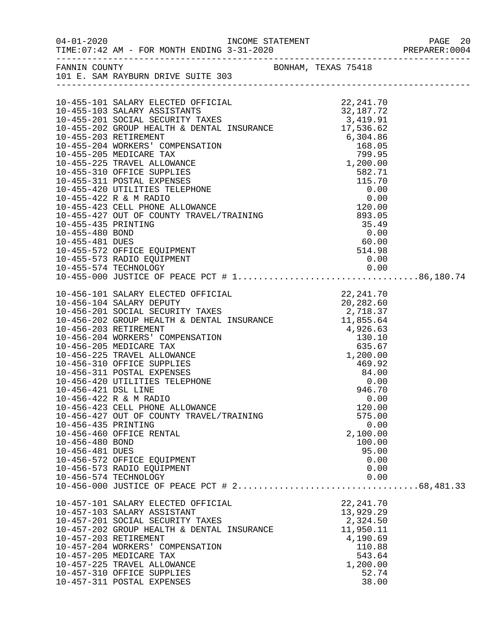| FANNIN COUNTY<br>101 E. SAM RAYBURN DRIVE SUITE 303                                                                                                                                                                                                                                                                                                                                                                                                                                                                                                                                                                                                                                                                                                                                               |                                                                                                                              |  |
|---------------------------------------------------------------------------------------------------------------------------------------------------------------------------------------------------------------------------------------------------------------------------------------------------------------------------------------------------------------------------------------------------------------------------------------------------------------------------------------------------------------------------------------------------------------------------------------------------------------------------------------------------------------------------------------------------------------------------------------------------------------------------------------------------|------------------------------------------------------------------------------------------------------------------------------|--|
| 10-455-573 RADIO EQUIPMENT                                                                                                                                                                                                                                                                                                                                                                                                                                                                                                                                                                                                                                                                                                                                                                        | 0.00                                                                                                                         |  |
| $\begin{tabular}{lllllllllllllllllllllllllllllllllll} 10-456-101 & \text{SALARY ELECTED OFFICIAL} & & & & & & & 22\,,241\,.70 \\ 10-456-104 & \text{SALARY DEPUTY} & & & & & & 20\,,282\,.60 \\ 10-456-201 & \text{SOCIAL SECURITY TAXES} & & & & 2\,,718\,.37 \\ 10-456-202 & \text{GROUP HEALTH & \& \text{DENTAL INSURANCE} & & & 11\,,855\,.64 \\ 10-456-203 & \text{RETIREMENT$<br>10-456-310 OFFICE SUPPLIES<br>10-456-311 POSTAL EXPENSES<br>10-456-420 UTILITIES TELEPHONE<br>10-456-421 DSL LINE<br>10-456-422 R & M RADIO<br>10-456-423 CELL PHONE ALLOWANCE<br>10-456-427 OUT OF COUNTY TRAVEL/TRAINING<br>10-456-435 PRINTING<br>10-456-460 OFFICE RENTAL<br>10-456-480 BOND<br>10-456-481 DUES<br>10-456-572 OFFICE EQUIPMENT<br>10-456-573 RADIO EQUIPMENT<br>10-456-574 TECHNOLOGY | 469.92<br>84.00<br>0.00<br>946.70<br>0.00<br>120.00<br>575.00<br>0.00<br>2,100.00<br>100.00<br>95.00<br>0.00<br>0.00<br>0.00 |  |
| 10-457-101 SALARY ELECTED OFFICIAL<br>10-457-103 SALARY ASSISTANT<br>10-457-201 SOCIAL SECURITY TAXES<br>10-457-202 GROUP HEALTH & DENTAL INSURANCE<br>10-457-203 RETIREMENT<br>10-457-204 WORKERS' COMPENSATION<br>10-457-205 MEDICARE TAX<br>10-457-225 TRAVEL ALLOWANCE<br>10-457-310 OFFICE SUPPLIES<br>10-457-311 POSTAL EXPENSES                                                                                                                                                                                                                                                                                                                                                                                                                                                            | 22, 241.70<br>13,929.29<br>2,324.50<br>11,950.11<br>4,190.69<br>110.88<br>543.64<br>1,200.00<br>52.74<br>38.00               |  |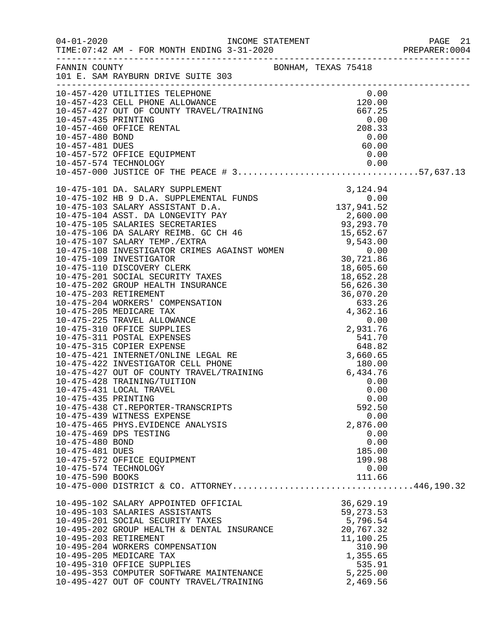|                     |                                                                                                                                                                                                                                                       |                        | PREPARER: 0004 |
|---------------------|-------------------------------------------------------------------------------------------------------------------------------------------------------------------------------------------------------------------------------------------------------|------------------------|----------------|
|                     | FANNIN COUNTY<br>101 E. SAM RAYBURN DRIVE SUITE 303                                                                                                                                                                                                   |                        |                |
|                     |                                                                                                                                                                                                                                                       |                        |                |
|                     | 10-457-420 UTILITIES TELEPHONE<br>10-457-423 CELL PHONE ALLOWANCE<br>10-457-423 CELL PHONE ALLOWANCE<br>10-457-427 OUT OF COUNTY TRAVEL/TRAINING<br>10-457-435 PRINTING<br>10-457-460 OFFICE RENTAL<br>10-457-480 BOND<br>10-457-572 OFFICE EQUIPMENT | 0.00<br>120.00         |                |
|                     |                                                                                                                                                                                                                                                       | 667.25                 |                |
|                     |                                                                                                                                                                                                                                                       | 0.00                   |                |
|                     |                                                                                                                                                                                                                                                       | 208.33                 |                |
|                     |                                                                                                                                                                                                                                                       | 0.00                   |                |
|                     |                                                                                                                                                                                                                                                       | 60.00                  |                |
|                     |                                                                                                                                                                                                                                                       | 0.00                   |                |
|                     |                                                                                                                                                                                                                                                       | 0.00                   |                |
|                     |                                                                                                                                                                                                                                                       |                        |                |
|                     |                                                                                                                                                                                                                                                       |                        |                |
|                     |                                                                                                                                                                                                                                                       |                        |                |
|                     |                                                                                                                                                                                                                                                       |                        |                |
|                     |                                                                                                                                                                                                                                                       |                        |                |
|                     |                                                                                                                                                                                                                                                       |                        |                |
|                     |                                                                                                                                                                                                                                                       |                        |                |
|                     |                                                                                                                                                                                                                                                       |                        |                |
|                     |                                                                                                                                                                                                                                                       |                        |                |
|                     |                                                                                                                                                                                                                                                       |                        |                |
|                     |                                                                                                                                                                                                                                                       |                        |                |
|                     |                                                                                                                                                                                                                                                       |                        |                |
|                     |                                                                                                                                                                                                                                                       |                        |                |
|                     |                                                                                                                                                                                                                                                       |                        |                |
|                     |                                                                                                                                                                                                                                                       |                        |                |
|                     |                                                                                                                                                                                                                                                       |                        |                |
|                     |                                                                                                                                                                                                                                                       |                        |                |
|                     |                                                                                                                                                                                                                                                       |                        |                |
|                     |                                                                                                                                                                                                                                                       |                        |                |
|                     |                                                                                                                                                                                                                                                       |                        |                |
|                     |                                                                                                                                                                                                                                                       |                        |                |
|                     | 10-475-428 TRAINING/TUITION                                                                                                                                                                                                                           | 0.00                   |                |
|                     | 10-475-431 LOCAL TRAVEL                                                                                                                                                                                                                               | 0.00                   |                |
| 10-475-435 PRINTING |                                                                                                                                                                                                                                                       | 0.00                   |                |
|                     | 10-475-438 CT.REPORTER-TRANSCRIPTS                                                                                                                                                                                                                    | 592.50                 |                |
|                     | 10-475-439 WITNESS EXPENSE                                                                                                                                                                                                                            | 0.00                   |                |
|                     | 10-475-465 PHYS. EVIDENCE ANALYSIS                                                                                                                                                                                                                    | 2,876.00               |                |
|                     | 10-475-469 DPS TESTING                                                                                                                                                                                                                                | 0.00                   |                |
| 10-475-480 BOND     |                                                                                                                                                                                                                                                       | 0.00                   |                |
| 10-475-481 DUES     |                                                                                                                                                                                                                                                       | 185.00                 |                |
|                     | 10-475-572 OFFICE EQUIPMENT<br>10-475-574 TECHNOLOGY                                                                                                                                                                                                  | 199.98<br>0.00         |                |
| 10-475-590 BOOKS    |                                                                                                                                                                                                                                                       | 111.66                 |                |
|                     | 10-475-000 DISTRICT & CO. ATTORNEY446,190.32                                                                                                                                                                                                          |                        |                |
|                     |                                                                                                                                                                                                                                                       |                        |                |
|                     | 10-495-102 SALARY APPOINTED OFFICIAL                                                                                                                                                                                                                  | 36,629.19<br>59,273.53 |                |
|                     | 10-495-103 SALARIES ASSISTANTS<br>10-495-201 SOCIAL SECURITY TAXES                                                                                                                                                                                    | 59, 273.53<br>5,796.54 |                |
|                     | 10-495-202 GROUP HEALTH & DENTAL INSURANCE                                                                                                                                                                                                            | 20,767.32              |                |
|                     | 10-495-203 RETIREMENT                                                                                                                                                                                                                                 | 11,100.25              |                |
|                     | 10-495-204 WORKERS COMPENSATION                                                                                                                                                                                                                       | 310.90                 |                |
|                     | 10-495-205 MEDICARE TAX                                                                                                                                                                                                                               | 1,355.65               |                |
|                     | 10-495-310 OFFICE SUPPLIES                                                                                                                                                                                                                            | 535.91                 |                |
|                     | 10-495-353 COMPUTER SOFTWARE MAINTENANCE                                                                                                                                                                                                              | 5,225.00               |                |
|                     | 10-495-427 OUT OF COUNTY TRAVEL/TRAINING                                                                                                                                                                                                              | 2,469.56               |                |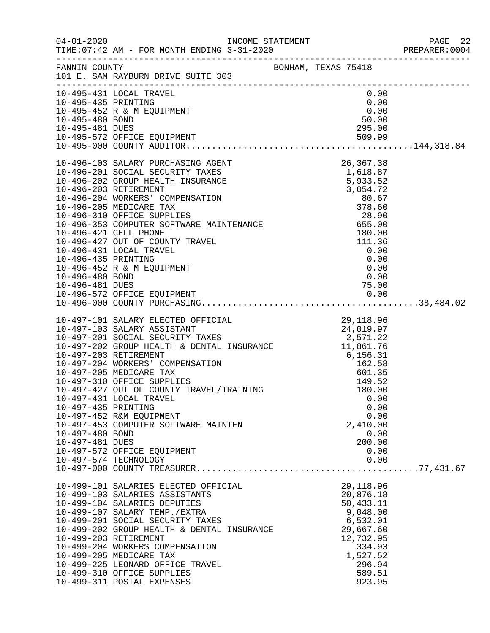|                                                           |                                                                                                                                                                                                                                                                                                                                                                                                                  |                                                                                                                                           | PREPARER: 0004 |
|-----------------------------------------------------------|------------------------------------------------------------------------------------------------------------------------------------------------------------------------------------------------------------------------------------------------------------------------------------------------------------------------------------------------------------------------------------------------------------------|-------------------------------------------------------------------------------------------------------------------------------------------|----------------|
|                                                           | FANNIN COUNTY<br>101 E. SAM RAYBURN DRIVE SUITE 303                                                                                                                                                                                                                                                                                                                                                              |                                                                                                                                           |                |
| 10-495-435 PRINTING<br>10-495-480 BOND<br>10-495-481 DUES | 10-495-431 LOCAL TRAVEL<br>10-495-452 R & M EQUIPMENT                                                                                                                                                                                                                                                                                                                                                            | 0.00<br>0.00<br>0.00<br>50.00<br>295.00                                                                                                   |                |
| 10-496-435 PRINTING<br>10-496-480 BOND<br>10-496-481 DUES | 10-496-452 R & M EQUIPMENT                                                                                                                                                                                                                                                                                                                                                                                       | 0.00<br>0.00<br>0.00<br>75.00                                                                                                             |                |
| 10-497-435 PRINTING<br>10-497-480 BOND<br>10-497-481 DUES | 10-497-431 LOCAL TRAVEL<br>10-497-452 R&M EQUIPMENT<br>10-497-453 COMPUTER SOFTWARE MAINTEN<br>10-497-572 OFFICE EQUIPMENT<br>10-497-574 TECHNOLOGY                                                                                                                                                                                                                                                              | 0.00<br>0.00<br>0.00<br>2,410.00<br>0.00<br>200.00<br>0.00<br>0.00                                                                        |                |
|                                                           | 10-499-101 SALARIES ELECTED OFFICIAL<br>10-499-103 SALARIES ASSISTANTS<br>10-499-104 SALARIES DEPUTIES<br>10-499-107 SALARY TEMP./EXTRA<br>10-499-201 SOCIAL SECURITY TAXES<br>10-499-202 GROUP HEALTH & DENTAL INSURANCE<br>10-499-203 RETIREMENT<br>10-499-204 WORKERS COMPENSATION<br>10-499-205 MEDICARE TAX<br>10-499-225 LEONARD OFFICE TRAVEL<br>10-499-310 OFFICE SUPPLIES<br>10-499-311 POSTAL EXPENSES | 29,118.96<br>20,876.18<br>50,433.11<br>9,048.00<br>6,532.01<br>29,667.60<br>12,732.95<br>334.93<br>1,527.52<br>296.94<br>589.51<br>923.95 |                |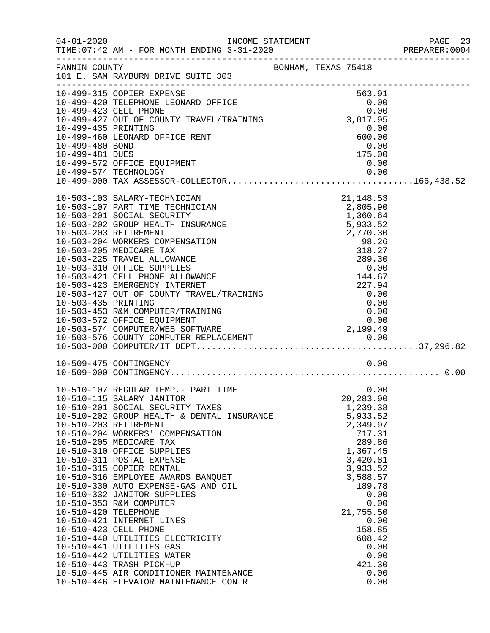|                                                     |                                                                                                                                                                                                                                                                                                                                                                                                                                                                                                                                                                                                                                                                                                                                                                                                                                                                                               |                                                                                                                              |                  | PAGE 23<br>PREPARER: 0004                                                                                                                                                                                                                                                                                                                                                                                                                                                                                                                                                                                                                                                                                                                  |
|-----------------------------------------------------|-----------------------------------------------------------------------------------------------------------------------------------------------------------------------------------------------------------------------------------------------------------------------------------------------------------------------------------------------------------------------------------------------------------------------------------------------------------------------------------------------------------------------------------------------------------------------------------------------------------------------------------------------------------------------------------------------------------------------------------------------------------------------------------------------------------------------------------------------------------------------------------------------|------------------------------------------------------------------------------------------------------------------------------|------------------|--------------------------------------------------------------------------------------------------------------------------------------------------------------------------------------------------------------------------------------------------------------------------------------------------------------------------------------------------------------------------------------------------------------------------------------------------------------------------------------------------------------------------------------------------------------------------------------------------------------------------------------------------------------------------------------------------------------------------------------------|
| FANNIN COUNTY<br>101 E. SAM RAYBURN DRIVE SUITE 303 |                                                                                                                                                                                                                                                                                                                                                                                                                                                                                                                                                                                                                                                                                                                                                                                                                                                                                               |                                                                                                                              |                  |                                                                                                                                                                                                                                                                                                                                                                                                                                                                                                                                                                                                                                                                                                                                            |
| 10-499-315 COPIER EXPENSE                           |                                                                                                                                                                                                                                                                                                                                                                                                                                                                                                                                                                                                                                                                                                                                                                                                                                                                                               |                                                                                                                              |                  |                                                                                                                                                                                                                                                                                                                                                                                                                                                                                                                                                                                                                                                                                                                                            |
|                                                     |                                                                                                                                                                                                                                                                                                                                                                                                                                                                                                                                                                                                                                                                                                                                                                                                                                                                                               |                                                                                                                              |                  |                                                                                                                                                                                                                                                                                                                                                                                                                                                                                                                                                                                                                                                                                                                                            |
| 10-499-460 LEONARD OFFICE RENT                      |                                                                                                                                                                                                                                                                                                                                                                                                                                                                                                                                                                                                                                                                                                                                                                                                                                                                                               |                                                                                                                              |                  |                                                                                                                                                                                                                                                                                                                                                                                                                                                                                                                                                                                                                                                                                                                                            |
| 10-499-481 DUES                                     |                                                                                                                                                                                                                                                                                                                                                                                                                                                                                                                                                                                                                                                                                                                                                                                                                                                                                               |                                                                                                                              |                  |                                                                                                                                                                                                                                                                                                                                                                                                                                                                                                                                                                                                                                                                                                                                            |
|                                                     |                                                                                                                                                                                                                                                                                                                                                                                                                                                                                                                                                                                                                                                                                                                                                                                                                                                                                               |                                                                                                                              |                  |                                                                                                                                                                                                                                                                                                                                                                                                                                                                                                                                                                                                                                                                                                                                            |
| 10-503-103 SALARY-TECHNICIAN                        |                                                                                                                                                                                                                                                                                                                                                                                                                                                                                                                                                                                                                                                                                                                                                                                                                                                                                               |                                                                                                                              |                  |                                                                                                                                                                                                                                                                                                                                                                                                                                                                                                                                                                                                                                                                                                                                            |
|                                                     |                                                                                                                                                                                                                                                                                                                                                                                                                                                                                                                                                                                                                                                                                                                                                                                                                                                                                               |                                                                                                                              |                  |                                                                                                                                                                                                                                                                                                                                                                                                                                                                                                                                                                                                                                                                                                                                            |
|                                                     |                                                                                                                                                                                                                                                                                                                                                                                                                                                                                                                                                                                                                                                                                                                                                                                                                                                                                               |                                                                                                                              |                  |                                                                                                                                                                                                                                                                                                                                                                                                                                                                                                                                                                                                                                                                                                                                            |
|                                                     |                                                                                                                                                                                                                                                                                                                                                                                                                                                                                                                                                                                                                                                                                                                                                                                                                                                                                               |                                                                                                                              |                  |                                                                                                                                                                                                                                                                                                                                                                                                                                                                                                                                                                                                                                                                                                                                            |
| 10-503-204 WORKERS COMPENSATION                     |                                                                                                                                                                                                                                                                                                                                                                                                                                                                                                                                                                                                                                                                                                                                                                                                                                                                                               |                                                                                                                              |                  |                                                                                                                                                                                                                                                                                                                                                                                                                                                                                                                                                                                                                                                                                                                                            |
| 10-503-205 MEDICARE TAX                             |                                                                                                                                                                                                                                                                                                                                                                                                                                                                                                                                                                                                                                                                                                                                                                                                                                                                                               |                                                                                                                              |                  |                                                                                                                                                                                                                                                                                                                                                                                                                                                                                                                                                                                                                                                                                                                                            |
|                                                     |                                                                                                                                                                                                                                                                                                                                                                                                                                                                                                                                                                                                                                                                                                                                                                                                                                                                                               |                                                                                                                              |                  |                                                                                                                                                                                                                                                                                                                                                                                                                                                                                                                                                                                                                                                                                                                                            |
|                                                     |                                                                                                                                                                                                                                                                                                                                                                                                                                                                                                                                                                                                                                                                                                                                                                                                                                                                                               |                                                                                                                              |                  |                                                                                                                                                                                                                                                                                                                                                                                                                                                                                                                                                                                                                                                                                                                                            |
|                                                     |                                                                                                                                                                                                                                                                                                                                                                                                                                                                                                                                                                                                                                                                                                                                                                                                                                                                                               |                                                                                                                              |                  |                                                                                                                                                                                                                                                                                                                                                                                                                                                                                                                                                                                                                                                                                                                                            |
|                                                     |                                                                                                                                                                                                                                                                                                                                                                                                                                                                                                                                                                                                                                                                                                                                                                                                                                                                                               |                                                                                                                              |                  |                                                                                                                                                                                                                                                                                                                                                                                                                                                                                                                                                                                                                                                                                                                                            |
| 10-503-435 PRINTING                                 |                                                                                                                                                                                                                                                                                                                                                                                                                                                                                                                                                                                                                                                                                                                                                                                                                                                                                               |                                                                                                                              |                  |                                                                                                                                                                                                                                                                                                                                                                                                                                                                                                                                                                                                                                                                                                                                            |
|                                                     |                                                                                                                                                                                                                                                                                                                                                                                                                                                                                                                                                                                                                                                                                                                                                                                                                                                                                               |                                                                                                                              |                  |                                                                                                                                                                                                                                                                                                                                                                                                                                                                                                                                                                                                                                                                                                                                            |
|                                                     |                                                                                                                                                                                                                                                                                                                                                                                                                                                                                                                                                                                                                                                                                                                                                                                                                                                                                               |                                                                                                                              |                  |                                                                                                                                                                                                                                                                                                                                                                                                                                                                                                                                                                                                                                                                                                                                            |
|                                                     |                                                                                                                                                                                                                                                                                                                                                                                                                                                                                                                                                                                                                                                                                                                                                                                                                                                                                               |                                                                                                                              |                  |                                                                                                                                                                                                                                                                                                                                                                                                                                                                                                                                                                                                                                                                                                                                            |
|                                                     |                                                                                                                                                                                                                                                                                                                                                                                                                                                                                                                                                                                                                                                                                                                                                                                                                                                                                               |                                                                                                                              |                  |                                                                                                                                                                                                                                                                                                                                                                                                                                                                                                                                                                                                                                                                                                                                            |
| 10-509-475 CONTINGENCY                              |                                                                                                                                                                                                                                                                                                                                                                                                                                                                                                                                                                                                                                                                                                                                                                                                                                                                                               |                                                                                                                              |                  |                                                                                                                                                                                                                                                                                                                                                                                                                                                                                                                                                                                                                                                                                                                                            |
|                                                     |                                                                                                                                                                                                                                                                                                                                                                                                                                                                                                                                                                                                                                                                                                                                                                                                                                                                                               |                                                                                                                              |                  |                                                                                                                                                                                                                                                                                                                                                                                                                                                                                                                                                                                                                                                                                                                                            |
|                                                     |                                                                                                                                                                                                                                                                                                                                                                                                                                                                                                                                                                                                                                                                                                                                                                                                                                                                                               |                                                                                                                              |                  |                                                                                                                                                                                                                                                                                                                                                                                                                                                                                                                                                                                                                                                                                                                                            |
|                                                     |                                                                                                                                                                                                                                                                                                                                                                                                                                                                                                                                                                                                                                                                                                                                                                                                                                                                                               |                                                                                                                              |                  |                                                                                                                                                                                                                                                                                                                                                                                                                                                                                                                                                                                                                                                                                                                                            |
|                                                     |                                                                                                                                                                                                                                                                                                                                                                                                                                                                                                                                                                                                                                                                                                                                                                                                                                                                                               |                                                                                                                              |                  |                                                                                                                                                                                                                                                                                                                                                                                                                                                                                                                                                                                                                                                                                                                                            |
| 10-510-203 RETIREMENT                               |                                                                                                                                                                                                                                                                                                                                                                                                                                                                                                                                                                                                                                                                                                                                                                                                                                                                                               |                                                                                                                              |                  |                                                                                                                                                                                                                                                                                                                                                                                                                                                                                                                                                                                                                                                                                                                                            |
|                                                     |                                                                                                                                                                                                                                                                                                                                                                                                                                                                                                                                                                                                                                                                                                                                                                                                                                                                                               |                                                                                                                              |                  |                                                                                                                                                                                                                                                                                                                                                                                                                                                                                                                                                                                                                                                                                                                                            |
|                                                     |                                                                                                                                                                                                                                                                                                                                                                                                                                                                                                                                                                                                                                                                                                                                                                                                                                                                                               |                                                                                                                              |                  |                                                                                                                                                                                                                                                                                                                                                                                                                                                                                                                                                                                                                                                                                                                                            |
|                                                     |                                                                                                                                                                                                                                                                                                                                                                                                                                                                                                                                                                                                                                                                                                                                                                                                                                                                                               |                                                                                                                              |                  |                                                                                                                                                                                                                                                                                                                                                                                                                                                                                                                                                                                                                                                                                                                                            |
| 10-510-315 COPIER RENTAL                            |                                                                                                                                                                                                                                                                                                                                                                                                                                                                                                                                                                                                                                                                                                                                                                                                                                                                                               |                                                                                                                              |                  |                                                                                                                                                                                                                                                                                                                                                                                                                                                                                                                                                                                                                                                                                                                                            |
|                                                     |                                                                                                                                                                                                                                                                                                                                                                                                                                                                                                                                                                                                                                                                                                                                                                                                                                                                                               |                                                                                                                              |                  |                                                                                                                                                                                                                                                                                                                                                                                                                                                                                                                                                                                                                                                                                                                                            |
|                                                     |                                                                                                                                                                                                                                                                                                                                                                                                                                                                                                                                                                                                                                                                                                                                                                                                                                                                                               |                                                                                                                              |                  |                                                                                                                                                                                                                                                                                                                                                                                                                                                                                                                                                                                                                                                                                                                                            |
|                                                     |                                                                                                                                                                                                                                                                                                                                                                                                                                                                                                                                                                                                                                                                                                                                                                                                                                                                                               |                                                                                                                              |                  |                                                                                                                                                                                                                                                                                                                                                                                                                                                                                                                                                                                                                                                                                                                                            |
|                                                     |                                                                                                                                                                                                                                                                                                                                                                                                                                                                                                                                                                                                                                                                                                                                                                                                                                                                                               |                                                                                                                              |                  |                                                                                                                                                                                                                                                                                                                                                                                                                                                                                                                                                                                                                                                                                                                                            |
| 10-510-421 INTERNET LINES                           |                                                                                                                                                                                                                                                                                                                                                                                                                                                                                                                                                                                                                                                                                                                                                                                                                                                                                               |                                                                                                                              |                  |                                                                                                                                                                                                                                                                                                                                                                                                                                                                                                                                                                                                                                                                                                                                            |
| 10-510-423 CELL PHONE                               |                                                                                                                                                                                                                                                                                                                                                                                                                                                                                                                                                                                                                                                                                                                                                                                                                                                                                               |                                                                                                                              |                  |                                                                                                                                                                                                                                                                                                                                                                                                                                                                                                                                                                                                                                                                                                                                            |
|                                                     |                                                                                                                                                                                                                                                                                                                                                                                                                                                                                                                                                                                                                                                                                                                                                                                                                                                                                               |                                                                                                                              |                  |                                                                                                                                                                                                                                                                                                                                                                                                                                                                                                                                                                                                                                                                                                                                            |
|                                                     |                                                                                                                                                                                                                                                                                                                                                                                                                                                                                                                                                                                                                                                                                                                                                                                                                                                                                               |                                                                                                                              |                  |                                                                                                                                                                                                                                                                                                                                                                                                                                                                                                                                                                                                                                                                                                                                            |
|                                                     |                                                                                                                                                                                                                                                                                                                                                                                                                                                                                                                                                                                                                                                                                                                                                                                                                                                                                               |                                                                                                                              |                  |                                                                                                                                                                                                                                                                                                                                                                                                                                                                                                                                                                                                                                                                                                                                            |
| 10-510-445 AIR CONDITIONER MAINTENANCE              |                                                                                                                                                                                                                                                                                                                                                                                                                                                                                                                                                                                                                                                                                                                                                                                                                                                                                               |                                                                                                                              |                  |                                                                                                                                                                                                                                                                                                                                                                                                                                                                                                                                                                                                                                                                                                                                            |
| 10-510-446 ELEVATOR MAINTENANCE CONTR               |                                                                                                                                                                                                                                                                                                                                                                                                                                                                                                                                                                                                                                                                                                                                                                                                                                                                                               |                                                                                                                              |                  |                                                                                                                                                                                                                                                                                                                                                                                                                                                                                                                                                                                                                                                                                                                                            |
|                                                     | 10-499-435 PRINTING<br>10-499-480 BOND<br>10-499-572 OFFICE EQUIPMENT<br>10-503-107 PART TIME TECHNICIAN<br>10-503-201 SOCIAL SECURITY<br>10-503-202 GROUP HEALTH INSURANCE<br>10-503-203 RETIREMENT<br>10-503-225 TRAVEL ALLOWANCE<br>10-503-310 OFFICE SUPPLIES<br>10-503-421 CELL PHONE ALLOWANCE<br>10-503-423 EMERGENCY INTERNET<br>10-503-453 R&M COMPUTER/TRAINING<br>10-503-572 OFFICE EQUIPMENT<br>10-510-107 REGULAR TEMP.- PART TIME<br>10-510-115 SALARY JANITOR<br>10-510-201 SOCIAL SECURITY TAXES<br>10-510-204 WORKERS' COMPENSATION<br>10-510-205 MEDICARE TAX<br>10-510-310 OFFICE SUPPLIES<br>10-510-311 POSTAL EXPENSE<br>10-510-330 AUTO EXPENSE-GAS AND OIL<br>10-510-332 JANITOR SUPPLIES<br>10-510-353 R&M COMPUTER<br>10-510-420 TELEPHONE<br>10-510-440 UTILITIES ELECTRICITY<br>10-510-441 UTILITIES GAS<br>10-510-442 UTILITIES WATER<br>10-510-443 TRASH PICK-UP | 10-503-427 OUT OF COUNTY TRAVEL/TRAINING<br>10-510-202 GROUP HEALTH & DENTAL INSURANCE<br>10-510-316 EMPLOYEE AWARDS BANQUET | INCOME STATEMENT | BONHAM, TEXAS 75418<br>563.91<br>10-499-315 COPIER EXPENSE<br>10-499-420 TELEPHONE LEONARD OFFICE 0.00<br>10-499-423 CELL PHONE 0.00<br>10-499-427 OUT OF COUNTY TRAVEL/TRAINING 3,017.95<br>0.00<br>600.00<br>0.00<br>175.00<br>0.00<br>10-499-574 TECHNOLOGY 0.00<br>10-499-000 TAX ASSESSOR-COLLECTOR166,438.52<br>21, 148.53<br>2,805.90<br>1,360.64<br>5,933.52<br>2,770.30<br>$2,770.30$<br>98.26<br>98.26<br>318.27<br>289.30<br>0.00<br>144.67<br>227.94<br>0.00<br>0.00<br>0.00<br>0.00<br>0.00<br>20,283.90<br>1,239.38<br>5,933.52<br>2,349.97<br>717.31<br>289.86<br>1,367.45<br>3,420.81<br>3,933.52<br>3,588.57<br>189.78<br>0.00<br>0.00<br>21,755.50<br>0.00<br>158.85<br>608.42<br>0.00<br>0.00<br>421.30<br>0.00<br>0.00 |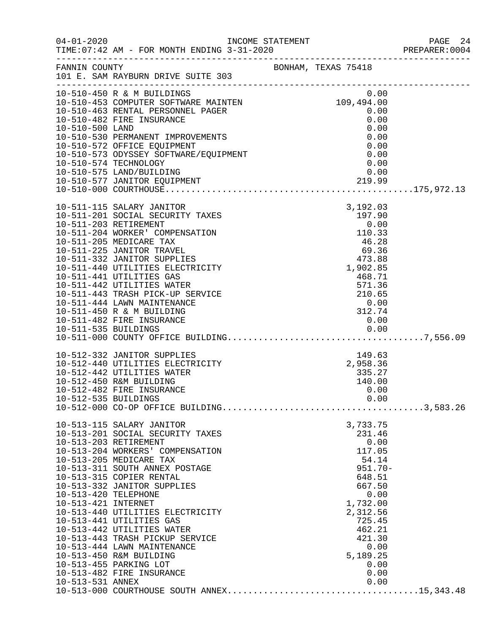|                                                                 |                                                                                                                                                                                                                                                                                                                                                                                                                                                                                                      |                                                                                                                                                                                           | PREPARER: 0004 |
|-----------------------------------------------------------------|------------------------------------------------------------------------------------------------------------------------------------------------------------------------------------------------------------------------------------------------------------------------------------------------------------------------------------------------------------------------------------------------------------------------------------------------------------------------------------------------------|-------------------------------------------------------------------------------------------------------------------------------------------------------------------------------------------|----------------|
|                                                                 | FANNIN COUNTY<br>101 E. SAM RAYBURN DRIVE SUITE 303                                                                                                                                                                                                                                                                                                                                                                                                                                                  |                                                                                                                                                                                           |                |
| 10-510-500 LAND                                                 | 10-510-450 R & M BUILDINGS<br>10-510-453 COMPUTER SOFTWARE MAINTEN<br>10-510-463 RENTAL PERSONNEL PAGER<br>10-510-482 FIRE INSURANCE<br>10-510-530 PERMANENT IMPROVEMENTS<br>10-510-572 OFFICE EQUIPMENT<br>10-510-573 ODYSSEY SOFTWARE/EQUIPMENT<br>10-510-574 TECHNOLOGY<br>10-510-575 LAND/BUILDING                                                                                                                                                                                               | 0.00<br>109,494.00<br>0.00<br>0.00<br>0.00<br>0.00<br>0.00<br>0.00<br>0.00<br>0.00                                                                                                        |                |
|                                                                 | 10-511-115 SALARY JANITOR<br>10-511-201 SOCIAL SECURITY TAXES<br>10-511-203 RETIREMENT<br>10-511-204 WORKER' COMPENSATION<br>10-511-205 MEDICARE TAX<br>10-511-225 JANITOR TRAVEL<br>10-511-332 JANITOR SUPPLIES<br>10-511-440 UTILITIES ELECTRICITY<br>10-511-441 UTILITIES GAS<br>10-511-442 UTILITIES WATER<br>10-511-443 TRASH PICK-UP SERVICE<br>10-511-444 LAWN MAINTENANCE<br>10-511-450 R & M BUILDING<br>10-511-482 FIRE INSURANCE                                                          | 3,192.03<br>197.90<br>0.00<br>110.33<br>$46.28$<br>$69.36$<br>$473.88$<br>1,902.85<br>468.71<br>571.36<br>210.65<br>0.00<br>312.74<br>0.00                                                |                |
| 10-512-535 BUILDINGS                                            | 10-512-332 JANITOR SUPPLIES<br>10-512-440 UTILITIES ELECTRICITY<br>10-512-442 UTILITIES WATER<br>10-512-450 R&M BUILDING<br>10-512-482 FIRE INSURANCE                                                                                                                                                                                                                                                                                                                                                | $149.63$<br>2,958.36<br>335.27<br>140.00<br>0.00<br>0.00                                                                                                                                  |                |
| 10-513-420 TELEPHONE<br>10-513-421 INTERNET<br>10-513-531 ANNEX | 10-513-115 SALARY JANITOR<br>10-513-201 SOCIAL SECURITY TAXES<br>10-513-203 RETIREMENT<br>10-513-204 WORKERS' COMPENSATION<br>10-513-205 MEDICARE TAX<br>10-513-311 SOUTH ANNEX POSTAGE<br>10-513-315 COPIER RENTAL<br>10-513-332 JANITOR SUPPLIES<br>10-513-440 UTILITIES ELECTRICITY<br>10-513-441 UTILITIES GAS<br>10-513-442 UTILITIES WATER<br>10-513-443 TRASH PICKUP SERVICE<br>10-513-444 LAWN MAINTENANCE<br>10-513-450 R&M BUILDING<br>10-513-455 PARKING LOT<br>10-513-482 FIRE INSURANCE | 3,733.75<br>231.46<br>0.00<br>117.05<br>54.14<br>$951.70 -$<br>648.51<br>667.50<br>0.00<br>1,732.00<br>2,312.56<br>725.45<br>462.21<br>421.30<br>0.00<br>5,189.25<br>0.00<br>0.00<br>0.00 |                |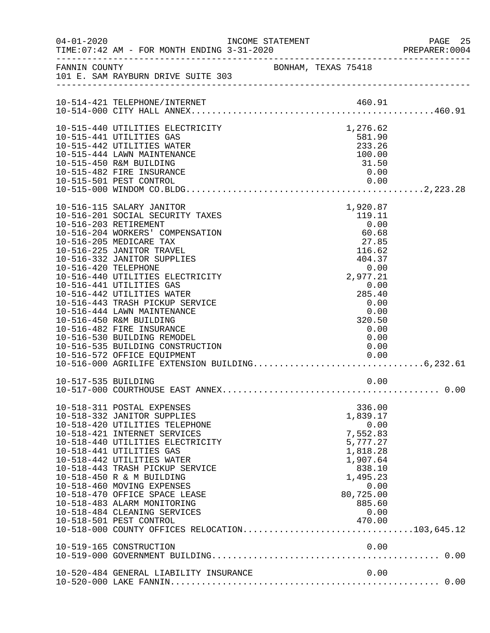| $04 - 01 - 2020$     | INCOME STATEMENT                                                                                                                                                                                                                                                                                                                                                                                                                                                                                                                            |  |                                                                                                                                                                  | PAGE 25<br>PREPARER: 0004 |
|----------------------|---------------------------------------------------------------------------------------------------------------------------------------------------------------------------------------------------------------------------------------------------------------------------------------------------------------------------------------------------------------------------------------------------------------------------------------------------------------------------------------------------------------------------------------------|--|------------------------------------------------------------------------------------------------------------------------------------------------------------------|---------------------------|
|                      | FANNIN COUNTY<br>101 E. SAM RAYBURN DRIVE SUITE 303                                                                                                                                                                                                                                                                                                                                                                                                                                                                                         |  |                                                                                                                                                                  |                           |
|                      | 10-514-421 TELEPHONE/INTERNET                                                                                                                                                                                                                                                                                                                                                                                                                                                                                                               |  |                                                                                                                                                                  |                           |
|                      | 10-515-440 UTILITIES ELECTRICITY<br>10-515-441 UTILITIES GAS                                                                                                                                                                                                                                                                                                                                                                                                                                                                                |  | 1,276.62<br>581.90                                                                                                                                               |                           |
|                      | 10-515-442 UTILITIES WATER<br>10-515-444 LAWN MAINTENANCE<br>10-515-450 R&M BUILDING                                                                                                                                                                                                                                                                                                                                                                                                                                                        |  | 233.26<br>100.00<br>31.50                                                                                                                                        |                           |
|                      | 10-515-482 FIRE INSURANCE                                                                                                                                                                                                                                                                                                                                                                                                                                                                                                                   |  | 0.00                                                                                                                                                             |                           |
|                      |                                                                                                                                                                                                                                                                                                                                                                                                                                                                                                                                             |  |                                                                                                                                                                  |                           |
| 10-516-420 TELEPHONE | 10-516-115 SALARY JANITOR<br>10-516-201 SOCIAL SECURITY TAXES<br>10-516-203 RETIREMENT<br>10-516-204 WORKERS' COMPENSATION<br>10-516-205 MEDICARE TAX<br>10-516-225 JANITOR TRAVEL<br>10-516-332 JANITOR SUPPLIES<br>10-516-440 UTILITIES ELECTRICITY<br>10-516-441 UTILITIES GAS<br>10-516-442 UTILITIES WATER<br>10-516-443 TRASH PICKUP SERVICE<br>10-516-444 LAWN MAINTENANCE<br>10-516-450 R&M BUILDING<br>10-516-482 FIRE INSURANCE<br>10-516-530 BUILDING REMODEL<br>10-516-535 BUILDING CONSTRUCTION<br>10-516-572 OFFICE EQUIPMENT |  | 1,920.87<br>119.11<br>0.00<br>60.68<br>27.85<br>116.62<br>404.37<br>0.00<br>2,977.21<br>0.00<br>285.40<br>0.00<br>0.00<br>320.50<br>0.00<br>0.00<br>0.00<br>0.00 |                           |
|                      |                                                                                                                                                                                                                                                                                                                                                                                                                                                                                                                                             |  |                                                                                                                                                                  |                           |
|                      | 10-518-311 POSTAL EXPENSES<br>10-518-332 JANITOR SUPPLIES<br>10-518-420 UTILITIES TELEPHONE<br>10-518-421 INTERNET SERVICES<br>10-518-440 UTILITIES ELECTRICITY<br>10-518-441 UTILITIES GAS<br>10-518-442 UTILITIES WATER<br>10-518-443 TRASH PICKUP SERVICE<br>10-518-450 R & M BUILDING<br>10-518-460 MOVING EXPENSES<br>10-518-470 OFFICE SPACE LEASE<br>10-518-483 ALARM MONITORING<br>10-518-484 CLEANING SERVICES<br>10-518-501 PEST CONTROL<br>10-518-000 COUNTY OFFICES RELOCATION103,645.12                                        |  | 336.00<br>1,839.17<br>0.00<br>7,552.83<br>5,777.27<br>1,818.28<br>1,907.64<br>838.10<br>1,495.23<br>0.00<br>80,725.00<br>885.60<br>0.00<br>470.00                |                           |
|                      | 10-520-484 GENERAL LIABILITY INSURANCE                                                                                                                                                                                                                                                                                                                                                                                                                                                                                                      |  | 0.00                                                                                                                                                             |                           |
|                      |                                                                                                                                                                                                                                                                                                                                                                                                                                                                                                                                             |  |                                                                                                                                                                  |                           |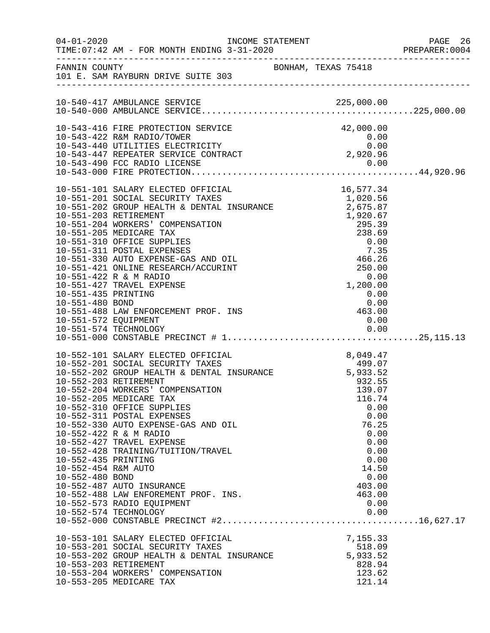| $04 - 01 - 2020$     | TIME:07:42 AM - FOR MONTH ENDING 3-31-2020 PREPARER:0004                                                                                                               | INCOME STATEMENT<br>2-21-2020 |            |           |              | PAGE 26<br>PREPARER: 0004 |
|----------------------|------------------------------------------------------------------------------------------------------------------------------------------------------------------------|-------------------------------|------------|-----------|--------------|---------------------------|
|                      | FANNIN COUNTY<br>101 E. SAM RAYBURN DRIVE SUITE 303                                                                                                                    |                               |            |           |              |                           |
|                      |                                                                                                                                                                        |                               |            |           |              |                           |
|                      |                                                                                                                                                                        |                               |            |           |              |                           |
|                      | 10-543-416 FIRE PROTECTION SERVICE                                                                                                                                     |                               |            | 42,000.00 |              |                           |
|                      | 10-543-422 R&M RADIO/TOWER<br>10-543-440 UTILITIES ELECTRICITY 0.00<br>10-543-447 REPEATER SERVICE CONTRACT 2,920.96<br>2,920.96<br>2,920.96                           |                               |            |           |              |                           |
|                      |                                                                                                                                                                        |                               |            |           |              |                           |
|                      |                                                                                                                                                                        |                               |            |           |              |                           |
|                      |                                                                                                                                                                        |                               |            |           |              |                           |
|                      |                                                                                                                                                                        |                               |            |           |              |                           |
|                      | 10-551-101 SALARY ELECTED OFFICIAL                                                                                                                                     |                               | 16, 577.34 |           |              |                           |
|                      |                                                                                                                                                                        |                               |            |           |              |                           |
|                      |                                                                                                                                                                        |                               |            |           |              |                           |
|                      |                                                                                                                                                                        |                               |            |           |              |                           |
|                      |                                                                                                                                                                        |                               |            |           |              |                           |
|                      |                                                                                                                                                                        |                               |            |           |              |                           |
|                      |                                                                                                                                                                        |                               |            |           |              |                           |
|                      |                                                                                                                                                                        |                               |            |           |              |                           |
|                      |                                                                                                                                                                        |                               |            |           |              |                           |
|                      | 10-551-422 R & M RADIO                                                                                                                                                 |                               |            | 0.00      |              |                           |
|                      | 10-551-427 TRAVEL EXPENSE                                                                                                                                              |                               | 1, 200.00  |           |              |                           |
| 10-551-435 PRINTING  |                                                                                                                                                                        |                               |            | 0.00      |              |                           |
|                      | 10-551-480 BOND 0.00<br>10-551-488 LAW ENFORCEMENT PROF. INS 463.00                                                                                                    |                               |            |           |              |                           |
|                      |                                                                                                                                                                        |                               |            |           |              |                           |
| 10-551-572 EQUIPMENT |                                                                                                                                                                        |                               |            | 0.00      |              |                           |
|                      |                                                                                                                                                                        |                               |            |           |              |                           |
|                      |                                                                                                                                                                        |                               |            |           |              |                           |
|                      | 10-552-101 SALARY ELECTED OFFICIAL 8,049.47<br>10-552-201 SOCIAL SECURITY TAXES 499.07<br>10-552-202 GROUP HEALTH & DENTAL INSURANCE 5,933.52<br>10-552-203 RETIREMENT |                               |            |           |              |                           |
|                      |                                                                                                                                                                        |                               |            |           |              |                           |
|                      |                                                                                                                                                                        |                               |            |           |              |                           |
|                      | 10-552-203 RETIREMENT                                                                                                                                                  |                               |            | 932.55    |              |                           |
|                      | 10-552-204 WORKERS' COMPENSATION                                                                                                                                       |                               |            | 139.07    |              |                           |
|                      | 10-552-205 MEDICARE TAX                                                                                                                                                |                               |            | 116.74    |              |                           |
|                      | 10-552-310 OFFICE SUPPLIES<br>10-552-311 POSTAL EXPENSES                                                                                                               |                               |            |           | 0.00<br>0.00 |                           |
|                      | 10-552-330 AUTO EXPENSE-GAS AND OIL                                                                                                                                    |                               |            | 76.25     |              |                           |
|                      | 10-552-422 R & M RADIO                                                                                                                                                 |                               |            |           | 0.00         |                           |
|                      | 10-552-427 TRAVEL EXPENSE                                                                                                                                              |                               |            |           | 0.00         |                           |
|                      | 10-552-428 TRAINING/TUITION/TRAVEL                                                                                                                                     |                               |            |           | 0.00         |                           |
| 10-552-435 PRINTING  |                                                                                                                                                                        |                               |            |           | 0.00         |                           |
| 10-552-454 R&M AUTO  |                                                                                                                                                                        |                               |            | 14.50     |              |                           |
| 10-552-480 BOND      |                                                                                                                                                                        |                               |            |           | 0.00         |                           |
|                      | 10-552-487 AUTO INSURANCE                                                                                                                                              |                               |            | 403.00    |              |                           |
|                      | 10-552-488 LAW ENFOREMENT PROF. INS.                                                                                                                                   |                               |            | 463.00    |              |                           |
|                      | 10-552-573 RADIO EQUIPMENT                                                                                                                                             |                               |            |           | 0.00         |                           |
|                      | 10-552-574 TECHNOLOGY                                                                                                                                                  |                               |            |           | 0.00         |                           |
|                      |                                                                                                                                                                        |                               |            |           |              |                           |
|                      | 10-553-101 SALARY ELECTED OFFICIAL                                                                                                                                     |                               |            | 7,155.33  |              |                           |
|                      | 10-553-201 SOCIAL SECURITY TAXES                                                                                                                                       |                               |            | 518.09    |              |                           |
|                      | 10-553-202 GROUP HEALTH & DENTAL INSURANCE                                                                                                                             |                               |            | 5,933.52  |              |                           |
|                      | 10-553-203 RETIREMENT                                                                                                                                                  |                               |            | 828.94    |              |                           |
|                      | 10-553-204 WORKERS' COMPENSATION                                                                                                                                       |                               |            | 123.62    |              |                           |
|                      | 10-553-205 MEDICARE TAX                                                                                                                                                |                               |            | 121.14    |              |                           |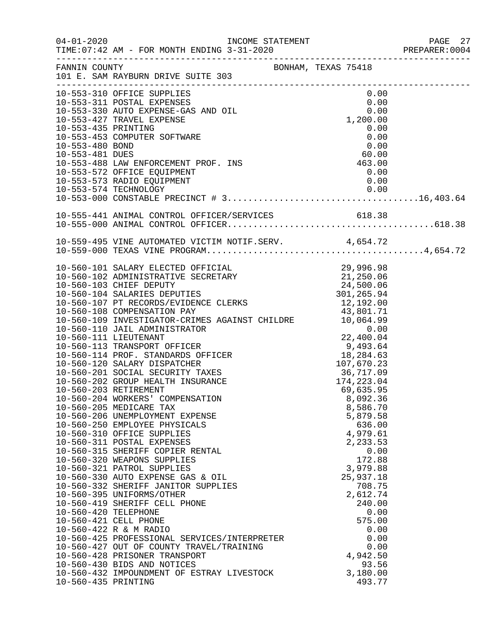| $04 - 01 - 2020$                                                       | INCOME STATEMENT                                                                                                                                                                                                                                                                                                                                                                                                                                                                                                                                                                                                                                                                                                                                                                                                                                                                                                                                                                                                                                                                        |                                                                                                                                                                                                                  | PAGE 27<br>PREPARER: 0004 |
|------------------------------------------------------------------------|-----------------------------------------------------------------------------------------------------------------------------------------------------------------------------------------------------------------------------------------------------------------------------------------------------------------------------------------------------------------------------------------------------------------------------------------------------------------------------------------------------------------------------------------------------------------------------------------------------------------------------------------------------------------------------------------------------------------------------------------------------------------------------------------------------------------------------------------------------------------------------------------------------------------------------------------------------------------------------------------------------------------------------------------------------------------------------------------|------------------------------------------------------------------------------------------------------------------------------------------------------------------------------------------------------------------|---------------------------|
| FANNIN COUNTY                                                          | BONHAM, TEXAS 75418<br>101 E. SAM RAYBURN DRIVE SUITE 303                                                                                                                                                                                                                                                                                                                                                                                                                                                                                                                                                                                                                                                                                                                                                                                                                                                                                                                                                                                                                               |                                                                                                                                                                                                                  |                           |
|                                                                        | 10-553-310 OFFICE SUPPLIES<br>10-553-310 OFFICE SUPPLIES<br>10-553-311 POSTAL EXPENSES 0.00<br>10-553-330 AUTO EXPENSE-GAS AND OIL 0.00<br>1,200.00                                                                                                                                                                                                                                                                                                                                                                                                                                                                                                                                                                                                                                                                                                                                                                                                                                                                                                                                     | 0.00                                                                                                                                                                                                             |                           |
| 10-553-435 PRINTING<br>10-553-480 BOND<br>10-553-481 DUES              | 10-553-453 COMPUTER SOFTWARE                                                                                                                                                                                                                                                                                                                                                                                                                                                                                                                                                                                                                                                                                                                                                                                                                                                                                                                                                                                                                                                            | 0.00<br>0.00<br>0.00<br>60.00                                                                                                                                                                                    |                           |
|                                                                        | 00.00<br>10-553-488 LAW ENFORCEMENT PROF. INS<br>10-553-572 OFFICE EQUIPMENT<br>10-553-573 RADIO EQUIPMENT                                                                                                                                                                                                                                                                                                                                                                                                                                                                                                                                                                                                                                                                                                                                                                                                                                                                                                                                                                              | 0.00                                                                                                                                                                                                             |                           |
|                                                                        |                                                                                                                                                                                                                                                                                                                                                                                                                                                                                                                                                                                                                                                                                                                                                                                                                                                                                                                                                                                                                                                                                         |                                                                                                                                                                                                                  |                           |
|                                                                        |                                                                                                                                                                                                                                                                                                                                                                                                                                                                                                                                                                                                                                                                                                                                                                                                                                                                                                                                                                                                                                                                                         |                                                                                                                                                                                                                  |                           |
| 10-560-203 RETIREMENT<br>10-560-420 TELEPHONE<br>10-560-421 CELL PHONE | 10-560-101 SALARY ELECTED OFFICIAL 29,996.98<br>10-560-102 ADMINISTRATIVE SECRETARY 21,250.06<br>10-560-103 CHIEF DEPUTY 24,500.06<br>10-560-104 SALARIES DEPUTIES 301,265.94<br>10-560-107 PT RECORDS/EVIDENCE CLERKS 12,192.00<br>10-5<br>10-560-109 INVESTIGATOR-CRIMES AGAINST CHILDRE<br>10-560-109 INVESTIGATOR-CRIMES AGAINST CHILDRE<br>10.064.99<br>10-560-111 LIEUTENANT<br>10-560-113 TRANSPORT OFFICER<br>10-560-113 TRANSPORT OFFICER<br>10-560-114 PROF. STANDARDS OFFIC<br>10-560-204 WORKERS' COMPENSATION<br>10-560-205 MEDICARE TAX<br>10-560-206 UNEMPLOYMENT EXPENSE<br>10-560-250 EMPLOYEE PHYSICALS<br>10-560-310 OFFICE SUPPLIES<br>10-560-311 POSTAL EXPENSES<br>10-560-315 SHERIFF COPIER RENTAL<br>10-560-320 WEAPONS SUPPLIES<br>10-560-321 PATROL SUPPLIES<br>10-560-330 AUTO EXPENSE GAS & OIL<br>10-560-332 SHERIFF JANITOR SUPPLIES<br>10-560-395 UNIFORMS/OTHER<br>10-560-419 SHERIFF CELL PHONE<br>10-560-422 R & M RADIO<br>10-560-425 PROFESSIONAL SERVICES/INTERPRETER<br>10-560-427 OUT OF COUNTY TRAVEL/TRAINING<br>10-560-428 PRISONER TRANSPORT | 69,635.95<br>8,092.36<br>8,586.70<br>5,879.58<br>636.00<br>4,979.61<br>2,233.53<br>0.00<br>172.88<br>3,979.88<br>25,937.18<br>708.75<br>2,612.74<br>240.00<br>0.00<br>575.00<br>0.00<br>0.00<br>0.00<br>4,942.50 |                           |
| 10-560-435 PRINTING                                                    | 10-560-430 BIDS AND NOTICES<br>10-560-432 IMPOUNDMENT OF ESTRAY LIVESTOCK                                                                                                                                                                                                                                                                                                                                                                                                                                                                                                                                                                                                                                                                                                                                                                                                                                                                                                                                                                                                               | 93.56<br>3,180.00<br>493.77                                                                                                                                                                                      |                           |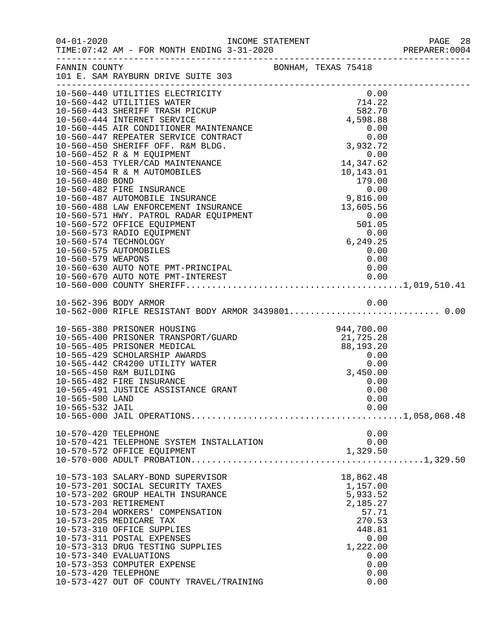| BONHAM, TEXAS 75418<br>FANNIN COUNTY<br>101 E. SAM RAYBURN DRIVE SUITE 303<br>10-560-440 UTILITIES ELECTRICITY<br>0.00<br>714.22<br>10-560-442 UTILITIES WATER<br>10-560-442 UTILITIES WATER<br>10-560-443 SHERIFF TRASH PICKUP<br>582.70<br>4,598.88<br>10-560-444 INTERNET SERVICE<br>NCE<br>T<br>T<br>(0.00<br>(0.00<br>(3,932.72<br>(3,932.72<br>10-560-445 AIR CONDITIONER MAINTENANCE<br>10-560-447 REPEATER SERVICE CONTRACT<br>10-560-450 SHERIFF OFF. R&M BLDG.<br>3,932.72<br>10-560-453 TYLER/CAD MAINTENANCE<br>10-560-453 TYLER/CAD MAINTENANCE<br>10-560-454 R & M AUTOMOBILES<br>10.143.01<br>10.143.01<br>10.143.01<br>10.143.01<br>10.143.01<br>10.143.01<br>10.143.01<br>10.143.01<br>10.143.01<br>10.143.01<br>10.1<br>10-560-579 WEAPONS<br>0.00<br>10-560-630 AUTO NOTE PMT-PRINCIPAL<br>0.00<br>10-562-396 BODY ARMOR<br>10-562-000 RIFLE RESISTANT BODY ARMOR 34398010.00<br>10-565-380 PRISONER HOUSING<br>10-565-400 PRISONER TRANSPORT/GUARD<br>10-565-405 PRISONER MEDICAL 88,193.20<br>10-565-429 SCHOLARSHIP AWARDS 0.00<br>10-565-442 CR4200 UTILITY WATER 0.00<br>10-565-450 R&M BUILDING 3 450 00<br>10-565-450 R&M BUILDING<br>3,450.00<br>10-565-482 FIRE INSURANCE<br>0.00<br>10-565-491 JUSTICE ASSISTANCE GRANT<br>0.00<br>10-565-500 LAND<br>0.00<br>10-565-532 JAIL<br>0.00<br>10-570-420 TELEPHONE<br>0.00<br>10-570-421 TELEPHONE SYSTEM INSTALLATION<br>0.00<br>1,329.50<br>10-570-572 OFFICE EQUIPMENT<br>18,862.48<br>10-573-103 SALARY-BOND SUPERVISOR<br>10-573-201 SOCIAL SECURITY TAXES<br>1,157.00<br>5,933.52<br>10-573-202 GROUP HEALTH INSURANCE<br>10-573-203 RETIREMENT<br>2,185.27<br>10-573-204 WORKERS' COMPENSATION<br>57.71<br>10-573-205 MEDICARE TAX<br>270.53<br>10-573-310 OFFICE SUPPLIES<br>448.81<br>10-573-311 POSTAL EXPENSES<br>0.00<br>10-573-313 DRUG TESTING SUPPLIES<br>1,222.00<br>10-573-340 EVALUATIONS<br>0.00<br>10-573-353 COMPUTER EXPENSE<br>0.00<br>10-573-420 TELEPHONE<br>0.00<br>0.00<br>10-573-427 OUT OF COUNTY TRAVEL/TRAINING | 04-01-2020<br>PAGE 28 INCOME STATEMENT PAGE 28 PREPARER:0004<br>PREPARER:0004 PREPARER:0004 PREPARER:0004 |  |  |
|------------------------------------------------------------------------------------------------------------------------------------------------------------------------------------------------------------------------------------------------------------------------------------------------------------------------------------------------------------------------------------------------------------------------------------------------------------------------------------------------------------------------------------------------------------------------------------------------------------------------------------------------------------------------------------------------------------------------------------------------------------------------------------------------------------------------------------------------------------------------------------------------------------------------------------------------------------------------------------------------------------------------------------------------------------------------------------------------------------------------------------------------------------------------------------------------------------------------------------------------------------------------------------------------------------------------------------------------------------------------------------------------------------------------------------------------------------------------------------------------------------------------------------------------------------------------------------------------------------------------------------------------------------------------------------------------------------------------------------------------------------------------------------------------------------------------------------------------------------------------------------------------------------------------------------------------------------------------------------------------------------------------|-----------------------------------------------------------------------------------------------------------|--|--|
|                                                                                                                                                                                                                                                                                                                                                                                                                                                                                                                                                                                                                                                                                                                                                                                                                                                                                                                                                                                                                                                                                                                                                                                                                                                                                                                                                                                                                                                                                                                                                                                                                                                                                                                                                                                                                                                                                                                                                                                                                        |                                                                                                           |  |  |
|                                                                                                                                                                                                                                                                                                                                                                                                                                                                                                                                                                                                                                                                                                                                                                                                                                                                                                                                                                                                                                                                                                                                                                                                                                                                                                                                                                                                                                                                                                                                                                                                                                                                                                                                                                                                                                                                                                                                                                                                                        |                                                                                                           |  |  |
|                                                                                                                                                                                                                                                                                                                                                                                                                                                                                                                                                                                                                                                                                                                                                                                                                                                                                                                                                                                                                                                                                                                                                                                                                                                                                                                                                                                                                                                                                                                                                                                                                                                                                                                                                                                                                                                                                                                                                                                                                        |                                                                                                           |  |  |
|                                                                                                                                                                                                                                                                                                                                                                                                                                                                                                                                                                                                                                                                                                                                                                                                                                                                                                                                                                                                                                                                                                                                                                                                                                                                                                                                                                                                                                                                                                                                                                                                                                                                                                                                                                                                                                                                                                                                                                                                                        |                                                                                                           |  |  |
|                                                                                                                                                                                                                                                                                                                                                                                                                                                                                                                                                                                                                                                                                                                                                                                                                                                                                                                                                                                                                                                                                                                                                                                                                                                                                                                                                                                                                                                                                                                                                                                                                                                                                                                                                                                                                                                                                                                                                                                                                        |                                                                                                           |  |  |
|                                                                                                                                                                                                                                                                                                                                                                                                                                                                                                                                                                                                                                                                                                                                                                                                                                                                                                                                                                                                                                                                                                                                                                                                                                                                                                                                                                                                                                                                                                                                                                                                                                                                                                                                                                                                                                                                                                                                                                                                                        |                                                                                                           |  |  |
|                                                                                                                                                                                                                                                                                                                                                                                                                                                                                                                                                                                                                                                                                                                                                                                                                                                                                                                                                                                                                                                                                                                                                                                                                                                                                                                                                                                                                                                                                                                                                                                                                                                                                                                                                                                                                                                                                                                                                                                                                        |                                                                                                           |  |  |
|                                                                                                                                                                                                                                                                                                                                                                                                                                                                                                                                                                                                                                                                                                                                                                                                                                                                                                                                                                                                                                                                                                                                                                                                                                                                                                                                                                                                                                                                                                                                                                                                                                                                                                                                                                                                                                                                                                                                                                                                                        |                                                                                                           |  |  |
|                                                                                                                                                                                                                                                                                                                                                                                                                                                                                                                                                                                                                                                                                                                                                                                                                                                                                                                                                                                                                                                                                                                                                                                                                                                                                                                                                                                                                                                                                                                                                                                                                                                                                                                                                                                                                                                                                                                                                                                                                        |                                                                                                           |  |  |
|                                                                                                                                                                                                                                                                                                                                                                                                                                                                                                                                                                                                                                                                                                                                                                                                                                                                                                                                                                                                                                                                                                                                                                                                                                                                                                                                                                                                                                                                                                                                                                                                                                                                                                                                                                                                                                                                                                                                                                                                                        |                                                                                                           |  |  |
|                                                                                                                                                                                                                                                                                                                                                                                                                                                                                                                                                                                                                                                                                                                                                                                                                                                                                                                                                                                                                                                                                                                                                                                                                                                                                                                                                                                                                                                                                                                                                                                                                                                                                                                                                                                                                                                                                                                                                                                                                        |                                                                                                           |  |  |
|                                                                                                                                                                                                                                                                                                                                                                                                                                                                                                                                                                                                                                                                                                                                                                                                                                                                                                                                                                                                                                                                                                                                                                                                                                                                                                                                                                                                                                                                                                                                                                                                                                                                                                                                                                                                                                                                                                                                                                                                                        |                                                                                                           |  |  |
|                                                                                                                                                                                                                                                                                                                                                                                                                                                                                                                                                                                                                                                                                                                                                                                                                                                                                                                                                                                                                                                                                                                                                                                                                                                                                                                                                                                                                                                                                                                                                                                                                                                                                                                                                                                                                                                                                                                                                                                                                        |                                                                                                           |  |  |
|                                                                                                                                                                                                                                                                                                                                                                                                                                                                                                                                                                                                                                                                                                                                                                                                                                                                                                                                                                                                                                                                                                                                                                                                                                                                                                                                                                                                                                                                                                                                                                                                                                                                                                                                                                                                                                                                                                                                                                                                                        |                                                                                                           |  |  |
|                                                                                                                                                                                                                                                                                                                                                                                                                                                                                                                                                                                                                                                                                                                                                                                                                                                                                                                                                                                                                                                                                                                                                                                                                                                                                                                                                                                                                                                                                                                                                                                                                                                                                                                                                                                                                                                                                                                                                                                                                        |                                                                                                           |  |  |
|                                                                                                                                                                                                                                                                                                                                                                                                                                                                                                                                                                                                                                                                                                                                                                                                                                                                                                                                                                                                                                                                                                                                                                                                                                                                                                                                                                                                                                                                                                                                                                                                                                                                                                                                                                                                                                                                                                                                                                                                                        |                                                                                                           |  |  |
|                                                                                                                                                                                                                                                                                                                                                                                                                                                                                                                                                                                                                                                                                                                                                                                                                                                                                                                                                                                                                                                                                                                                                                                                                                                                                                                                                                                                                                                                                                                                                                                                                                                                                                                                                                                                                                                                                                                                                                                                                        |                                                                                                           |  |  |
|                                                                                                                                                                                                                                                                                                                                                                                                                                                                                                                                                                                                                                                                                                                                                                                                                                                                                                                                                                                                                                                                                                                                                                                                                                                                                                                                                                                                                                                                                                                                                                                                                                                                                                                                                                                                                                                                                                                                                                                                                        |                                                                                                           |  |  |
|                                                                                                                                                                                                                                                                                                                                                                                                                                                                                                                                                                                                                                                                                                                                                                                                                                                                                                                                                                                                                                                                                                                                                                                                                                                                                                                                                                                                                                                                                                                                                                                                                                                                                                                                                                                                                                                                                                                                                                                                                        |                                                                                                           |  |  |
|                                                                                                                                                                                                                                                                                                                                                                                                                                                                                                                                                                                                                                                                                                                                                                                                                                                                                                                                                                                                                                                                                                                                                                                                                                                                                                                                                                                                                                                                                                                                                                                                                                                                                                                                                                                                                                                                                                                                                                                                                        |                                                                                                           |  |  |
|                                                                                                                                                                                                                                                                                                                                                                                                                                                                                                                                                                                                                                                                                                                                                                                                                                                                                                                                                                                                                                                                                                                                                                                                                                                                                                                                                                                                                                                                                                                                                                                                                                                                                                                                                                                                                                                                                                                                                                                                                        |                                                                                                           |  |  |
|                                                                                                                                                                                                                                                                                                                                                                                                                                                                                                                                                                                                                                                                                                                                                                                                                                                                                                                                                                                                                                                                                                                                                                                                                                                                                                                                                                                                                                                                                                                                                                                                                                                                                                                                                                                                                                                                                                                                                                                                                        |                                                                                                           |  |  |
|                                                                                                                                                                                                                                                                                                                                                                                                                                                                                                                                                                                                                                                                                                                                                                                                                                                                                                                                                                                                                                                                                                                                                                                                                                                                                                                                                                                                                                                                                                                                                                                                                                                                                                                                                                                                                                                                                                                                                                                                                        |                                                                                                           |  |  |
|                                                                                                                                                                                                                                                                                                                                                                                                                                                                                                                                                                                                                                                                                                                                                                                                                                                                                                                                                                                                                                                                                                                                                                                                                                                                                                                                                                                                                                                                                                                                                                                                                                                                                                                                                                                                                                                                                                                                                                                                                        |                                                                                                           |  |  |
|                                                                                                                                                                                                                                                                                                                                                                                                                                                                                                                                                                                                                                                                                                                                                                                                                                                                                                                                                                                                                                                                                                                                                                                                                                                                                                                                                                                                                                                                                                                                                                                                                                                                                                                                                                                                                                                                                                                                                                                                                        |                                                                                                           |  |  |
|                                                                                                                                                                                                                                                                                                                                                                                                                                                                                                                                                                                                                                                                                                                                                                                                                                                                                                                                                                                                                                                                                                                                                                                                                                                                                                                                                                                                                                                                                                                                                                                                                                                                                                                                                                                                                                                                                                                                                                                                                        |                                                                                                           |  |  |
|                                                                                                                                                                                                                                                                                                                                                                                                                                                                                                                                                                                                                                                                                                                                                                                                                                                                                                                                                                                                                                                                                                                                                                                                                                                                                                                                                                                                                                                                                                                                                                                                                                                                                                                                                                                                                                                                                                                                                                                                                        |                                                                                                           |  |  |
|                                                                                                                                                                                                                                                                                                                                                                                                                                                                                                                                                                                                                                                                                                                                                                                                                                                                                                                                                                                                                                                                                                                                                                                                                                                                                                                                                                                                                                                                                                                                                                                                                                                                                                                                                                                                                                                                                                                                                                                                                        |                                                                                                           |  |  |
|                                                                                                                                                                                                                                                                                                                                                                                                                                                                                                                                                                                                                                                                                                                                                                                                                                                                                                                                                                                                                                                                                                                                                                                                                                                                                                                                                                                                                                                                                                                                                                                                                                                                                                                                                                                                                                                                                                                                                                                                                        |                                                                                                           |  |  |
|                                                                                                                                                                                                                                                                                                                                                                                                                                                                                                                                                                                                                                                                                                                                                                                                                                                                                                                                                                                                                                                                                                                                                                                                                                                                                                                                                                                                                                                                                                                                                                                                                                                                                                                                                                                                                                                                                                                                                                                                                        |                                                                                                           |  |  |
|                                                                                                                                                                                                                                                                                                                                                                                                                                                                                                                                                                                                                                                                                                                                                                                                                                                                                                                                                                                                                                                                                                                                                                                                                                                                                                                                                                                                                                                                                                                                                                                                                                                                                                                                                                                                                                                                                                                                                                                                                        |                                                                                                           |  |  |
|                                                                                                                                                                                                                                                                                                                                                                                                                                                                                                                                                                                                                                                                                                                                                                                                                                                                                                                                                                                                                                                                                                                                                                                                                                                                                                                                                                                                                                                                                                                                                                                                                                                                                                                                                                                                                                                                                                                                                                                                                        |                                                                                                           |  |  |
|                                                                                                                                                                                                                                                                                                                                                                                                                                                                                                                                                                                                                                                                                                                                                                                                                                                                                                                                                                                                                                                                                                                                                                                                                                                                                                                                                                                                                                                                                                                                                                                                                                                                                                                                                                                                                                                                                                                                                                                                                        |                                                                                                           |  |  |
|                                                                                                                                                                                                                                                                                                                                                                                                                                                                                                                                                                                                                                                                                                                                                                                                                                                                                                                                                                                                                                                                                                                                                                                                                                                                                                                                                                                                                                                                                                                                                                                                                                                                                                                                                                                                                                                                                                                                                                                                                        |                                                                                                           |  |  |
|                                                                                                                                                                                                                                                                                                                                                                                                                                                                                                                                                                                                                                                                                                                                                                                                                                                                                                                                                                                                                                                                                                                                                                                                                                                                                                                                                                                                                                                                                                                                                                                                                                                                                                                                                                                                                                                                                                                                                                                                                        |                                                                                                           |  |  |
|                                                                                                                                                                                                                                                                                                                                                                                                                                                                                                                                                                                                                                                                                                                                                                                                                                                                                                                                                                                                                                                                                                                                                                                                                                                                                                                                                                                                                                                                                                                                                                                                                                                                                                                                                                                                                                                                                                                                                                                                                        |                                                                                                           |  |  |
|                                                                                                                                                                                                                                                                                                                                                                                                                                                                                                                                                                                                                                                                                                                                                                                                                                                                                                                                                                                                                                                                                                                                                                                                                                                                                                                                                                                                                                                                                                                                                                                                                                                                                                                                                                                                                                                                                                                                                                                                                        |                                                                                                           |  |  |
|                                                                                                                                                                                                                                                                                                                                                                                                                                                                                                                                                                                                                                                                                                                                                                                                                                                                                                                                                                                                                                                                                                                                                                                                                                                                                                                                                                                                                                                                                                                                                                                                                                                                                                                                                                                                                                                                                                                                                                                                                        |                                                                                                           |  |  |
|                                                                                                                                                                                                                                                                                                                                                                                                                                                                                                                                                                                                                                                                                                                                                                                                                                                                                                                                                                                                                                                                                                                                                                                                                                                                                                                                                                                                                                                                                                                                                                                                                                                                                                                                                                                                                                                                                                                                                                                                                        |                                                                                                           |  |  |
|                                                                                                                                                                                                                                                                                                                                                                                                                                                                                                                                                                                                                                                                                                                                                                                                                                                                                                                                                                                                                                                                                                                                                                                                                                                                                                                                                                                                                                                                                                                                                                                                                                                                                                                                                                                                                                                                                                                                                                                                                        |                                                                                                           |  |  |
|                                                                                                                                                                                                                                                                                                                                                                                                                                                                                                                                                                                                                                                                                                                                                                                                                                                                                                                                                                                                                                                                                                                                                                                                                                                                                                                                                                                                                                                                                                                                                                                                                                                                                                                                                                                                                                                                                                                                                                                                                        |                                                                                                           |  |  |
|                                                                                                                                                                                                                                                                                                                                                                                                                                                                                                                                                                                                                                                                                                                                                                                                                                                                                                                                                                                                                                                                                                                                                                                                                                                                                                                                                                                                                                                                                                                                                                                                                                                                                                                                                                                                                                                                                                                                                                                                                        |                                                                                                           |  |  |
|                                                                                                                                                                                                                                                                                                                                                                                                                                                                                                                                                                                                                                                                                                                                                                                                                                                                                                                                                                                                                                                                                                                                                                                                                                                                                                                                                                                                                                                                                                                                                                                                                                                                                                                                                                                                                                                                                                                                                                                                                        |                                                                                                           |  |  |
|                                                                                                                                                                                                                                                                                                                                                                                                                                                                                                                                                                                                                                                                                                                                                                                                                                                                                                                                                                                                                                                                                                                                                                                                                                                                                                                                                                                                                                                                                                                                                                                                                                                                                                                                                                                                                                                                                                                                                                                                                        |                                                                                                           |  |  |
|                                                                                                                                                                                                                                                                                                                                                                                                                                                                                                                                                                                                                                                                                                                                                                                                                                                                                                                                                                                                                                                                                                                                                                                                                                                                                                                                                                                                                                                                                                                                                                                                                                                                                                                                                                                                                                                                                                                                                                                                                        |                                                                                                           |  |  |
|                                                                                                                                                                                                                                                                                                                                                                                                                                                                                                                                                                                                                                                                                                                                                                                                                                                                                                                                                                                                                                                                                                                                                                                                                                                                                                                                                                                                                                                                                                                                                                                                                                                                                                                                                                                                                                                                                                                                                                                                                        |                                                                                                           |  |  |
|                                                                                                                                                                                                                                                                                                                                                                                                                                                                                                                                                                                                                                                                                                                                                                                                                                                                                                                                                                                                                                                                                                                                                                                                                                                                                                                                                                                                                                                                                                                                                                                                                                                                                                                                                                                                                                                                                                                                                                                                                        |                                                                                                           |  |  |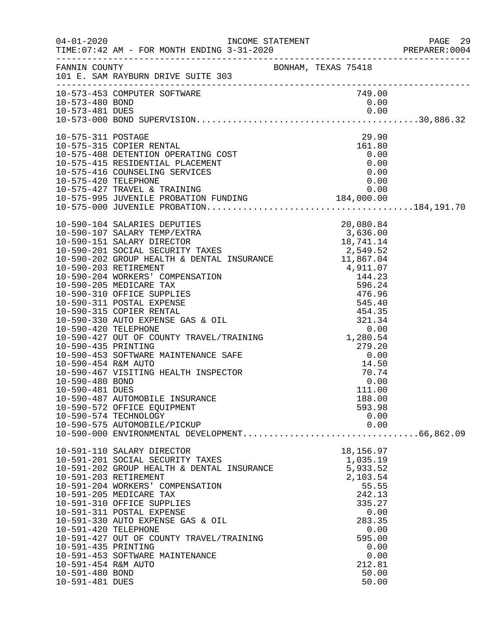|                      |                                                       |                                                                             | PREPARER: 0004 |
|----------------------|-------------------------------------------------------|-----------------------------------------------------------------------------|----------------|
|                      | FANNIN COUNTY<br>101 E. SAM RAYBURN DRIVE SUITE 303   |                                                                             |                |
|                      | 10-573-453 COMPUTER SOFTWARE                          | 749.00                                                                      |                |
| 10-573-480 BOND      |                                                       | 0.00                                                                        |                |
|                      |                                                       |                                                                             |                |
|                      |                                                       |                                                                             |                |
| 10-575-311 POSTAGE   |                                                       | 29.90                                                                       |                |
|                      | 10-575-315 COPIER RENTAL                              | 161.80                                                                      |                |
|                      | 10-575-408 DETENTION OPERATING COST                   | 0.00                                                                        |                |
|                      | 10-575-415 RESIDENTIAL PLACEMENT                      | 0.00                                                                        |                |
| 10-575-420 TELEPHONE | 10-575-416 COUNSELING SERVICES                        | 0.00<br>0.00                                                                |                |
|                      |                                                       |                                                                             |                |
|                      |                                                       |                                                                             |                |
|                      |                                                       |                                                                             |                |
|                      |                                                       |                                                                             |                |
|                      |                                                       |                                                                             |                |
|                      |                                                       |                                                                             |                |
|                      |                                                       |                                                                             |                |
|                      |                                                       |                                                                             |                |
|                      |                                                       |                                                                             |                |
|                      |                                                       |                                                                             |                |
|                      |                                                       |                                                                             |                |
|                      |                                                       |                                                                             |                |
|                      |                                                       |                                                                             |                |
|                      |                                                       |                                                                             |                |
|                      |                                                       |                                                                             |                |
|                      |                                                       |                                                                             |                |
| 10-590-435 PRINTING  |                                                       |                                                                             |                |
|                      | 10-590-453 SOFTWARE MAINTENANCE SAFE                  | $\begin{array}{r} -7279.20 \\ 279.20 \\ 0.00 \\ 14.50 \\ 70.74 \end{array}$ |                |
| 10-590-454 R&M AUTO  |                                                       |                                                                             |                |
|                      | 10-590-467 VISITING HEALTH INSPECTOR                  | $\frac{11.58}{70.74}$                                                       |                |
| 10-590-480 BOND      |                                                       | 0.00                                                                        |                |
| 10-590-481 DUES      |                                                       | 111.00                                                                      |                |
|                      | 10-590-487 AUTOMOBILE INSURANCE                       | 188.00                                                                      |                |
|                      | 10-590-572 OFFICE EQUIPMENT                           | 593.98                                                                      |                |
|                      | 10-590-574 TECHNOLOGY                                 | 0.00                                                                        |                |
|                      | 10-590-575 AUTOMOBILE/PICKUP                          | 0.00                                                                        |                |
|                      |                                                       |                                                                             |                |
|                      | 10-591-110 SALARY DIRECTOR                            | 18,156.97                                                                   |                |
|                      | 10-591-201 SOCIAL SECURITY TAXES                      | 1,035.19<br>5,933.52                                                        |                |
|                      | 10-591-202 GROUP HEALTH & DENTAL INSURANCE            |                                                                             |                |
|                      | 10-591-203 RETIREMENT                                 | 2,103.54                                                                    |                |
|                      | 10-591-204 WORKERS' COMPENSATION                      | 55.55                                                                       |                |
|                      | 10-591-205 MEDICARE TAX<br>10-591-310 OFFICE SUPPLIES | 242.13<br>335.27                                                            |                |
|                      | 10-591-311 POSTAL EXPENSE                             | 0.00                                                                        |                |
|                      | 10-591-330 AUTO EXPENSE GAS & OIL                     | 283.35                                                                      |                |
| 10-591-420 TELEPHONE |                                                       | 0.00                                                                        |                |
|                      | 10-591-427 OUT OF COUNTY TRAVEL/TRAINING              | 595.00                                                                      |                |
| 10-591-435 PRINTING  |                                                       | 0.00                                                                        |                |
|                      | 10-591-453 SOFTWARE MAINTENANCE                       | 0.00                                                                        |                |
| 10-591-454 R&M AUTO  |                                                       | 212.81                                                                      |                |
| 10-591-480 BOND      |                                                       | 50.00                                                                       |                |
| 10-591-481 DUES      |                                                       | 50.00                                                                       |                |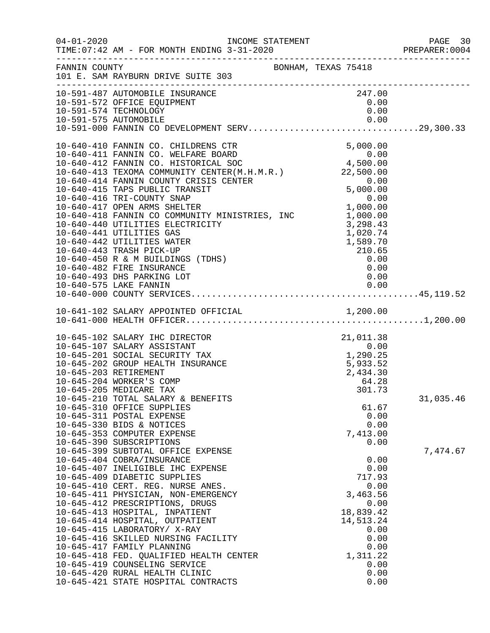|                       | INCOME STATEMENT                                                                                                                                                                                                                                                                                                                                                                                                                                                                                                                                                                                                                   |                    |                                                                                                                                          | PREPARER: 0004 |
|-----------------------|------------------------------------------------------------------------------------------------------------------------------------------------------------------------------------------------------------------------------------------------------------------------------------------------------------------------------------------------------------------------------------------------------------------------------------------------------------------------------------------------------------------------------------------------------------------------------------------------------------------------------------|--------------------|------------------------------------------------------------------------------------------------------------------------------------------|----------------|
|                       | FANNIN COUNTY<br>101 E. SAM RAYBURN DRIVE SUITE 303                                                                                                                                                                                                                                                                                                                                                                                                                                                                                                                                                                                |                    |                                                                                                                                          |                |
|                       | 10-591-487 AUTOMOBILE INSURANCE<br>10-591-572 OFFICE EQUIPMENT<br>10-591-574 TECHNOLOGY<br>10-591-575 AUTOMOBILE<br>10-591-000 FANNIN CO DEVELOPMENT SERV29,300.33                                                                                                                                                                                                                                                                                                                                                                                                                                                                 |                    | 247.00<br>0.00<br>0.00                                                                                                                   |                |
|                       | 10-640-410 FANNIN CO. CHILDRENS CTR<br>10-640-411 FANNIN CO. WELFARE BOARD 0.00<br>10-640-412 FANNIN CO. HISTORICAL SOC 4,500.00<br>10-640-413 TEXOMM COMMUNITY CENTER(M.H.M.R.) 22,500.00<br>10-640-414 FANNIN COUNTY CRISIS CENTER<br>10-640-415 TAPS PUBLIC TRANSIT<br>10-040-416 TRI-COUNTY SNAP<br>10-640-417 OPEN ARMS SHELTER 1,000.00<br>10-640-418 FANNIN CO COMMUNITY MINISTRIES, INC 1,000.00<br>10-640-440 UTILITIES ELECTRICITY<br>10-640-441 UTILITIES GAS<br>10-640-442 UTILITIES WATER<br>10-640-443 TRASH PICK-UP<br>10-640-450 R & M BUILDINGS (TDHS)<br>10-640-482 FIRE INSURANCE<br>10-640-493 DHS PARKING LOT | $0.00$<br>5,000.00 | 3,298.43<br>1,020.74<br>$1,589.70$<br>210.65<br>0.00<br>0.00<br>0.00                                                                     |                |
|                       |                                                                                                                                                                                                                                                                                                                                                                                                                                                                                                                                                                                                                                    |                    |                                                                                                                                          |                |
| 10-645-203 RETIREMENT | 10-645-102 SALARY IHC DIRECTOR<br>21, 011.38<br>0.00<br>0.00<br>1, 290.25<br>5, 933.52<br>10-645-107 SALARY ASSISTANT<br>10-645-201 SOCIAL SECURITY TAX<br>10-645-202 GROUP HEALTH INSURANCE<br>10-645-204 WORKER'S COMP<br>10-645-205 MEDICARE TAX<br>10-645-210 TOTAL SALARY & BENEFITS<br>10-645-310 OFFICE SUPPLIES                                                                                                                                                                                                                                                                                                            |                    | 2,434.30<br>64.28<br>301.73<br>61.67                                                                                                     | 31,035.46      |
|                       | 10-645-311 POSTAL EXPENSE<br>10-645-330 BIDS & NOTICES<br>10-645-353 COMPUTER EXPENSE<br>10-645-390 SUBSCRIPTIONS<br>10-645-399 SUBTOTAL OFFICE EXPENSE                                                                                                                                                                                                                                                                                                                                                                                                                                                                            |                    | 0.00<br>0.00<br>7,413.00<br>0.00                                                                                                         | 7,474.67       |
|                       | 10-645-404 COBRA/INSURANCE<br>10-645-407 INELIGIBLE IHC EXPENSE<br>10-645-409 DIABETIC SUPPLIES<br>10-645-410 CERT. REG. NURSE ANES.<br>10-645-411 PHYSICIAN, NON-EMERGENCY<br>10-645-412 PRESCRIPTIONS, DRUGS<br>10-645-413 HOSPITAL, INPATIENT<br>10-645-414 HOSPITAL, OUTPATIENT<br>10-645-415 LABORATORY/ X-RAY<br>10-645-416 SKILLED NURSING FACILITY<br>10-645-417 FAMILY PLANNING<br>10-645-418 FED. QUALIFIED HEALTH CENTER<br>10-645-419 COUNSELING SERVICE<br>10-645-420 RURAL HEALTH CLINIC<br>10-645-421 STATE HOSPITAL CONTRACTS                                                                                      |                    | 0.00<br>0.00<br>717.93<br>0.00<br>3,463.56<br>0.00<br>18,839.42<br>14,513.24<br>0.00<br>0.00<br>0.00<br>1,311.22<br>0.00<br>0.00<br>0.00 |                |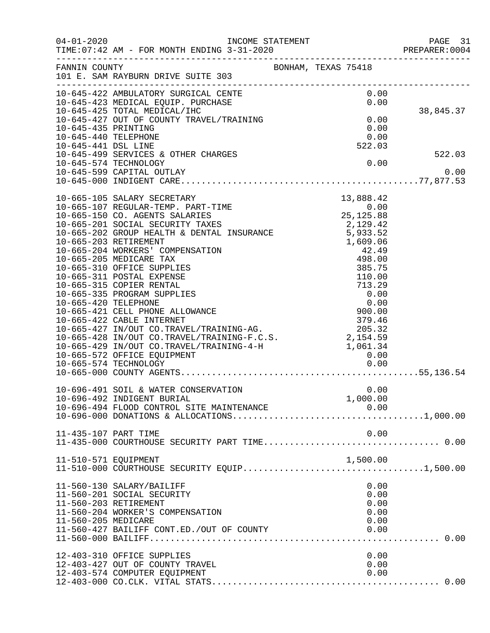| $04 - 01 - 2020$                            | INCOME STATEMENT<br>TIME: 07:42 AM - FOR MONTH ENDING 3-31-2020                                                                                                                                                                                                                                                                                                                                                                                                                                                                                                                                     |                                              | PAGE 31<br>PREPARER: 0004 |
|---------------------------------------------|-----------------------------------------------------------------------------------------------------------------------------------------------------------------------------------------------------------------------------------------------------------------------------------------------------------------------------------------------------------------------------------------------------------------------------------------------------------------------------------------------------------------------------------------------------------------------------------------------------|----------------------------------------------|---------------------------|
| FANNIN COUNTY                               | BONHAM, TEXAS 75418                                                                                                                                                                                                                                                                                                                                                                                                                                                                                                                                                                                 |                                              |                           |
|                                             |                                                                                                                                                                                                                                                                                                                                                                                                                                                                                                                                                                                                     | 0.00<br>0.00                                 | 38,845.37                 |
| 10-645-435 PRINTING<br>10-645-440 TELEPHONE |                                                                                                                                                                                                                                                                                                                                                                                                                                                                                                                                                                                                     | 0.00<br>0.00<br>0.00                         |                           |
| 10-645-441 DSL LINE                         | 10-645-499 SERVICES & OTHER CHARGES<br>10-645-574 TECHNOLOGY<br>10-645-599 CAPITAL OUTLAY                                                                                                                                                                                                                                                                                                                                                                                                                                                                                                           | 522.03<br>0.00                               | 522.03<br>0.00            |
|                                             |                                                                                                                                                                                                                                                                                                                                                                                                                                                                                                                                                                                                     |                                              |                           |
|                                             | 10-665-105 SALARY SECRETARY<br>10-665-107 REGULAR-TEMP. PART-TIME<br>10-665-150 CO. AGENTS SALARIES<br>10-665-150 CO. AGENTS SALARIES<br>10-665-201 SOCIAL SECURITY TAXES<br>10-665-202 GROUP HEALTH & DENTAL INSURANCE<br>10-665-203 RETIREMENT<br>10-665-204 WORKERS' COMPENSATION<br>10-665-205 MEDICARE TAX<br>10-665-310 OFFICE SUPPLIES<br>10<br>10-665-335 PROGRAM SUPPLIES<br>10-665-420 TELEPHONE<br>10-665-421 CELL PHONE ALLOWANCE<br>10-665-421 CELL PHONE ALLOWANCE<br>10-665-422 CABLE INTERNET<br>10-665-427 IN/OUT CO.TRAVEL/TRAINING-AG.<br>205.32<br>10-665-429 IN/OUT CO.TRAVEL/ | $13,888.42$<br>0.00<br>25,125.88             |                           |
|                                             | 10-696-491 SOIL & WATER CONSERVATION<br>10-696-492 INDIGENT BURIAL<br>10-696-494 FLOOD CONTROL SITE MAINTENANCE                                                                                                                                                                                                                                                                                                                                                                                                                                                                                     | 0.00<br>1,000.00                             |                           |
| 11-435-107 PART TIME                        |                                                                                                                                                                                                                                                                                                                                                                                                                                                                                                                                                                                                     | 0.00                                         |                           |
| 11-510-571 EQUIPMENT                        |                                                                                                                                                                                                                                                                                                                                                                                                                                                                                                                                                                                                     | 1,500.00                                     |                           |
| 11-560-205 MEDICARE                         | 11-560-130 SALARY/BAILIFF<br>11-560-201 SOCIAL SECURITY<br>11-560-203 RETIREMENT<br>11-560-204 WORKER'S COMPENSATION<br>11-560-427 BAILIFF CONT.ED./OUT OF COUNTY                                                                                                                                                                                                                                                                                                                                                                                                                                   | 0.00<br>0.00<br>0.00<br>0.00<br>0.00<br>0.00 |                           |
|                                             | 12-403-310 OFFICE SUPPLIES<br>12-403-427 OUT OF COUNTY TRAVEL<br>12-403-574 COMPUTER EQUIPMENT                                                                                                                                                                                                                                                                                                                                                                                                                                                                                                      | 0.00<br>0.00<br>0.00                         |                           |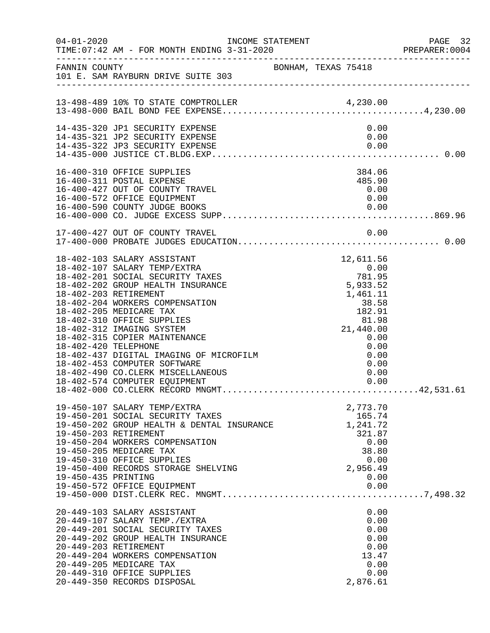| $04 - 01 - 2020$     | INCOME STATEMENT                                                                                                                                                                                                                                                                                                                                                                                                                                                                                  |                                                                                                                                                                          | PAGE 32<br>PREPARER: 0004 |
|----------------------|---------------------------------------------------------------------------------------------------------------------------------------------------------------------------------------------------------------------------------------------------------------------------------------------------------------------------------------------------------------------------------------------------------------------------------------------------------------------------------------------------|--------------------------------------------------------------------------------------------------------------------------------------------------------------------------|---------------------------|
|                      | FANNIN COUNTY BONHAM, TEXAS 75418<br>101 E. SAM RAYBURN DRIVE SUITE 303                                                                                                                                                                                                                                                                                                                                                                                                                           |                                                                                                                                                                          |                           |
|                      |                                                                                                                                                                                                                                                                                                                                                                                                                                                                                                   |                                                                                                                                                                          |                           |
|                      | 14-435-320 JP1 SECURITY EXPENSE<br>14-435-321 JP2 SECURITY EXPENSE                                                                                                                                                                                                                                                                                                                                                                                                                                | 0.00<br>0.00                                                                                                                                                             |                           |
|                      | 16-400-310 OFFICE SUPPLIES<br>16-400-311 POSTAL EXPENSE<br>16-400-427 OUT OF COUNTY TRAVEL<br>16-400-572 OFFICE EQUIPMENT                                                                                                                                                                                                                                                                                                                                                                         | 384.06<br>485.90<br>0.00<br>0.00                                                                                                                                         |                           |
|                      | 17-400-427 OUT OF COUNTY TRAVEL                                                                                                                                                                                                                                                                                                                                                                                                                                                                   | 0.00                                                                                                                                                                     |                           |
| 18-402-420 TELEPHONE | 18-402-103 SALARY ASSISTANT<br>18-402-107 SALARY TEMP/EXTRA<br>18-402-201 SOCIAL SECURITY TAXES<br>18-402-202 GROUP HEALTH INSURANCE<br>18-402-203 RETIREMENT<br>18-402-204 WORKERS COMPENSATION<br>18-402-205 MEDICARE TAX<br>18-402-310 OFFICE SUPPLIES<br>18-402-312 IMAGING SYSTEM<br>18-402-315 COPIER MAINTENANCE<br>18-402-420 TELEPHONE<br>18-402-437 DIGITAL IMAGING OF MICROFILM<br>18-402-453 COMPUTER SOFTWARE<br>18-402-490 CO. CLERK MISCELLANEOUS<br>18-402-574 COMPUTER EQUIPMENT | 12,611.56<br>$12,011.50$<br>0.00<br>781.95<br>5,933.52<br>1,461.11<br>38.58<br>182.91<br>81.98<br>21,440.00<br>21,440.00<br>0.00<br>0.00<br>0.00<br>0.00<br>0.00<br>0.00 |                           |
| 19-450-435 PRINTING  | 19-450-107 SALARY TEMP/EXTRA<br>19-450-201 SOCIAL SECURITY TAXES<br>19-450-202 GROUP HEALTH & DENTAL INSURANCE<br>19-450-203 RETIREMENT<br>19-450-204 WORKERS COMPENSATION<br>19-450-205 MEDICARE TAX<br>19-450-310 OFFICE SUPPLIES<br>19-450-400 RECORDS STORAGE SHELVING<br>19-450-572 OFFICE EQUIPMENT                                                                                                                                                                                         | 2,773.70<br>165.74<br>1,241.72<br>321.87<br>0.00<br>38.80<br>0.00<br>2,956.49<br>0.00<br>0.00                                                                            |                           |
|                      | 20-449-103 SALARY ASSISTANT<br>20-449-107 SALARY TEMP./EXTRA<br>20-449-201 SOCIAL SECURITY TAXES<br>20-449-202 GROUP HEALTH INSURANCE<br>20-449-203 RETIREMENT<br>20-449-204 WORKERS COMPENSATION<br>20-449-205 MEDICARE TAX<br>20-449-310 OFFICE SUPPLIES<br>20-449-350 RECORDS DISPOSAL                                                                                                                                                                                                         | 0.00<br>0.00<br>0.00<br>0.00<br>0.00<br>13.47<br>0.00<br>0.00<br>2,876.61                                                                                                |                           |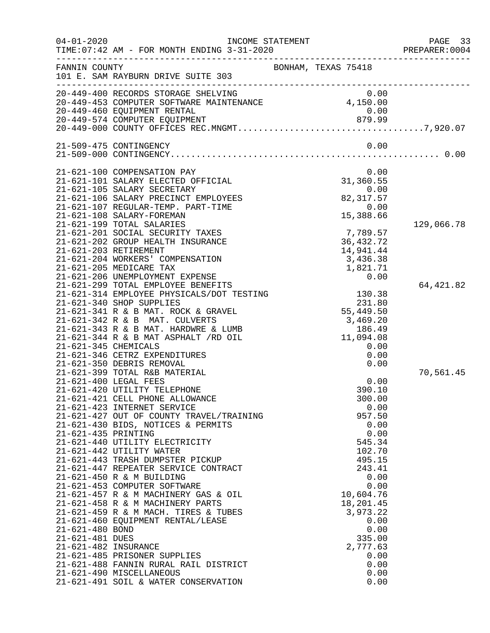| $04 - 01 - 2020$     | INCOME STATEMENT<br>TIME: 07:42 AM - FOR MONTH ENDING 3-31-2020        | PREPARE<br>---------------------------------- | PAGE 33<br>PREPARER: 0004 |
|----------------------|------------------------------------------------------------------------|-----------------------------------------------|---------------------------|
| FANNIN COUNTY        | 101 E. SAM RAYBURN DRIVE SUITE 303                                     | BONHAM, TEXAS 75418                           |                           |
|                      |                                                                        |                                               |                           |
|                      | 20-449-460 EQUIPMENT RENTAL                                            | 0.00                                          |                           |
|                      |                                                                        |                                               |                           |
|                      |                                                                        |                                               |                           |
|                      | 21-509-475 CONTINGENCY                                                 | 0.00                                          |                           |
|                      |                                                                        |                                               |                           |
|                      |                                                                        |                                               |                           |
|                      | 21-621-100 COMPENSATION PAY<br>21-621-101 SALARY ELECTED OFFICIAL      | 0.00<br>31,360.55                             |                           |
|                      | 21-621-105 SALARY SECRETARY                                            | 0.00                                          |                           |
|                      | 21-621-106 SALARY PRECINCT EMPLOYEES                                   | 82, 317.57                                    |                           |
|                      | 21-621-107 REGULAR-TEMP. PART-TIME                                     | 0.00                                          |                           |
|                      | 21-621-108 SALARY-FOREMAN                                              | 15,388.66                                     |                           |
|                      | 21-621-199 TOTAL SALARIES                                              |                                               | 129,066.78                |
|                      | 21-621-201 SOCIAL SECURITY TAXES                                       | 7,789.57                                      |                           |
|                      | 21-621-202 GROUP HEALTH INSURANCE<br>21-621-203 RETIREMENT             | 36, 432. 72<br>14,941.44                      |                           |
|                      | 21-621-204 WORKERS' COMPENSATION                                       | 3,436.38                                      |                           |
|                      | 21-621-205 MEDICARE TAX                                                | 1,821.71                                      |                           |
|                      | 21-621-206 UNEMPLOYMENT EXPENSE                                        | 0.00                                          |                           |
|                      | 21-621-299 TOTAL EMPLOYEE BENEFITS                                     |                                               | 64, 421.82                |
|                      | 21-621-314 EMPLOYEE PHYSICALS/DOT TESTING                              | 130.38                                        |                           |
|                      | 21-621-340 SHOP SUPPLIES                                               | 231.80                                        |                           |
|                      | 21-621-341 R & B MAT. ROCK & GRAVEL                                    | 55,449.50                                     |                           |
|                      | 21-621-342 R & B MAT. CULVERTS<br>21-621-343 R & B MAT. HARDWRE & LUMB | 3,469.20<br>186.49                            |                           |
|                      | $21-621-344$ R & B MAT ASPHALT $/RD$ OIL                               | 11,094.08                                     |                           |
| 21-621-345 CHEMICALS |                                                                        | 0.00                                          |                           |
|                      | 21-621-346 CETRZ EXPENDITURES                                          | 0.00                                          |                           |
|                      | 21-621-350 DEBRIS REMOVAL                                              | 0.00                                          |                           |
|                      | 21-621-399 TOTAL R&B MATERIAL                                          |                                               | 70,561.45                 |
|                      | 21-621-400 LEGAL FEES                                                  | 0.00                                          |                           |
|                      | 21-621-420 UTILITY TELEPHONE                                           | 390.10                                        |                           |
|                      | 21-621-421 CELL PHONE ALLOWANCE<br>21-621-423 INTERNET SERVICE         | 300.00<br>0.00                                |                           |
|                      | 21-621-427 OUT OF COUNTY TRAVEL/TRAINING                               | 957.50                                        |                           |
|                      | 21-621-430 BIDS, NOTICES & PERMITS                                     | 0.00                                          |                           |
| 21-621-435 PRINTING  |                                                                        | 0.00                                          |                           |
|                      | 21-621-440 UTILITY ELECTRICITY                                         | 545.34                                        |                           |
|                      | 21-621-442 UTILITY WATER                                               | 102.70                                        |                           |
|                      | 21-621-443 TRASH DUMPSTER PICKUP                                       | 495.15                                        |                           |
|                      | 21-621-447 REPEATER SERVICE CONTRACT                                   | 243.41                                        |                           |
|                      | 21-621-450 R & M BUILDING<br>21-621-453 COMPUTER SOFTWARE              | 0.00<br>0.00                                  |                           |
|                      | 21-621-457 R & M MACHINERY GAS & OIL                                   | 10,604.76                                     |                           |
|                      | 21-621-458 R & M MACHINERY PARTS                                       | 18,201.45                                     |                           |
|                      | 21-621-459 R & M MACH. TIRES & TUBES                                   | 3,973.22                                      |                           |
|                      | 21-621-460 EQUIPMENT RENTAL/LEASE                                      | 0.00                                          |                           |
| 21-621-480 BOND      |                                                                        | 0.00                                          |                           |
| 21-621-481 DUES      |                                                                        | 335.00                                        |                           |
| 21-621-482 INSURANCE |                                                                        | 2,777.63                                      |                           |
|                      | 21-621-485 PRISONER SUPPLIES<br>21-621-488 FANNIN RURAL RAIL DISTRICT  | 0.00<br>0.00                                  |                           |
|                      | 21-621-490 MISCELLANEOUS                                               | 0.00                                          |                           |
|                      | 21-621-491 SOIL & WATER CONSERVATION                                   | 0.00                                          |                           |
|                      |                                                                        |                                               |                           |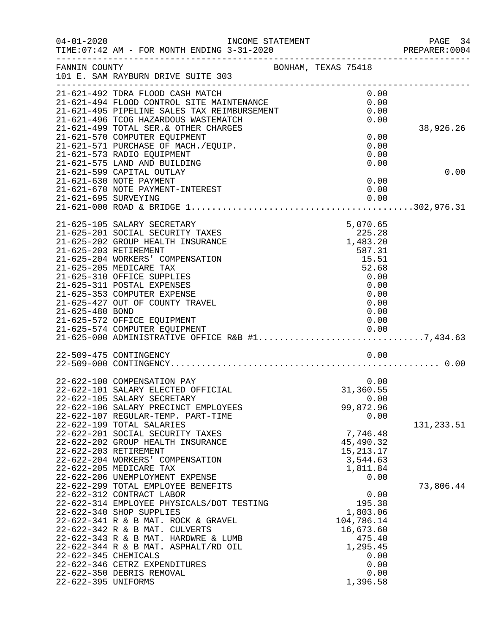| $04 - 01 - 2020$                            | INCOME STATEMENT<br>TIME: 07:42 AM - FOR MONTH ENDING 3-31-2020<br>--------------------------------------                                                                                                                                                                                                                 |                                                                                                                 | PAGE 34<br>PREPARER:0004 |
|---------------------------------------------|---------------------------------------------------------------------------------------------------------------------------------------------------------------------------------------------------------------------------------------------------------------------------------------------------------------------------|-----------------------------------------------------------------------------------------------------------------|--------------------------|
| FANNIN COUNTY                               | BONHAM, TEXAS 75418<br>101 E. SAM RAYBURN DRIVE SUITE 303                                                                                                                                                                                                                                                                 |                                                                                                                 |                          |
|                                             | 21-621-492 TDRA FLOOD CASH MATCH<br>21-621-494 FLOOD CONTROL SITE MAINTENANCE<br>21-621-495 PIPELINE SALES TAX REIMBURSEMENT                                                                                                                                                                                              | 0.00<br>0.00<br>0.00                                                                                            |                          |
|                                             | 21-621-496 TCOG HAZARDOUS WASTEMATCH<br>21-621-499 TOTAL SER. & OTHER CHARGES                                                                                                                                                                                                                                             | 0.00                                                                                                            | 38,926.26                |
|                                             | 21-621-570 COMPUTER EQUIPMENT<br>21-621-571 PURCHASE OF MACH./EQUIP.<br>21-621-573 RADIO EQUIPMENT                                                                                                                                                                                                                        | 0.00<br>0.00<br>0.00                                                                                            |                          |
|                                             | 21-621-575 LAND AND BUILDING                                                                                                                                                                                                                                                                                              | 0.00                                                                                                            |                          |
|                                             | 21-621-599 CAPITAL OUTLAY<br>21-621-630 NOTE PAYMENT<br>21-621-670 NOTE PAYMENT-INTEREST                                                                                                                                                                                                                                  | 0.00<br>0.00                                                                                                    | 0.00                     |
|                                             |                                                                                                                                                                                                                                                                                                                           |                                                                                                                 |                          |
|                                             |                                                                                                                                                                                                                                                                                                                           |                                                                                                                 |                          |
| 21-625-203 RETIREMENT                       | 21-625-105 SALARY SECRETARY<br>21-625-201 SOCIAL SECURITY TAXES<br>21-625-202 GROUP HEALTH INSURANCE<br>21-625-204 WORKERS' COMPENSATION<br>21-625-205 MEDICARE TAX<br>21-625-310 OFFICE SUPPLIES                                                                                                                         | 5,070.65<br>225.28<br>1,483.20<br>587.31<br>15.51<br>52.68<br>0.00                                              |                          |
| 21-625-480 BOND                             | 21-625-311 POSTAL EXPENSES<br>21-625-353 COMPUTER EXPENSE<br>21-625-427 OUT OF COUNTY TRAVEL<br>21-625-572 OFFICE EQUIPMENT                                                                                                                                                                                               | 0.00<br>0.00<br>0.00<br>0.00<br>0.00                                                                            |                          |
|                                             |                                                                                                                                                                                                                                                                                                                           |                                                                                                                 |                          |
|                                             |                                                                                                                                                                                                                                                                                                                           |                                                                                                                 |                          |
|                                             | 22-509-475 CONTINGENCY                                                                                                                                                                                                                                                                                                    | 0.00                                                                                                            |                          |
|                                             | 22-622-100 COMPENSATION PAY<br>22-622-101 SALARY ELECTED OFFICIAL<br>22-622-105 SALARY SECRETARY<br>22-622-106 SALARY PRECINCT EMPLOYEES                                                                                                                                                                                  | 0.00<br>31,360.55<br>0.00<br>99,872.96                                                                          |                          |
|                                             | 22-622-107 REGULAR-TEMP. PART-TIME<br>22-622-199 TOTAL SALARIES                                                                                                                                                                                                                                                           | 0.00                                                                                                            | 131,233.51               |
|                                             | 22-622-201 SOCIAL SECURITY TAXES<br>22-622-202 GROUP HEALTH INSURANCE<br>22-622-203 RETIREMENT<br>22-622-204 WORKERS' COMPENSATION                                                                                                                                                                                        | 7,746.48<br>45,490.32<br>15, 213. 17<br>3,544.63                                                                |                          |
|                                             | 22-622-205 MEDICARE TAX<br>22-622-206 UNEMPLOYMENT EXPENSE<br>22-622-299 TOTAL EMPLOYEE BENEFITS                                                                                                                                                                                                                          | 1,811.84<br>0.00                                                                                                | 73,806.44                |
| 22-622-345 CHEMICALS<br>22-622-395 UNIFORMS | 22-622-312 CONTRACT LABOR<br>22-622-314 EMPLOYEE PHYSICALS/DOT TESTING<br>22-622-340 SHOP SUPPLIES<br>22-622-341 R & B MAT. ROCK & GRAVEL<br>22-622-342 R & B MAT. CULVERTS<br>22-622-343 R & B MAT. HARDWRE & LUMB<br>22-622-344 R & B MAT. ASPHALT/RD OIL<br>22-622-346 CETRZ EXPENDITURES<br>22-622-350 DEBRIS REMOVAL | 0.00<br>195.38<br>1,803.06<br>104,786.14<br>16,673.60<br>475.40<br>1,295.45<br>0.00<br>0.00<br>0.00<br>1,396.58 |                          |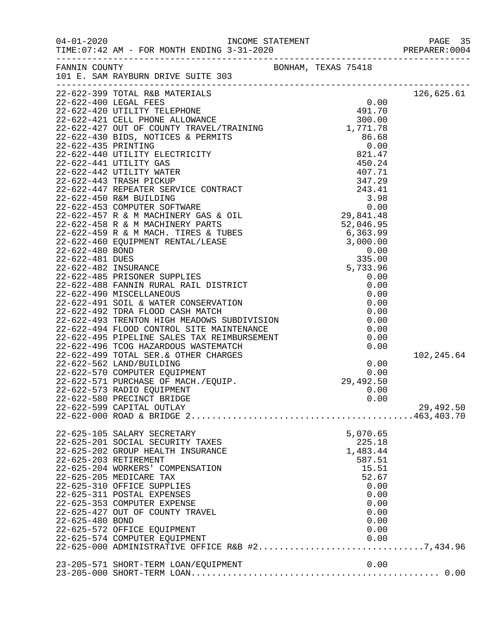| FANNIN COUNTY   | 101 E. SAM RAYBURN DRIVE SUITE 303                                                                                                                                                                                                                                                                                                                                                                                                                                                         | BONHAM, TEXAS 75418 |              |            |
|-----------------|--------------------------------------------------------------------------------------------------------------------------------------------------------------------------------------------------------------------------------------------------------------------------------------------------------------------------------------------------------------------------------------------------------------------------------------------------------------------------------------------|---------------------|--------------|------------|
|                 | 22-622-399 TOTAL R&B MATERIALS                                                                                                                                                                                                                                                                                                                                                                                                                                                             |                     |              | 126,625.61 |
|                 |                                                                                                                                                                                                                                                                                                                                                                                                                                                                                            |                     |              |            |
|                 |                                                                                                                                                                                                                                                                                                                                                                                                                                                                                            |                     |              |            |
|                 |                                                                                                                                                                                                                                                                                                                                                                                                                                                                                            |                     |              |            |
|                 |                                                                                                                                                                                                                                                                                                                                                                                                                                                                                            |                     |              |            |
|                 |                                                                                                                                                                                                                                                                                                                                                                                                                                                                                            |                     |              |            |
|                 |                                                                                                                                                                                                                                                                                                                                                                                                                                                                                            |                     |              |            |
|                 |                                                                                                                                                                                                                                                                                                                                                                                                                                                                                            |                     |              |            |
|                 |                                                                                                                                                                                                                                                                                                                                                                                                                                                                                            |                     |              |            |
|                 |                                                                                                                                                                                                                                                                                                                                                                                                                                                                                            |                     |              |            |
|                 |                                                                                                                                                                                                                                                                                                                                                                                                                                                                                            |                     |              |            |
|                 |                                                                                                                                                                                                                                                                                                                                                                                                                                                                                            |                     |              |            |
|                 |                                                                                                                                                                                                                                                                                                                                                                                                                                                                                            |                     |              |            |
|                 |                                                                                                                                                                                                                                                                                                                                                                                                                                                                                            |                     |              |            |
|                 |                                                                                                                                                                                                                                                                                                                                                                                                                                                                                            |                     |              |            |
|                 |                                                                                                                                                                                                                                                                                                                                                                                                                                                                                            |                     |              |            |
|                 |                                                                                                                                                                                                                                                                                                                                                                                                                                                                                            |                     |              |            |
|                 |                                                                                                                                                                                                                                                                                                                                                                                                                                                                                            |                     |              |            |
|                 |                                                                                                                                                                                                                                                                                                                                                                                                                                                                                            |                     |              |            |
|                 |                                                                                                                                                                                                                                                                                                                                                                                                                                                                                            |                     |              |            |
|                 |                                                                                                                                                                                                                                                                                                                                                                                                                                                                                            |                     |              |            |
|                 |                                                                                                                                                                                                                                                                                                                                                                                                                                                                                            |                     |              |            |
|                 | 22-622-491 SOIL & WATER CONSERVATION<br>22-622-491 SOIL & WATER CONSERVATION<br>22-622-492 TDRA FLOOD CASH MATCH<br>22-622-493 TRENTON HIGH MEADOWS SUBDIVISION<br>22-622-494 FLOOD CONTROL SITE MAINTENANCE<br>22-622-495 PIPELINE SALES TAX                                                                                                                                                                                                                                              |                     |              |            |
|                 |                                                                                                                                                                                                                                                                                                                                                                                                                                                                                            |                     |              |            |
|                 |                                                                                                                                                                                                                                                                                                                                                                                                                                                                                            |                     |              |            |
|                 |                                                                                                                                                                                                                                                                                                                                                                                                                                                                                            |                     | 0.00         |            |
|                 |                                                                                                                                                                                                                                                                                                                                                                                                                                                                                            |                     | 0.00         |            |
|                 |                                                                                                                                                                                                                                                                                                                                                                                                                                                                                            |                     | 0.00         |            |
|                 |                                                                                                                                                                                                                                                                                                                                                                                                                                                                                            |                     |              | 102,245.64 |
|                 |                                                                                                                                                                                                                                                                                                                                                                                                                                                                                            |                     |              |            |
|                 |                                                                                                                                                                                                                                                                                                                                                                                                                                                                                            |                     |              |            |
|                 |                                                                                                                                                                                                                                                                                                                                                                                                                                                                                            |                     |              |            |
|                 |                                                                                                                                                                                                                                                                                                                                                                                                                                                                                            |                     |              |            |
|                 |                                                                                                                                                                                                                                                                                                                                                                                                                                                                                            |                     |              |            |
|                 |                                                                                                                                                                                                                                                                                                                                                                                                                                                                                            |                     |              | 29,492.50  |
|                 | $\begin{tabular}{lllllllll} & $\dots$ & $\dots$ & $\dots$ & $0.00$ \\ \hline \multicolumn{3}{l}{\begin{tabular}{l} \multicolumn{3}{l}{\begin{tabular}{l} \multicolumn{3}{l}{\multicolumn{3}{l}{\multicolumn{3}{l}{\multicolumn{3}{l}{\multicolumn{3}{l}{\multicolumn{3}{l}{\multicolumn{3}{l}{\multicolumn{3}{l}{\multicolumn{3}{l}{\multicolumn{3}{l}{\multicolumn{3}{l}{\multicolumn{3}{l}{\multicolumn{3}{l}{\multicolumn{3}{l}{\multicolumn{3}{l}{\multicolumn{3}{l}{\multicolumn{3}{$ |                     |              |            |
|                 | 22-625-105 SALARY SECRETARY                                                                                                                                                                                                                                                                                                                                                                                                                                                                |                     | 5,070.65     |            |
|                 | 22-625-201 SOCIAL SECURITY TAXES                                                                                                                                                                                                                                                                                                                                                                                                                                                           |                     | 225.18       |            |
|                 | 22-625-202 GROUP HEALTH INSURANCE                                                                                                                                                                                                                                                                                                                                                                                                                                                          |                     | 1,483.44     |            |
|                 | 22-625-203 RETIREMENT                                                                                                                                                                                                                                                                                                                                                                                                                                                                      |                     | 587.51       |            |
|                 | 22-625-204 WORKERS' COMPENSATION                                                                                                                                                                                                                                                                                                                                                                                                                                                           |                     | 15.51        |            |
|                 | 22-625-205 MEDICARE TAX                                                                                                                                                                                                                                                                                                                                                                                                                                                                    |                     | 52.67        |            |
|                 | 22-625-310 OFFICE SUPPLIES                                                                                                                                                                                                                                                                                                                                                                                                                                                                 |                     | 0.00         |            |
|                 | 22-625-311 POSTAL EXPENSES                                                                                                                                                                                                                                                                                                                                                                                                                                                                 |                     | 0.00         |            |
|                 | 22-625-353 COMPUTER EXPENSE                                                                                                                                                                                                                                                                                                                                                                                                                                                                |                     | 0.00         |            |
|                 | 22-625-427 OUT OF COUNTY TRAVEL                                                                                                                                                                                                                                                                                                                                                                                                                                                            |                     | 0.00         |            |
| 22-625-480 BOND |                                                                                                                                                                                                                                                                                                                                                                                                                                                                                            |                     | 0.00         |            |
|                 | 22-625-572 OFFICE EQUIPMENT<br>22-625-574 COMPUTER EQUIPMENT                                                                                                                                                                                                                                                                                                                                                                                                                               |                     | 0.00<br>0.00 |            |
|                 | 22-625-000 ADMINISTRATIVE OFFICE R&B #27,434.96                                                                                                                                                                                                                                                                                                                                                                                                                                            |                     |              |            |
|                 |                                                                                                                                                                                                                                                                                                                                                                                                                                                                                            |                     |              |            |
|                 | 23-205-571 SHORT-TERM LOAN/EQUIPMENT                                                                                                                                                                                                                                                                                                                                                                                                                                                       |                     | 0.00         |            |
|                 |                                                                                                                                                                                                                                                                                                                                                                                                                                                                                            |                     |              |            |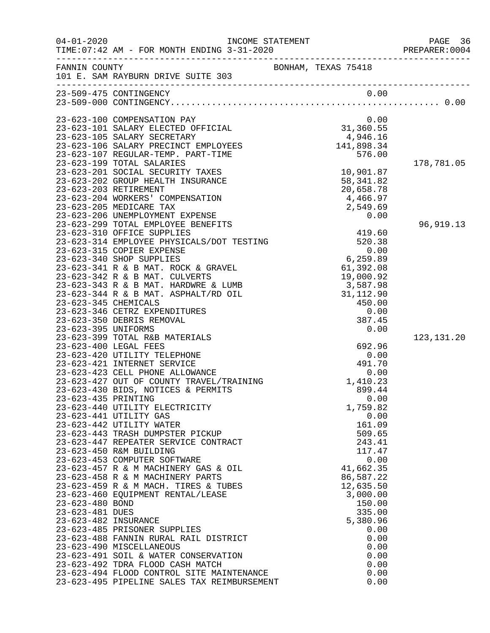| $04 - 01 - 2020$                        | INCOME STATEMENT<br>TIME: 07:42 AM - FOR MONTH ENDING 3-31-2020                          |                                                    | PAGE 36<br>PREPARER: 0004 |
|-----------------------------------------|------------------------------------------------------------------------------------------|----------------------------------------------------|---------------------------|
| FANNIN COUNTY                           | 101 E. SAM RAYBURN DRIVE SUITE 303                                                       | BONHAM, TEXAS 75418                                |                           |
|                                         | 23-509-475 CONTINGENCY                                                                   | 0.00                                               |                           |
|                                         |                                                                                          |                                                    |                           |
|                                         | 23-623-100 COMPENSATION PAY                                                              | 0.00                                               |                           |
|                                         | 23-623-101 SALARY ELECTED OFFICIAL                                                       |                                                    |                           |
|                                         | 23-623-105 SALARY SECRETARY                                                              | $31,360.55$<br>4,946.16<br>41,898.34<br>141,898.34 |                           |
|                                         | 23-623-106 SALARY PRECINCT EMPLOYEES                                                     |                                                    |                           |
|                                         | 23-623-107 REGULAR-TEMP. PART-TIME<br>23-623-199 TOTAL SALARIES                          | 576.00                                             | 178,781.05                |
|                                         | 23-623-201 SOCIAL SECURITY TAXES                                                         | 10,901.87                                          |                           |
|                                         | 23-623-202 GROUP HEALTH INSURANCE                                                        | 58, 341.82                                         |                           |
|                                         | 23-623-203 RETIREMENT                                                                    | 20,658.78                                          |                           |
|                                         | 23-623-204 WORKERS' COMPENSATION                                                         | 4,466.97                                           |                           |
|                                         | 23-623-205 MEDICARE TAX                                                                  | 2,549.69                                           |                           |
|                                         | 23-623-206 UNEMPLOYMENT EXPENSE<br>23-623-299 TOTAL EMPLOYEE BENEFITS                    | 0.00                                               | 96,919.13                 |
|                                         | 23-623-310 OFFICE SUPPLIES                                                               | 419.60                                             |                           |
|                                         | 23-623-314 EMPLOYEE PHYSICALS/DOT TESTING                                                | 520.38                                             |                           |
|                                         | 23-623-315 COPIER EXPENSE                                                                | 0.00                                               |                           |
|                                         | 23-623-340 SHOP SUPPLIES                                                                 | 6,259.89                                           |                           |
|                                         | 23-623-341 R & B MAT. ROCK & GRAVEL                                                      | 61,392.08                                          |                           |
|                                         | 23-623-342 R & B MAT. CULVERTS<br>23-623-343 R & B MAT. HARDWRE & LUMB                   | 19,000.92<br>3,587.98                              |                           |
|                                         | 23-623-344 R & B MAT. ASPHALT/RD OIL                                                     | 31, 112.90                                         |                           |
| 23-623-345 CHEMICALS                    |                                                                                          | 450.00                                             |                           |
|                                         | 23-623-346 CETRZ EXPENDITURES                                                            | 0.00                                               |                           |
|                                         | 23-623-350 DEBRIS REMOVAL                                                                | 387.45                                             |                           |
| 23-623-395 UNIFORMS                     |                                                                                          | 0.00                                               |                           |
|                                         | 23-623-399 TOTAL R&B MATERIALS<br>23-623-400 LEGAL FEES                                  | 692.96                                             | 123, 131. 20              |
|                                         | 23-623-420 UTILITY TELEPHONE                                                             | 0.00                                               |                           |
|                                         | 23-623-421 INTERNET SERVICE                                                              | 491.70                                             |                           |
|                                         | 23-623-423 CELL PHONE ALLOWANCE                                                          | 0.00                                               |                           |
|                                         | 23-623-427 OUT OF COUNTY TRAVEL/TRAINING                                                 | 1,410.23                                           |                           |
|                                         | 23-623-430 BIDS, NOTICES & PERMITS                                                       | 899.44                                             |                           |
| 23-623-435 PRINTING                     | 23-623-440 UTILITY ELECTRICITY                                                           | 0.00<br>1,759.82                                   |                           |
|                                         | 23-623-441 UTILITY GAS                                                                   | 0.00                                               |                           |
|                                         | 23-623-442 UTILITY WATER                                                                 | 161.09                                             |                           |
|                                         | 23-623-443 TRASH DUMPSTER PICKUP                                                         | 509.65                                             |                           |
|                                         | 23-623-447 REPEATER SERVICE CONTRACT                                                     | 243.41                                             |                           |
|                                         | 23-623-450 R&M BUILDING<br>23-623-453 COMPUTER SOFTWARE                                  | 117.47<br>0.00                                     |                           |
|                                         | 23-623-457 R & M MACHINERY GAS & OIL                                                     | 41,662.35                                          |                           |
|                                         | 23-623-458 R & M MACHINERY PARTS                                                         | 86,587.22                                          |                           |
|                                         | 23-623-459 R & M MACH. TIRES & TUBES                                                     | 12,635.50                                          |                           |
|                                         | 23-623-460 EQUIPMENT RENTAL/LEASE                                                        | 3,000.00                                           |                           |
| 23-623-480 BOND                         |                                                                                          | 150.00                                             |                           |
| 23-623-481 DUES<br>23-623-482 INSURANCE |                                                                                          | 335.00<br>5,380.96                                 |                           |
|                                         | 23-623-485 PRISONER SUPPLIES                                                             | 0.00                                               |                           |
|                                         | 23-623-488 FANNIN RURAL RAIL DISTRICT                                                    | 0.00                                               |                           |
|                                         | 23-623-490 MISCELLANEOUS                                                                 | 0.00                                               |                           |
|                                         | 23-623-491 SOIL & WATER CONSERVATION                                                     | 0.00                                               |                           |
|                                         | 23-623-492 TDRA FLOOD CASH MATCH                                                         | 0.00                                               |                           |
|                                         | 23-623-494 FLOOD CONTROL SITE MAINTENANCE<br>23-623-495 PIPELINE SALES TAX REIMBURSEMENT | 0.00<br>0.00                                       |                           |
|                                         |                                                                                          |                                                    |                           |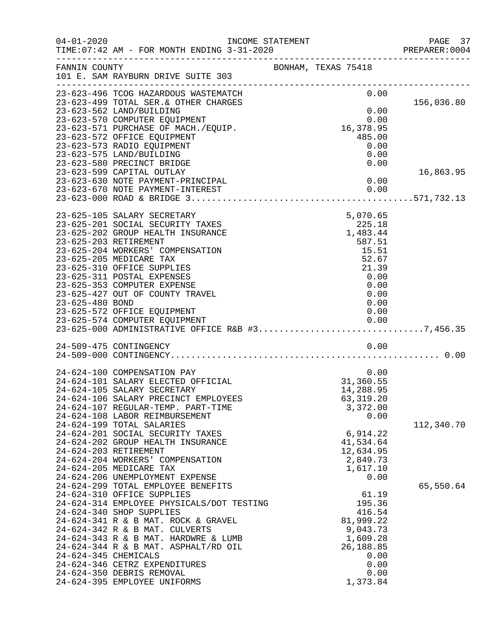| $04 - 01 - 2020$<br>TIME: 07:42 AM - FOR MONTH ENDING 3-31-2020               | INCOME STATEMENT                                                                 | PAGE 37<br>PREPARER: 0004 |
|-------------------------------------------------------------------------------|----------------------------------------------------------------------------------|---------------------------|
| FANNIN COUNTY<br>101 E. SAM RAYBURN DRIVE SUITE 303                           | BONHAM, TEXAS 75418                                                              |                           |
| 23-623-496 TCOG HAZARDOUS WASTEMATCH<br>23-623-499 TOTAL SER. & OTHER CHARGES | 0.00                                                                             | 156,036.80                |
| 23-623-562 LAND/BUILDING                                                      | 0.00                                                                             |                           |
| 23-623-570 COMPUTER EQUIPMENT                                                 | 0.00<br>ں.ں<br>16,378.95                                                         |                           |
| 23-623-571 PURCHASE OF MACH./EQUIP.<br>23-623-572 OFFICE EQUIPMENT            | 485.00                                                                           |                           |
| 23-623-573 RADIO EQUIPMENT                                                    | 0.00                                                                             |                           |
| 23-623-575 LAND/BUILDING                                                      | 0.00                                                                             |                           |
| 23-623-580 PRECINCT BRIDGE                                                    | 0.00                                                                             |                           |
| 23-623-599 CAPITAL OUTLAY                                                     |                                                                                  | 16,863.95                 |
| 23-623-630 NOTE PAYMENT-PRINCIPAL                                             | 0.00                                                                             |                           |
| 23-623-670 NOTE PAYMENT-INTEREST                                              | 0.00                                                                             |                           |
|                                                                               |                                                                                  |                           |
| 23-625-105 SALARY SECRETARY                                                   | 5,070.65                                                                         |                           |
| 23-625-201 SOCIAL SECURITY TAXES                                              | 225.18                                                                           |                           |
| 23-625-202 GROUP HEALTH INSURANCE                                             | 1,483.44                                                                         |                           |
| 23-625-203 RETIREMENT                                                         | 587.51                                                                           |                           |
| 23-625-204 WORKERS' COMPENSATION                                              | 15.51<br>52.67                                                                   |                           |
| 23-625-205 MEDICARE TAX<br>23-625-310 OFFICE SUPPLIES                         | 21.39                                                                            |                           |
| 23-625-311 POSTAL EXPENSES                                                    | 0.00                                                                             |                           |
| 23-625-353 COMPUTER EXPENSE                                                   | 0.00                                                                             |                           |
| 23-625-427 OUT OF COUNTY TRAVEL                                               | 0.00                                                                             |                           |
| 23-625-480 BOND                                                               | 0.00                                                                             |                           |
| 23-625-572 OFFICE EQUIPMENT                                                   | 0.00                                                                             |                           |
|                                                                               | 23-625-574 COMPUTER EQUIPMENT<br>23-625-000 ADMINISTRATIVE OFFICE R&B #37,456.35 |                           |
|                                                                               |                                                                                  |                           |
| 24-509-475 CONTINGENCY                                                        | 0.00                                                                             |                           |
|                                                                               |                                                                                  |                           |
| 24-624-100 COMPENSATION PAY                                                   | 0.00                                                                             |                           |
| 24-624-101 SALARY ELECTED OFFICIAL                                            | 31,360.55                                                                        |                           |
| 24-624-105 SALARY SECRETARY                                                   | 14,288.95                                                                        |                           |
| 24-624-106 SALARY PRECINCT EMPLOYEES                                          | 63, 319.20                                                                       |                           |
| 24-624-107 REGULAR-TEMP. PART-TIME                                            | 3,372.00                                                                         |                           |
| 24-624-108 LABOR REIMBURSEMENT<br>24-624-199 TOTAL SALARIES                   | 0.00                                                                             | 112,340.70                |
| 24-624-201 SOCIAL SECURITY TAXES                                              | 6,914.22                                                                         |                           |
| 24-624-202 GROUP HEALTH INSURANCE                                             | 41,534.64                                                                        |                           |
| 24-624-203 RETIREMENT                                                         | 12,634.95                                                                        |                           |
| 24-624-204 WORKERS' COMPENSATION                                              | 2,849.73                                                                         |                           |
| 24-624-205 MEDICARE TAX                                                       | 1,617.10                                                                         |                           |
| 24-624-206 UNEMPLOYMENT EXPENSE<br>24-624-299 TOTAL EMPLOYEE BENEFITS         | 0.00                                                                             | 65,550.64                 |
| 24-624-310 OFFICE SUPPLIES                                                    | 61.19                                                                            |                           |
| 24-624-314 EMPLOYEE PHYSICALS/DOT TESTING                                     | 195.36                                                                           |                           |
| 24-624-340 SHOP SUPPLIES                                                      | 416.54                                                                           |                           |
| 24-624-341 R & B MAT. ROCK & GRAVEL                                           | 81,999.22                                                                        |                           |
| 24-624-342 R & B MAT. CULVERTS                                                | 9,043.73                                                                         |                           |
| 24-624-343 R & B MAT. HARDWRE & LUMB                                          | 1,609.28                                                                         |                           |
| 24-624-344 R & B MAT. ASPHALT/RD OIL<br>24-624-345 CHEMICALS                  | 26,188.85<br>0.00                                                                |                           |
| 24-624-346 CETRZ EXPENDITURES                                                 | 0.00                                                                             |                           |
| 24-624-350 DEBRIS REMOVAL                                                     | 0.00                                                                             |                           |
| 24-624-395 EMPLOYEE UNIFORMS                                                  | 1,373.84                                                                         |                           |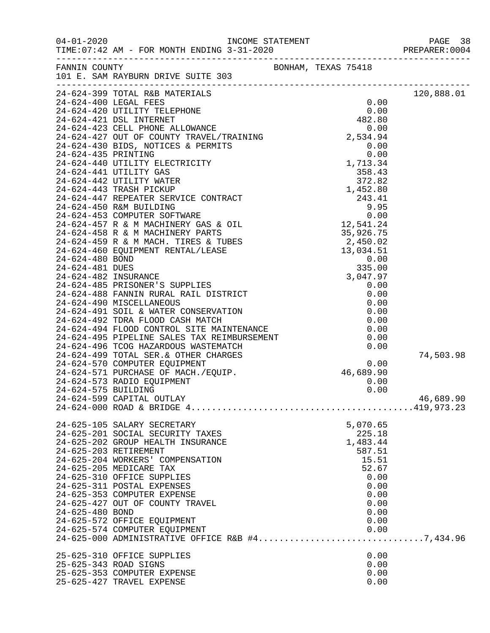|                       |                                                                                                                                                                                                                                                                                                                                                                                                                |                     |                | PAGE 38<br>PREPARER: 0004 |
|-----------------------|----------------------------------------------------------------------------------------------------------------------------------------------------------------------------------------------------------------------------------------------------------------------------------------------------------------------------------------------------------------------------------------------------------------|---------------------|----------------|---------------------------|
|                       | FANNIN COUNTY<br>101 E. SAM RAYBURN DRIVE SUITE 303<br>$\begin{tabular}{l c c c} \hline 110 & E. SMR NABUDR DET B 303 & 0.00 \\[-0.2em] \hline 24-624-399 & TOTAL R&B MATIENANS & 0.00 \\[-0.2em] \hline 24-624-420 & UTILITY TIEDEPINDE & 0.00 \\[-0.2em] \hline 24-624-421 & DSL INTIREPINDE & 42.80 \\[-0.2em] \hline 24-624-421 & DSL INTIREPINTE & 42.80 \\[-0.2em] \hline 24-624-421 & DSL INTIRENPTE &$ | BONHAM, TEXAS 75418 |                |                           |
|                       |                                                                                                                                                                                                                                                                                                                                                                                                                |                     |                | 120,888.01                |
|                       |                                                                                                                                                                                                                                                                                                                                                                                                                |                     |                |                           |
|                       |                                                                                                                                                                                                                                                                                                                                                                                                                |                     |                |                           |
|                       |                                                                                                                                                                                                                                                                                                                                                                                                                |                     |                |                           |
|                       |                                                                                                                                                                                                                                                                                                                                                                                                                |                     |                |                           |
|                       |                                                                                                                                                                                                                                                                                                                                                                                                                |                     |                |                           |
|                       |                                                                                                                                                                                                                                                                                                                                                                                                                |                     |                |                           |
|                       |                                                                                                                                                                                                                                                                                                                                                                                                                |                     |                |                           |
|                       |                                                                                                                                                                                                                                                                                                                                                                                                                |                     |                |                           |
|                       |                                                                                                                                                                                                                                                                                                                                                                                                                |                     |                |                           |
|                       |                                                                                                                                                                                                                                                                                                                                                                                                                |                     |                |                           |
|                       |                                                                                                                                                                                                                                                                                                                                                                                                                |                     |                |                           |
|                       |                                                                                                                                                                                                                                                                                                                                                                                                                |                     |                |                           |
|                       |                                                                                                                                                                                                                                                                                                                                                                                                                |                     |                |                           |
|                       |                                                                                                                                                                                                                                                                                                                                                                                                                |                     |                |                           |
|                       |                                                                                                                                                                                                                                                                                                                                                                                                                |                     |                |                           |
|                       |                                                                                                                                                                                                                                                                                                                                                                                                                |                     |                |                           |
|                       |                                                                                                                                                                                                                                                                                                                                                                                                                |                     |                |                           |
|                       |                                                                                                                                                                                                                                                                                                                                                                                                                |                     |                |                           |
|                       |                                                                                                                                                                                                                                                                                                                                                                                                                |                     |                |                           |
|                       |                                                                                                                                                                                                                                                                                                                                                                                                                |                     |                |                           |
|                       |                                                                                                                                                                                                                                                                                                                                                                                                                |                     |                |                           |
|                       |                                                                                                                                                                                                                                                                                                                                                                                                                |                     |                |                           |
|                       |                                                                                                                                                                                                                                                                                                                                                                                                                |                     |                |                           |
|                       |                                                                                                                                                                                                                                                                                                                                                                                                                |                     |                |                           |
|                       |                                                                                                                                                                                                                                                                                                                                                                                                                |                     |                |                           |
|                       |                                                                                                                                                                                                                                                                                                                                                                                                                |                     |                |                           |
|                       |                                                                                                                                                                                                                                                                                                                                                                                                                |                     |                | 74,503.98                 |
|                       | 24-624-570 COMPUTER & OTHER CHARGES<br>24-624-570 COMPUTER EQUIPMENT<br>24-624-571 PURCHASE OF MACH./EQUIP. 46,689.90<br>24-624-573 RADIO EQUIPMENT<br>24-624-575 BUILDING 0.00<br>24-624-575 BUILDING 0.00                                                                                                                                                                                                    |                     |                |                           |
|                       |                                                                                                                                                                                                                                                                                                                                                                                                                |                     |                |                           |
|                       |                                                                                                                                                                                                                                                                                                                                                                                                                |                     |                |                           |
|                       |                                                                                                                                                                                                                                                                                                                                                                                                                |                     |                |                           |
|                       | 24-624-599 CAPITAL OUTLAY                                                                                                                                                                                                                                                                                                                                                                                      |                     |                | 46,689.90                 |
|                       |                                                                                                                                                                                                                                                                                                                                                                                                                |                     |                |                           |
|                       | 24-625-105 SALARY SECRETARY                                                                                                                                                                                                                                                                                                                                                                                    |                     | 5,070.65       |                           |
|                       | 24-625-201 SOCIAL SECURITY TAXES                                                                                                                                                                                                                                                                                                                                                                               |                     | 225.18         |                           |
|                       | 24-625-202 GROUP HEALTH INSURANCE                                                                                                                                                                                                                                                                                                                                                                              |                     | 1,483.44       |                           |
|                       | 24-625-203 RETIREMENT                                                                                                                                                                                                                                                                                                                                                                                          |                     | 587.51         |                           |
|                       | 24-625-204 WORKERS' COMPENSATION<br>24-625-205 MEDICARE TAX                                                                                                                                                                                                                                                                                                                                                    |                     | 15.51<br>52.67 |                           |
|                       | 24-625-310 OFFICE SUPPLIES                                                                                                                                                                                                                                                                                                                                                                                     |                     | 0.00           |                           |
|                       | 24-625-311 POSTAL EXPENSES                                                                                                                                                                                                                                                                                                                                                                                     |                     | 0.00           |                           |
|                       | 24-625-353 COMPUTER EXPENSE                                                                                                                                                                                                                                                                                                                                                                                    |                     | 0.00           |                           |
|                       | 24-625-427 OUT OF COUNTY TRAVEL                                                                                                                                                                                                                                                                                                                                                                                |                     | 0.00           |                           |
| 24-625-480 BOND       |                                                                                                                                                                                                                                                                                                                                                                                                                |                     | 0.00           |                           |
|                       | 24-625-572 OFFICE EQUIPMENT                                                                                                                                                                                                                                                                                                                                                                                    |                     | 0.00           |                           |
|                       | 24-625-574 COMPUTER EQUIPMENT<br>24-625-574 COMPUTER EQUIPMENT<br>24-625-000 ADMINISTRATIVE OFFICE R&B #47,434.96                                                                                                                                                                                                                                                                                              |                     | 0.00           |                           |
|                       |                                                                                                                                                                                                                                                                                                                                                                                                                |                     |                |                           |
|                       | 25-625-310 OFFICE SUPPLIES                                                                                                                                                                                                                                                                                                                                                                                     |                     | 0.00           |                           |
| 25-625-343 ROAD SIGNS |                                                                                                                                                                                                                                                                                                                                                                                                                |                     | 0.00           |                           |
|                       | 25-625-353 COMPUTER EXPENSE                                                                                                                                                                                                                                                                                                                                                                                    |                     | 0.00           |                           |
|                       | 25-625-427 TRAVEL EXPENSE                                                                                                                                                                                                                                                                                                                                                                                      |                     | 0.00           |                           |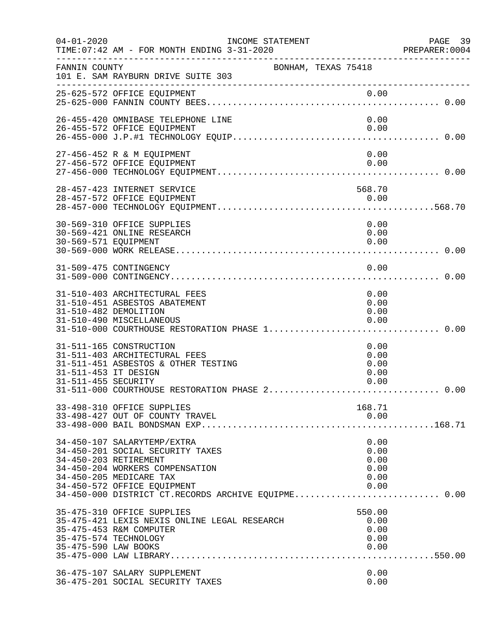| $04 - 01 - 2020$                              | INCOME STATEMENT<br>TIME: 07:42 AM - FOR MONTH ENDING 3-31-2020                                               |                     |                                        | PAGE 39<br>PREPARER:0004 |
|-----------------------------------------------|---------------------------------------------------------------------------------------------------------------|---------------------|----------------------------------------|--------------------------|
| FANNIN COUNTY                                 | 101 E. SAM RAYBURN DRIVE SUITE 303                                                                            | BONHAM, TEXAS 75418 |                                        |                          |
|                                               | 25-625-572 OFFICE EQUIPMENT                                                                                   |                     | 0.00                                   |                          |
|                                               | 26-455-420 OMNIBASE TELEPHONE LINE                                                                            |                     | 0.00                                   |                          |
|                                               | 26-455-572 OFFICE EQUIPMENT                                                                                   |                     | 0.00                                   |                          |
|                                               | 27-456-452 R & M EQUIPMENT<br>27-456-572 OFFICE EQUIPMENT                                                     |                     | 0.00<br>0.00                           |                          |
|                                               |                                                                                                               |                     |                                        |                          |
|                                               | 28-457-423 INTERNET SERVICE                                                                                   |                     | 568.70                                 |                          |
|                                               | 30-569-310 OFFICE SUPPLIES                                                                                    |                     | 0.00                                   |                          |
| 30-569-571 EQUIPMENT                          | 30-569-421 ONLINE RESEARCH                                                                                    |                     | 0.00<br>0.00                           |                          |
|                                               | 31-509-475 CONTINGENCY                                                                                        |                     | 0.00                                   |                          |
|                                               |                                                                                                               |                     |                                        |                          |
|                                               | 31-510-403 ARCHITECTURAL FEES<br>31-510-451 ASBESTOS ABATEMENT                                                |                     | 0.00<br>0.00                           |                          |
| 31-510-482 DEMOLITION                         | 31-510-490 MISCELLANEOUS                                                                                      |                     | 0.00<br>0.00                           |                          |
|                                               | 31-511-165 CONSTRUCTION<br>31-511-403 ARCHITECTURAL FEES                                                      |                     | 0.00<br>0.00                           |                          |
| 31-511-453 IT DESIGN                          | 31-511-451 ASBESTOS & OTHER TESTING                                                                           |                     | 0.00<br>0.00                           |                          |
| 31-511-455 SECURITY                           |                                                                                                               |                     | 0.00                                   |                          |
|                                               | 33-498-310 OFFICE SUPPLIES<br>33-498-427 OUT OF COUNTY TRAVEL                                                 |                     | 168.71<br>0.00                         |                          |
|                                               | 34-450-107 SALARYTEMP/EXTRA                                                                                   |                     | 0.00                                   |                          |
| 34-450-203 RETIREMENT                         | 34-450-201 SOCIAL SECURITY TAXES<br>34-450-204 WORKERS COMPENSATION                                           |                     | 0.00<br>0.00<br>0.00                   |                          |
|                                               | 34-450-205 MEDICARE TAX<br>34-450-572 OFFICE EQUIPMENT<br>34-450-000 DISTRICT CT.RECORDS ARCHIVE EQUIPME 0.00 |                     | 0.00<br>0.00                           |                          |
| 35-475-574 TECHNOLOGY<br>35-475-590 LAW BOOKS | 35-475-310 OFFICE SUPPLIES<br>35-475-421 LEXIS NEXIS ONLINE LEGAL RESEARCH<br>35-475-453 R&M COMPUTER         |                     | 550.00<br>0.00<br>0.00<br>0.00<br>0.00 |                          |
|                                               | 36-475-107 SALARY SUPPLEMENT<br>36-475-201 SOCIAL SECURITY TAXES                                              |                     | 0.00<br>0.00                           |                          |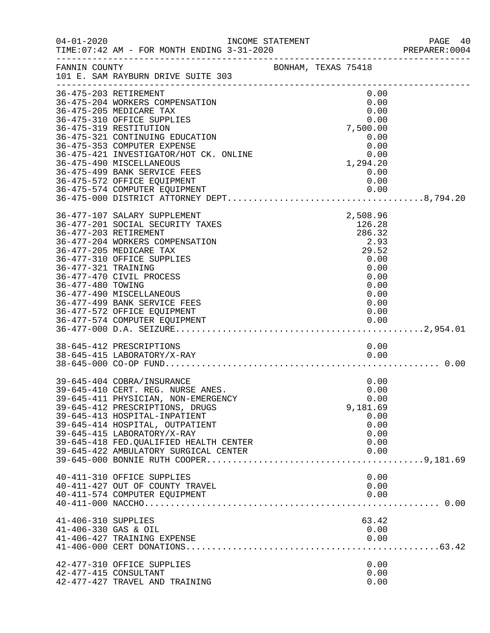| $04 - 01 - 2020$                            |                                                                                                                                                                                                                                                                                                                                                    | INCOME STATEMENT    |                                                                                                       | PAGE 40<br>PREPARER: 0004 |
|---------------------------------------------|----------------------------------------------------------------------------------------------------------------------------------------------------------------------------------------------------------------------------------------------------------------------------------------------------------------------------------------------------|---------------------|-------------------------------------------------------------------------------------------------------|---------------------------|
| FANNIN COUNTY                               | 101 E. SAM RAYBURN DRIVE SUITE 303                                                                                                                                                                                                                                                                                                                 | BONHAM, TEXAS 75418 |                                                                                                       |                           |
|                                             | 36-475-203 RETIREMENT<br>36-475-204 WORKERS COMPENSATION<br>36-475-205 MEDICARE TAX<br>36-475-310 OFFICE SUPPLIES<br>36-475-319 RESTITUTION<br>36-475-321 CONTINUING EDUCATION<br>36-475-353 COMPUTER EXPENSE<br>36-475-421 INVESTIGATOR/HOT CK. ONLINE<br>36-475-490 MISCELLANEOUS<br>36-475-499 BANK SERVICE FEES<br>36-475-572 OFFICE EQUIPMENT |                     | 0.00<br>0.00<br>0.00<br>0.00<br>7,500.00<br>0.00<br>0.00<br>0.00<br>1,294.20<br>0.00<br>0.00          |                           |
| 36-477-321 TRAINING<br>36-477-480 TOWING    | 36-477-107 SALARY SUPPLEMENT<br>36-477-201 SOCIAL SECURITY TAXES<br>36-477-203 RETIREMENT<br>36-477-204 WORKERS COMPENSATION<br>36-477-205 MEDICARE TAX<br>36-477-310 OFFICE SUPPLIES<br>36-477-470 CIVIL PROCESS<br>36-477-490 MISCELLANEOUS<br>36-477-499 BANK SERVICE FEES<br>36-477-572 OFFICE EQUIPMENT                                       |                     | 2,508.96<br>126.28<br>286.32<br>2.93<br>29.52<br>0.00<br>0.00<br>0.00<br>0.00<br>0.00<br>0.00<br>0.00 |                           |
|                                             | 38-645-412 PRESCRIPTIONS<br>38-645-415 LABORATORY/X-RAY                                                                                                                                                                                                                                                                                            |                     | 0.00<br>0.00                                                                                          |                           |
|                                             | 39-645-404 COBRA/INSURANCE<br>39-645-410 CERT. REG. NURSE ANES.<br>39-645-411 PHYSICIAN, NON-EMERGENCY<br>39-645-412 PRESCRIPTIONS, DRUGS<br>39-645-413 HOSPITAL-INPATIENT<br>39-645-414 HOSPITAL, OUTPATIENT<br>39-645-415 LABORATORY/X-RAY<br>39-645-418 FED. QUALIFIED HEALTH CENTER<br>39-645-422 AMBULATORY SURGICAL CENTER                   |                     | 0.00<br>0.00<br>0.00<br>9,181.69<br>0.00<br>0.00<br>0.00<br>0.00<br>0.00                              |                           |
|                                             | 40-411-310 OFFICE SUPPLIES<br>40-411-427 OUT OF COUNTY TRAVEL<br>40-411-574 COMPUTER EQUIPMENT                                                                                                                                                                                                                                                     |                     | 0.00<br>0.00<br>0.00                                                                                  |                           |
| 41-406-310 SUPPLIES<br>41-406-330 GAS & OIL | 41-406-427 TRAINING EXPENSE                                                                                                                                                                                                                                                                                                                        |                     | 63.42<br>0.00<br>0.00                                                                                 |                           |
|                                             | 42-477-310 OFFICE SUPPLIES<br>42-477-415 CONSULTANT<br>42-477-427 TRAVEL AND TRAINING                                                                                                                                                                                                                                                              |                     | 0.00<br>0.00<br>0.00                                                                                  |                           |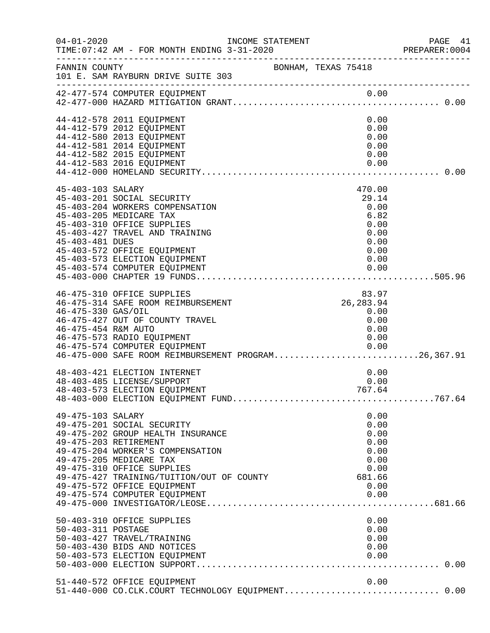| $04 - 01 - 2020$                           | INCOME STATEMENT<br>TIME: 07:42 AM - FOR MONTH ENDING 3-31-2020                                                                                                                                                                                                           |                     |                                                                                 | PAGE 41<br>PREPARER: 0004 |
|--------------------------------------------|---------------------------------------------------------------------------------------------------------------------------------------------------------------------------------------------------------------------------------------------------------------------------|---------------------|---------------------------------------------------------------------------------|---------------------------|
| FANNIN COUNTY                              | 101 E. SAM RAYBURN DRIVE SUITE 303                                                                                                                                                                                                                                        | BONHAM, TEXAS 75418 |                                                                                 |                           |
|                                            | 42-477-574 COMPUTER EQUIPMENT                                                                                                                                                                                                                                             |                     |                                                                                 |                           |
|                                            | 44-412-578 2011 EQUIPMENT<br>44-412-579 2012 EQUIPMENT<br>44-412-580 2013 EQUIPMENT<br>44-412-581 2014 EQUIPMENT<br>44-412-582 2015 EQUIPMENT<br>44-412-583 2016 EQUIPMENT                                                                                                |                     | 0.00<br>0.00<br>0.00<br>0.00<br>0.00<br>0.00                                    |                           |
| 45-403-103 SALARY<br>45-403-481 DUES       | 45-403-201 SOCIAL SECURITY<br>45-403-204 WORKERS COMPENSATION<br>45-403-205 MEDICARE TAX<br>45-403-310 OFFICE SUPPLIES<br>45-403-427 TRAVEL AND TRAINING<br>45-403-572 OFFICE EQUIPMENT<br>45-403-573 ELECTION EQUIPMENT<br>45-403-574 COMPUTER EQUIPMENT                 |                     | 470.00<br>29.14<br>0.00<br>6.82<br>0.00<br>0.00<br>0.00<br>0.00<br>0.00<br>0.00 |                           |
| 46-475-330 GAS/OIL<br>46-475-454 R&M AUTO  | 46-475-310 OFFICE SUPPLIES<br>46-475-314 SAFE ROOM REIMBURSEMENT<br>46-475-427 OUT OF COUNTY TRAVEL<br>46-475-573 RADIO EQUIPMENT<br>46-475-574 COMPUTER EQUIPMENT<br>46-475-574 COMPUTER EQUIPMENT<br>46-475-000 SAFE ROOM REIMBURSEMENT PROGRAM26,367.91                |                     | 83.97<br>26, 283.94<br>0.00<br>0.00<br>0.00<br>0.00<br>0.00                     |                           |
|                                            | 48-403-421 ELECTION INTERNET<br>48-403-485 LICENSE/SUPPORT<br>48-403-573 ELECTION EQUIPMENT                                                                                                                                                                               |                     | 0.00<br>0.00<br>767.64                                                          |                           |
| 49-475-103 SALARY<br>49-475-203 RETIREMENT | 49-475-201 SOCIAL SECURITY<br>49-475-202 GROUP HEALTH INSURANCE<br>49-475-204 WORKER'S COMPENSATION<br>49-475-205 MEDICARE TAX<br>49-475-310 OFFICE SUPPLIES<br>49-475-427 TRAINING/TUITION/OUT OF COUNTY<br>49-475-572 OFFICE EQUIPMENT<br>49-475-574 COMPUTER EQUIPMENT |                     | 0.00<br>0.00<br>0.00<br>0.00<br>0.00<br>0.00<br>0.00<br>681.66<br>0.00<br>0.00  |                           |
| 50-403-311 POSTAGE                         | 50-403-310 OFFICE SUPPLIES<br>50-403-427 TRAVEL/TRAINING<br>50-403-430 BIDS AND NOTICES<br>50-403-573 ELECTION EQUIPMENT                                                                                                                                                  |                     | 0.00<br>0.00<br>0.00<br>0.00<br>0.00                                            |                           |
|                                            | 51-440-572 OFFICE EQUIPMENT<br>51-440-000 CO.CLK.COURT TECHNOLOGY EQUIPMENT 0.00                                                                                                                                                                                          |                     | 0.00                                                                            |                           |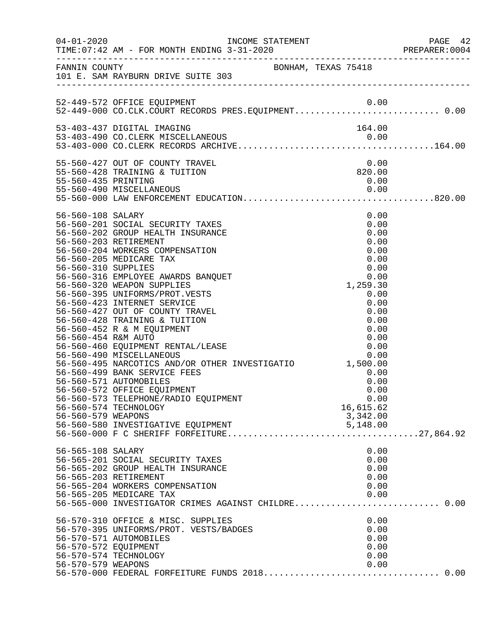|                                                                                       | INCOME STATEMENT                                                                                                                                                                                                                                                                                                                                                                                                                                                                                                                                                                                                                                                                                                                                       |                                                                                                                                                                                                     | PREPARER: 0004 |
|---------------------------------------------------------------------------------------|--------------------------------------------------------------------------------------------------------------------------------------------------------------------------------------------------------------------------------------------------------------------------------------------------------------------------------------------------------------------------------------------------------------------------------------------------------------------------------------------------------------------------------------------------------------------------------------------------------------------------------------------------------------------------------------------------------------------------------------------------------|-----------------------------------------------------------------------------------------------------------------------------------------------------------------------------------------------------|----------------|
|                                                                                       | FANNIN COUNTY<br>101 E. SAM RAYBURN DRIVE SUITE 303                                                                                                                                                                                                                                                                                                                                                                                                                                                                                                                                                                                                                                                                                                    |                                                                                                                                                                                                     |                |
|                                                                                       | 52-449-572 OFFICE EQUIPMENT<br>52-449-000 CO.CLK.COURT RECORDS PRES.EQUIPMENT0.00                                                                                                                                                                                                                                                                                                                                                                                                                                                                                                                                                                                                                                                                      |                                                                                                                                                                                                     |                |
|                                                                                       |                                                                                                                                                                                                                                                                                                                                                                                                                                                                                                                                                                                                                                                                                                                                                        |                                                                                                                                                                                                     |                |
|                                                                                       |                                                                                                                                                                                                                                                                                                                                                                                                                                                                                                                                                                                                                                                                                                                                                        |                                                                                                                                                                                                     |                |
| 55-560-435 PRINTING                                                                   | 55-560-427 OUT OF COUNTY TRAVEL<br>55-560-428 TRAINING & TUITION                                                                                                                                                                                                                                                                                                                                                                                                                                                                                                                                                                                                                                                                                       | 0.00<br>820.00<br>0.00                                                                                                                                                                              |                |
| 56-560-108 SALARY<br>56-560-310 SUPPLIES<br>56-560-454 R&M AUTO<br>56-560-579 WEAPONS | 56-560-201 SOCIAL SECURITY TAXES<br>56-560-202 GROUP HEALTH INSURANCE<br>56-560-203 RETIREMENT<br>56-560-204 WORKERS COMPENSATION<br>56-560-205 MEDICARE TAX<br>56-560-316 EMPLOYEE AWARDS BANQUET<br>56-560-320 WEAPON SUPPLIES<br>56-560-395 UNIFORMS/PROT.VESTS<br>56-560-423 INTERNET SERVICE<br>56-560-427 OUT OF COUNTY TRAVEL<br>56-560-428 TRAINING & TUITION<br>56-560-452 R & M EQUIPMENT<br>56-560-454 K&M AUIU<br>56-560-460 EQUIPMENT RENTAL/LEASE<br>56-560-490 MISCELLANEOUS<br>56-560-495 NARCOTICS AND/OR OTHER INVESTIGATIO 1,500.00<br>56-560-499 BANK SERVICE FEES<br>56-560-571 AUTOMOBILES<br>56-560-572 OFFICE EQUIPMENT<br>56-560-573 TELEPHONE/RADIO EQUIPMENT<br>56-560-574 TECHNOLOGY<br>56-560-580 INVESTIGATIVE EQUIPMENT | 0.00<br>0.00<br>0.00<br>0.00<br>0.00<br>0.00<br>$0.00$<br>0.00<br>1,259.30<br>0.00<br>0.00<br>0.00<br>0.00<br>0.00<br>0.00<br>0.00<br>0.00<br>0.00<br>0.00<br>0.00<br>0.00<br>16,615.62<br>3,342.00 |                |
| 56-565-108 SALARY                                                                     | 56-565-201 SOCIAL SECURITY TAXES<br>56-565-202 GROUP HEALTH INSURANCE<br>56-565-203 RETIREMENT<br>56-565-204 WORKERS COMPENSATION<br>56-565-205 MEDICARE TAX<br>56-570-310 OFFICE & MISC. SUPPLIES<br>56-570-395 UNIFORMS/PROT. VESTS/BADGES                                                                                                                                                                                                                                                                                                                                                                                                                                                                                                           | 0.00<br>0.00<br>0.00<br>0.00<br>0.00<br>0.00<br>0.00<br>0.00                                                                                                                                        |                |
| 56-570-572 EQUIPMENT<br>56-570-579 WEAPONS                                            | 56-570-571 AUTOMOBILES<br>56-570-574 TECHNOLOGY                                                                                                                                                                                                                                                                                                                                                                                                                                                                                                                                                                                                                                                                                                        | 0.00<br>0.00<br>0.00<br>0.00                                                                                                                                                                        |                |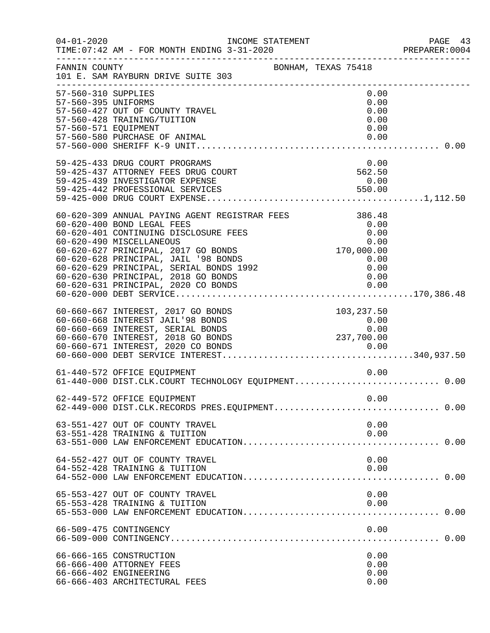| $04 - 01 - 2020$                                                   | INCOME STATEMENT<br>TIME: 07:42 AM - FOR MONTH ENDING 3-31-2020                                                                                                                                                                                                                                                   |                                                                                                                   | PAGE 43<br>PREPARER: 0004 |
|--------------------------------------------------------------------|-------------------------------------------------------------------------------------------------------------------------------------------------------------------------------------------------------------------------------------------------------------------------------------------------------------------|-------------------------------------------------------------------------------------------------------------------|---------------------------|
| FANNIN COUNTY                                                      | BONHAM, TEXAS 75418<br>101 E. SAM RAYBURN DRIVE SUITE 303                                                                                                                                                                                                                                                         |                                                                                                                   |                           |
| 57-560-310 SUPPLIES<br>57-560-395 UNIFORMS<br>57-560-571 EQUIPMENT | 57-560-427 OUT OF COUNTY TRAVEL<br>57-560-428 TRAINING/TUITION<br>57-560-580 PURCHASE OF ANIMAL                                                                                                                                                                                                                   | 0.00<br>0.00<br>0.00<br>0.00<br>0.00<br>0.00                                                                      |                           |
|                                                                    | 59-425-433 DRUG COURT PROGRAMS<br>59-425-437 ATTORNEY FEES DRUG COURT                                                                                                                                                                                                                                             | $0.00$<br>562.50                                                                                                  |                           |
|                                                                    | 60-620-309 ANNUAL PAYING AGENT REGISTRAR FEES<br>60-620-400 BOND LEGAL FEES<br>60-620-401 CONTINUING DISCLOSURE FEES<br>60-620-490 MISCELLANEOUS<br>60-620-627 PRINCIPAL, 2017 GO BONDS<br>60-620-628 PRINCIPAL, JAIL '98 BONDS<br>60-620-629 PRINCIPAL, SERIAL BONDS 1992<br>60-620-630 PRINCIPAL, 2018 GO BONDS | 386.48<br>0.00<br>0.00<br>0.00<br>$\begin{smallmatrix} & & 0.00\ 170,000.00\ 0.00\ 0.00\ 0.00\ \end{smallmatrix}$ |                           |
|                                                                    | 60-660-667 INTEREST, 2017 GO BONDS<br>60-660-668 INTEREST JAIL'98 BONDS<br>60-660-669 INTEREST, SERIAL BONDS                                                                                                                                                                                                      | 103,237.50<br>$\begin{array}{c} 0.00 \\ 0 \text{ on } \end{array}$<br>0.00                                        |                           |
|                                                                    | 61-440-572 OFFICE EQUIPMENT<br>61-440-000 DIST.CLK.COURT TECHNOLOGY EQUIPMENT 0.00                                                                                                                                                                                                                                | 0.00                                                                                                              |                           |
|                                                                    | 62-449-572 OFFICE EQUIPMENT<br>62-449-000 DIST.CLK.RECORDS PRES.EQUIPMENT 0.00                                                                                                                                                                                                                                    | 0.00                                                                                                              |                           |
|                                                                    | 63-551-427 OUT OF COUNTY TRAVEL<br>63-551-428 TRAINING & TUITION                                                                                                                                                                                                                                                  | 0.00<br>0.00                                                                                                      |                           |
|                                                                    | 64-552-427 OUT OF COUNTY TRAVEL<br>64-552-428 TRAINING & TUITION                                                                                                                                                                                                                                                  | 0.00<br>0.00                                                                                                      |                           |
|                                                                    | 65-553-427 OUT OF COUNTY TRAVEL<br>65-553-428 TRAINING & TUITION                                                                                                                                                                                                                                                  | 0.00<br>0.00                                                                                                      |                           |
|                                                                    | 66-509-475 CONTINGENCY                                                                                                                                                                                                                                                                                            | 0.00                                                                                                              |                           |
|                                                                    | 66-666-165 CONSTRUCTION<br>66-666-400 ATTORNEY FEES<br>66-666-402 ENGINEERING<br>66-666-403 ARCHITECTURAL FEES                                                                                                                                                                                                    | 0.00<br>0.00<br>0.00<br>0.00                                                                                      |                           |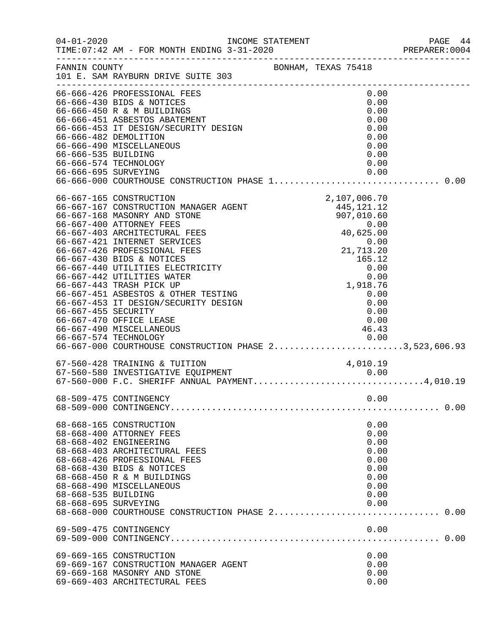| $04 - 01 - 2020$                            |                                                                                                                                                                                                                                                                                                                                                                                                                                                                                                                                                                       | INCOME STATEMENT                                                                                                                                                                                     | PAGE 44<br>PREPARER: 0004 |
|---------------------------------------------|-----------------------------------------------------------------------------------------------------------------------------------------------------------------------------------------------------------------------------------------------------------------------------------------------------------------------------------------------------------------------------------------------------------------------------------------------------------------------------------------------------------------------------------------------------------------------|------------------------------------------------------------------------------------------------------------------------------------------------------------------------------------------------------|---------------------------|
| FANNIN COUNTY                               | 101 E. SAM RAYBURN DRIVE SUITE 303                                                                                                                                                                                                                                                                                                                                                                                                                                                                                                                                    | BONHAM, TEXAS 75418                                                                                                                                                                                  |                           |
| 66-666-535 BUILDING<br>66-666-695 SURVEYING | 66-666-426 PROFESSIONAL FEES<br>66-666-430 BIDS & NOTICES<br>66-666-450 R & M BUILDINGS<br>66-666-450 R & M BUILDINGS<br>66-666-451 ASBESTOS ABATEMENT<br>66-666-453 IT DESIGN/SECURITY DESIGN<br>66-666-482 DEMOLITION<br>66-666-490 MISCELLANEOUS<br>66-666-574 TECHNOLOGY                                                                                                                                                                                                                                                                                          | 0.00<br>0.00<br>0.00<br>0.00<br>0.00<br>0.00<br>0.00<br>0.00<br>0.00<br>0.00                                                                                                                         |                           |
|                                             |                                                                                                                                                                                                                                                                                                                                                                                                                                                                                                                                                                       |                                                                                                                                                                                                      |                           |
| 66-667-455 SECURITY                         | 66-667-165 CONSTRUCTION<br>66-667-167 CONSTRUCTION MANAGER AGENT<br>66-667-168 MASONRY AND STONE<br>66-667-400 ATTORNEY FEES<br>66-667-403 ARCHITECTURAL FEES<br>66-667-421 INTERNET SERVICES<br>66-667-426 PROFESSIONAL FEES<br>66-667-430 BIDS & NOTICES<br>66-667-440 UTILITIES ELECTRICITY<br>66-667-442 UTILITIES WATER<br>66-667-443 TRASH PICK UP<br>66-667-451 ASBESTOS & OTHER TESTING<br>66-667-453 IT DESIGN/SECURITY DESIGN<br>66-667-470 OFFICE LEASE<br>66-667-490 MISCELLANEOUS<br>0.00 0.00<br>66-667-000 COURTHOUSE CONSTRUCTION PHASE 23,523,606.93 | 2,107,006.70<br>$\begin{array}{c} 21 \text{ , } \\ 16 \text{ , } \\ 0 \text{ , } 0 \text{ , } \\ 0 \text{ , } 00 \\ 1 \text{ , } 918 \text{ , } 76 \\ 0 \text{ , } 0 \\ 0 \\ \text{ , } \end{array}$ |                           |
|                                             | 67-560-428 TRAINING & TUITION<br>67-560-580 INVESTIGATIVE EQUIPMENT<br>67-560-580 INVESTIGATIVE EQUIPMENT<br>67-560-000 F.C. SHERIFF ANNUAL PAYMENT4,010.19                                                                                                                                                                                                                                                                                                                                                                                                           | 4,010.19                                                                                                                                                                                             |                           |
|                                             | 68-509-475 CONTINGENCY                                                                                                                                                                                                                                                                                                                                                                                                                                                                                                                                                | 0.00                                                                                                                                                                                                 |                           |
| 68-668-535 BUILDING<br>68-668-695 SURVEYING | 68-668-165 CONSTRUCTION<br>68-668-400 ATTORNEY FEES<br>68-668-402 ENGINEERING<br>68-668-403 ARCHITECTURAL FEES<br>68-668-426 PROFESSIONAL FEES<br>68-668-430 BIDS & NOTICES<br>68-668-450 R & M BUILDINGS<br>68-668-490 MISCELLANEOUS                                                                                                                                                                                                                                                                                                                                 | 0.00<br>0.00<br>0.00<br>0.00<br>0.00<br>0.00<br>0.00<br>0.00<br>0.00<br>0.00                                                                                                                         |                           |
|                                             | 69-509-475 CONTINGENCY                                                                                                                                                                                                                                                                                                                                                                                                                                                                                                                                                | 0.00                                                                                                                                                                                                 |                           |
|                                             | 69-669-165 CONSTRUCTION<br>69-669-167 CONSTRUCTION MANAGER AGENT<br>69-669-168 MASONRY AND STONE<br>69-669-403 ARCHITECTURAL FEES                                                                                                                                                                                                                                                                                                                                                                                                                                     | 0.00<br>0.00<br>0.00<br>0.00                                                                                                                                                                         |                           |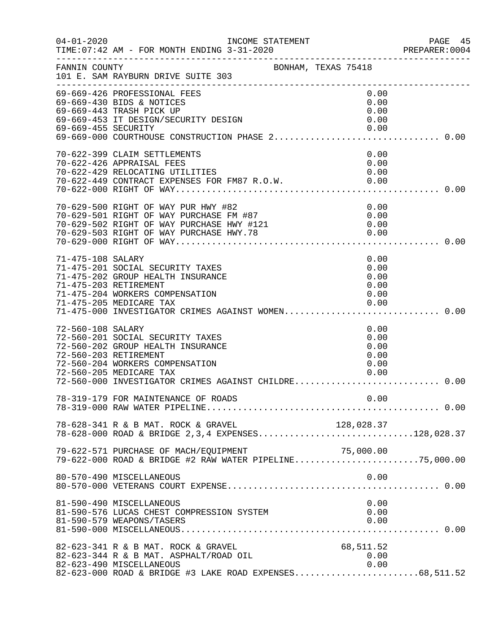| $04 - 01 - 2020$  | INCOME STATEMENT<br>TIME: 07:42 AM - FOR MONTH ENDING 3-31-2020                                                                                                                                                                                         |                                              | PAGE 45<br>PREPARER:0004 |
|-------------------|---------------------------------------------------------------------------------------------------------------------------------------------------------------------------------------------------------------------------------------------------------|----------------------------------------------|--------------------------|
| FANNIN COUNTY     | BONHAM, TEXAS 75418<br>101 E. SAM RAYBURN DRIVE SUITE 303                                                                                                                                                                                               |                                              |                          |
|                   | 69-669-426 PROFESSIONAL FEES<br>69-669-430 BIDS & NOTICES<br>69-669-443 TRASH PICK UP<br>69-669-453 IT DESIGN/SECURITY DESIGN                                                                                                                           | 0.00<br>0.00<br>0.00<br>0.00                 |                          |
|                   | 70-622-399 CLAIM SETTLEMENTS<br>70-622-426 APPRAISAL FEES                                                                                                                                                                                               | 0.00<br>0.00                                 |                          |
|                   | 70-629-500 RIGHT OF WAY PUR HWY #82<br>70-629-500 RIGHT OF WAY PUR HWY #82<br>70-629-501 RIGHT OF WAY PURCHASE FM #87 0.00<br>70-629-502 RIGHT OF WAY PURCHASE HWY #121 0.00<br>70-629-503 RIGHT OF WAY PURCHASE HWY.78 0.00<br>70-629-000 RIGHT OF WAY | 0.00                                         |                          |
| 71-475-108 SALARY | 71-475-201 SOCIAL SECURITY TAXES<br>71-475-202 GROUP HEALTH INSURANCE<br>71-475-203 RETIREMENT<br>71-475-204 WORKERS COMPENSATION<br>71-475-205 MEDICARE TAX<br>71-475-000 INVESTIGATOR CRIMES AGAINST WOMEN 0.00                                       | 0.00<br>0.00<br>0.00<br>0.00<br>0.00<br>0.00 |                          |
| 72-560-108 SALARY | 72-560-201 SOCIAL SECURITY TAXES<br>72-560-202 GROUP HEALTH INSURANCE<br>72-560-203 RETIREMENT<br>72-560-204 WORKERS COMPENSATION<br>72-560-205 MEDICARE TAX<br>72-560-000 INVESTIGATOR CRIMES AGAINST CHILDRE                                          | 0.00<br>0.00<br>0.00<br>0.00<br>0.00<br>0.00 | 0.00                     |
|                   |                                                                                                                                                                                                                                                         | 0.00                                         |                          |
|                   | 78-628-341 R & B MAT. ROCK & GRAVEL 128,028.37<br>78-628-000 ROAD & BRIDGE 2,3,4 EXPENSES128,028.37                                                                                                                                                     |                                              |                          |
|                   | 79-622-571 PURCHASE OF MACH/EQUIPMENT 79-622-571 PURCHASE OF MACH/EQUIPMENT 79-622-000.00                                                                                                                                                               |                                              |                          |
|                   | 80-570-490 MISCELLANEOUS                                                                                                                                                                                                                                | 0.00                                         |                          |
|                   | 81-590-490 MISCELLANEOUS<br>81-590-576 LUCAS CHEST COMPRESSION SYSTEM<br>81-590-579 WEAPONS/TASERS                                                                                                                                                      | 0.00<br>0.00<br>0.00                         |                          |
|                   | 82-623-341 R & B MAT. ROCK & GRAVEL<br>82-623-344 R & B MAT. ASPHALT/ROAD OIL<br>82-623-490 MISCELLANEOUS<br>82-623-000 ROAD & BRIDGE #3 LAKE ROAD EXPENSES68,511.52                                                                                    | 68,511.52<br>0.00<br>0.00                    |                          |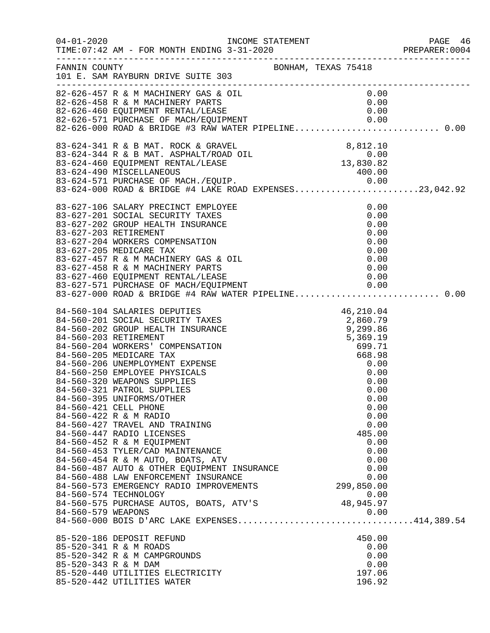|                      |                                                                                                                                                                                                                                                                                                                                                                                                                                                                                                                                                                                                                                                                                                                                                                                            |                                                                                                                  |                                                                                                                                           | PAGE 46<br>PREPARER:0004 |
|----------------------|--------------------------------------------------------------------------------------------------------------------------------------------------------------------------------------------------------------------------------------------------------------------------------------------------------------------------------------------------------------------------------------------------------------------------------------------------------------------------------------------------------------------------------------------------------------------------------------------------------------------------------------------------------------------------------------------------------------------------------------------------------------------------------------------|------------------------------------------------------------------------------------------------------------------|-------------------------------------------------------------------------------------------------------------------------------------------|--------------------------|
|                      | FANNIN COUNTY<br>101 E. SAM RAYBURN DRIVE SUITE 303                                                                                                                                                                                                                                                                                                                                                                                                                                                                                                                                                                                                                                                                                                                                        | BONHAM, TEXAS 75418                                                                                              |                                                                                                                                           |                          |
|                      | 82-626-457 R & M MACHINERY GAS & OIL<br>82-626-458 R & M MACHINERY PARTS<br>82-626-460 EQUIPMENT RENTAL/LEASE<br>82-626-571 PURCHASE OF MACH/EQUIPMENT                                                                                                                                                                                                                                                                                                                                                                                                                                                                                                                                                                                                                                     |                                                                                                                  | 0.00<br>0.00<br>0.00                                                                                                                      |                          |
|                      | 83-624-341 R & B MAT. ROCK & GRAVEL<br>83-624-344 R & B MAT. ASPHALT/ROAD OIL<br>83-624-460 EQUIPMENT RENTAL/LEASE 13,830.82<br>83-624-490 MISCELLANEOUS 400.00<br>83-624-490 MISCELLANEOUS<br>83-624-571 PURCHASE OF MACH./EQUIP. 0.00<br>83-624-000 ROAD & BRIDGE #4 LAKE ROAD EXPENSES23,042.92                                                                                                                                                                                                                                                                                                                                                                                                                                                                                         |                                                                                                                  |                                                                                                                                           |                          |
|                      | 83-627-106 SALARY PRECINCT EMPLOYEE<br>83-627-201 SOCIAL SECURITY TAXES<br>83-627-202 GROUP HEALTH INSURANCE<br>83-627-203 RETIREMENT<br>83-627-204 WORKERS COMPENSATION<br>83-627-205 MEDICARE TAX<br>83-627-457 R & M MACHINERY GAS & OIL<br>83-627-458 R & M MACHINERY PARTS<br>83-627-460 EQUIPMENT RENTAL/LEASE<br>83-627-571 PURCHASE OF MACH/EQUIPMENT 0.00<br>83-627-000 ROAD & BRIDGE #4 RAW WATER PIPELINE0.00                                                                                                                                                                                                                                                                                                                                                                   |                                                                                                                  | 0.00<br>0.00<br>0.00<br>0.00<br>0.00<br>0.00<br>0.00<br>0.00                                                                              |                          |
| 84-560-579 WEAPONS   | 84-560-104 SALARIES DEPUTIES<br>84-560-201 SOCIAL SECURITY TAXES<br>84-560-202 GROUP HEALTH INSURANCE<br>84-560-203 RETIREMENT<br>84-560-204 WORKERS' COMPENSATION<br>84-560-205 MEDICARE TAX<br>84-560-206 UNEMPLOYMENT EXPENSE<br>84-560-250 EMPLOYEE PHYSICALS<br>84-560-320 WEAPONS SUPPLIES<br>84-560-321 PATROL SUPPLIES<br>84-560-395 UNIFORMS/OTHER<br>84-560-421 CELL PHONE<br>84-560-422 R & M RADIO<br>84-560-427 TRAVEL AND TRAINING<br>84-560-447 RADIO LICENSES<br>84-560-452 R & M EQUIPMENT<br>84-560-453 TYLER/CAD MAINTENANCE<br>84-560-454 R & M AUTO, BOATS, ATV<br>84-560-487 AUTO & OTHER EQUIPMENT INSURANCE<br>84-560-488 LAW ENFORCEMENT INSURANCE<br>84-560-573 EMERGENCY RADIO IMPROVEMENTS<br>84-560-574 TECHNOLOGY<br>84-560-575 PURCHASE AUTOS, BOATS, ATV'S | $\begin{array}{r} 46,210.04 \\ 2,860.79 \\ 9,299.86 \\ 5,369.19 \\ 699.71 \\ 668.98 \\ 0.00 \\ 0.00 \end{array}$ | 0.00<br>0.00<br>0.00<br>0.00<br>0.00<br>0.00<br>485.00<br>0.00<br>0.00<br>0.00<br>0.00<br>0.00<br>299,850.00<br>0.00<br>48,945.97<br>0.00 |                          |
| 85-520-343 R & M DAM | 85-520-186 DEPOSIT REFUND<br>85-520-341 R & M ROADS<br>85-520-342 R & M CAMPGROUNDS<br>85-520-440 UTILITIES ELECTRICITY<br>85-520-442 UTILITIES WATER                                                                                                                                                                                                                                                                                                                                                                                                                                                                                                                                                                                                                                      |                                                                                                                  | 450.00<br>0.00<br>0.00<br>0.00<br>197.06<br>196.92                                                                                        |                          |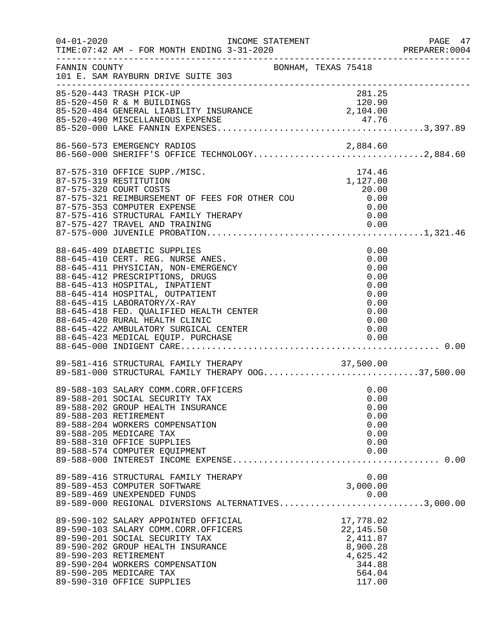| $04 - 01 - 2020$ | TIME: 07:42 AM - FOR MONTH ENDING 3-31-2020                                                                                                                                                                                                                                                                                  |  |                                                                                           | PAGE 47<br>PREPARER: 0004 |
|------------------|------------------------------------------------------------------------------------------------------------------------------------------------------------------------------------------------------------------------------------------------------------------------------------------------------------------------------|--|-------------------------------------------------------------------------------------------|---------------------------|
| FANNIN COUNTY    | BONHAM, TEXAS 75418<br>101 E. SAM RAYBURN DRIVE SUITE 303                                                                                                                                                                                                                                                                    |  |                                                                                           |                           |
|                  | 281.25<br>85-520-450 R & M BUILDINGS<br>85-520-484 GENERAL LIABILITY INSURANCE<br>85-520-490 MISCELLANEOUS EXPENSE                                                                                                                                                                                                           |  | 281.25<br>120.90                                                                          |                           |
|                  | 86-560-573 EMERGENCY RADIOS 2,884.60<br>86-560-000 SHERIFF'S OFFICE TECHNOLOGY2,884.60                                                                                                                                                                                                                                       |  |                                                                                           |                           |
|                  | 87-575-310 OFFICE SUPP./MISC.<br>87-575-319 RESTITUTION<br>87-575-319 RESTITUTION<br>87-575-320 COURT COSTS 20.00<br>87-575-321 REIMBURSEMENT OF FEES FOR OTHER COU 6.00<br>87-575-353 COMPUTER EXPENSE<br>87-575-416 STRUCTURAL FAMILY THERAPY                                                                              |  | 174.46<br>1,127.00<br>0.00                                                                |                           |
|                  | 88-645-409 DIABETIC SUPPLIES<br>88-645-410 CERT. REG. NURSE ANES.<br>88-645-411 PHYSICIAN, NON-EMERGENCY<br>88-645-412 PRESCRIPTIONS, DRUGS<br>88-645-413 HOSPITAL, INPATIENT<br>88-645-414 HOSPITAL, OUTPATIENT<br>88-645-415 LABORATORY/X-RAY<br>88-645-418 FED. QUALIFIED HEALTH CENTER<br>88-645-420 RURAL HEALTH CLINIC |  | 0.00<br>0.00<br>0.00<br>0.00<br>0.00<br>0.00<br>0.00<br>0.00<br>0.00                      |                           |
|                  | 89-581-416 STRUCTURAL FAMILY THERAPY 37,500.00<br>89-581-000 STRUCTURAL FAMILY THERAPY OOG37,500.00                                                                                                                                                                                                                          |  |                                                                                           |                           |
|                  | 89-588-103 SALARY COMM.CORR.OFFICERS<br>89-588-201 SOCIAL SECURITY TAX<br>89-588-202 GROUP HEALTH INSURANCE<br>89-588-203 RETIREMENT<br>89-588-204 WORKERS COMPENSATION<br>89-588-205 MEDICARE TAX<br>89-588-310 OFFICE SUPPLIES<br>89-588-574 COMPUTER EQUIPMENT                                                            |  | 0.00<br>0.00<br>0.00<br>0.00<br>0.00<br>0.00<br>0.00<br>0.00                              |                           |
|                  | 89-589-416 STRUCTURAL FAMILY THERAPY<br>89-589-453 COMPUTER SOFTWARE<br>89-589-469 UNEXPENDED FUNDS<br>89-589-000 REGIONAL DIVERSIONS ALTERNATIVES3,000.00                                                                                                                                                                   |  | 0.00<br>3,000.00                                                                          |                           |
|                  | 89-590-102 SALARY APPOINTED OFFICIAL<br>89-590-103 SALARY COMM.CORR.OFFICERS<br>89-590-201 SOCIAL SECURITY TAX<br>89-590-202 GROUP HEALTH INSURANCE<br>89-590-203 RETIREMENT<br>89-590-204 WORKERS COMPENSATION<br>89-590-205 MEDICARE TAX<br>89-590-310 OFFICE SUPPLIES                                                     |  | 17,778.02<br>22, 145.50<br>2,411.87<br>8,900.28<br>4,625.42<br>344.88<br>564.04<br>117.00 |                           |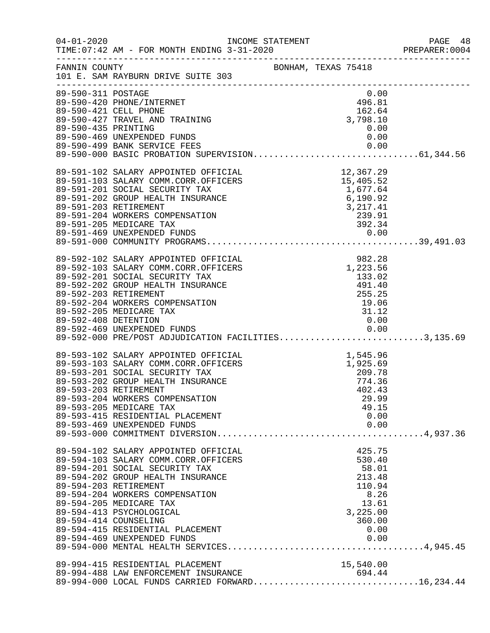| $04 - 01 - 2020$    | TIME:07:42 AM - FOR MONTH ENDING 3-31-2020 PREPARER:0004                                                                                                                                                                                 | INCOME STATEMENT<br>2 21 2020 |                 | PAGE 48<br>PREPARER: 0004 |
|---------------------|------------------------------------------------------------------------------------------------------------------------------------------------------------------------------------------------------------------------------------------|-------------------------------|-----------------|---------------------------|
| FANNIN COUNTY       | 101 E. SAM RAYBURN DRIVE SUITE 303                                                                                                                                                                                                       | BONHAM, TEXAS 75418           |                 |                           |
| 89-590-311 POSTAGE  |                                                                                                                                                                                                                                          |                               | 0.00            |                           |
|                     | 89-590-420 PHONE/INTERNET                                                                                                                                                                                                                |                               | 496.81          |                           |
|                     | 89-590-421 CELL PHONE<br>89-590-421 CELL PHONE<br>89-590-427 TRAVEL AND TRAINING                                                                                                                                                         |                               | 162.64          |                           |
|                     |                                                                                                                                                                                                                                          |                               | 3,798.10        |                           |
| 89-590-435 PRINTING |                                                                                                                                                                                                                                          |                               | 0.00            |                           |
|                     | 89-590-469 UNEXPENDED FUNDS                                                                                                                                                                                                              |                               | 0.00            |                           |
|                     |                                                                                                                                                                                                                                          |                               |                 |                           |
|                     |                                                                                                                                                                                                                                          |                               |                 |                           |
|                     | 89-591-102 SALARY APPOINTED OFFICIAL 12,367.29<br>89-591-103 SALARY COMM.CORR.OFFICERS 15,405.52<br>89-591-201 SOCIAL SECURITY TAX 1,677.64<br>89-591-202 GROUP HEALTH INSURANCE 6,190.92<br>89-591-203 RETIREMENT 3,217.41<br>89-591-20 |                               |                 |                           |
|                     |                                                                                                                                                                                                                                          |                               |                 |                           |
|                     |                                                                                                                                                                                                                                          |                               |                 |                           |
|                     |                                                                                                                                                                                                                                          |                               |                 |                           |
|                     |                                                                                                                                                                                                                                          |                               |                 |                           |
|                     | 89-591-204 WORKERS COMPENSATION                                                                                                                                                                                                          |                               | 239.91          |                           |
|                     |                                                                                                                                                                                                                                          |                               |                 |                           |
|                     |                                                                                                                                                                                                                                          |                               |                 |                           |
|                     |                                                                                                                                                                                                                                          |                               |                 |                           |
|                     |                                                                                                                                                                                                                                          |                               |                 |                           |
|                     |                                                                                                                                                                                                                                          |                               |                 |                           |
|                     |                                                                                                                                                                                                                                          |                               |                 |                           |
|                     | 89-592-102 SALARY APPOINTED OFFICIAL (982.28)<br>89-592-103 SALARY COMM.CORR.OFFICERS (1,223.56)<br>89-592-201 SOCIAL SECURITY TAX (133.02)<br>89-592-202 GROUP HEALTH INSURANCE (491.40)<br>89-592-203 RETIREMENT (255.25)              |                               |                 |                           |
|                     | 89-592-203 RETIREMENT                                                                                                                                                                                                                    |                               | 255.25          |                           |
|                     | 89-592-204 WORKERS COMPENSATION                                                                                                                                                                                                          |                               | 19.06           |                           |
|                     | 89-592-205 MEDICARE TAX                                                                                                                                                                                                                  |                               | 31.12           |                           |
|                     | 89-592-408 DETENTION                                                                                                                                                                                                                     |                               | 0.00            |                           |
|                     |                                                                                                                                                                                                                                          |                               |                 |                           |
|                     | 89-592-469 UNEXPENDED FUNDS<br>89-592-000 PRE/POST ADJUDICATION FACILITIES3,135.69                                                                                                                                                       |                               |                 |                           |
|                     |                                                                                                                                                                                                                                          |                               |                 |                           |
|                     | 89-593-102 SALARY APPOINTED OFFICIAL 1,545.96<br>89-593-103 SALARY COMM.CORR.OFFICERS 1,925.69<br>89-593-201 SOCIAL SECURITY TAX 209.78<br>89-593-202 GROUP HEALTH INSURANCE 774.36                                                      |                               |                 |                           |
|                     |                                                                                                                                                                                                                                          |                               |                 |                           |
|                     |                                                                                                                                                                                                                                          |                               | 774.36          |                           |
|                     | 89-593-203 RETIREMENT                                                                                                                                                                                                                    |                               | 402.43          |                           |
|                     | 89-593-204 WORKERS COMPENSATION                                                                                                                                                                                                          |                               | 29.99           |                           |
|                     | 89-593-205 MEDICARE TAX                                                                                                                                                                                                                  |                               | 49.15           |                           |
|                     | 89-593-415 RESIDENTIAL PLACEMENT                                                                                                                                                                                                         |                               | 0.00            |                           |
|                     |                                                                                                                                                                                                                                          |                               |                 |                           |
|                     |                                                                                                                                                                                                                                          |                               |                 |                           |
|                     |                                                                                                                                                                                                                                          |                               |                 |                           |
|                     | 89-594-102 SALARY APPOINTED OFFICIAL                                                                                                                                                                                                     |                               | 425.75          |                           |
|                     | 89-594-103 SALARY COMM.CORR.OFFICERS                                                                                                                                                                                                     |                               | 530.40          |                           |
|                     | 89-594-201 SOCIAL SECURITY TAX                                                                                                                                                                                                           |                               | 58.01<br>213.48 |                           |
|                     | 89-594-202 GROUP HEALTH INSURANCE<br>89-594-203 RETIREMENT                                                                                                                                                                               |                               | 110.94          |                           |
|                     | 89-594-204 WORKERS COMPENSATION                                                                                                                                                                                                          |                               | 8.26            |                           |
|                     | 89-594-205 MEDICARE TAX                                                                                                                                                                                                                  |                               | 13.61           |                           |
|                     | 89-594-413 PSYCHOLOGICAL                                                                                                                                                                                                                 |                               | 3,225.00        |                           |
|                     | 89-594-414 COUNSELING                                                                                                                                                                                                                    |                               | 360.00          |                           |
|                     | 89-594-415 RESIDENTIAL PLACEMENT                                                                                                                                                                                                         |                               | 0.00            |                           |
|                     | 89-594-469 UNEXPENDED FUNDS                                                                                                                                                                                                              |                               | 0.00            |                           |
|                     |                                                                                                                                                                                                                                          |                               |                 |                           |
|                     |                                                                                                                                                                                                                                          |                               |                 |                           |
|                     | 89-994-415 RESIDENTIAL PLACEMENT                                                                                                                                                                                                         |                               | 15,540.00       |                           |
|                     | 89-994-415 RESIDENTIAL PLACEMENT<br>89-994-488 LAW ENFORCEMENT INSURANCE 694.44<br>89-994-000 LOCAL FUNDS CARRIED FORWARD16,234.44                                                                                                       |                               |                 |                           |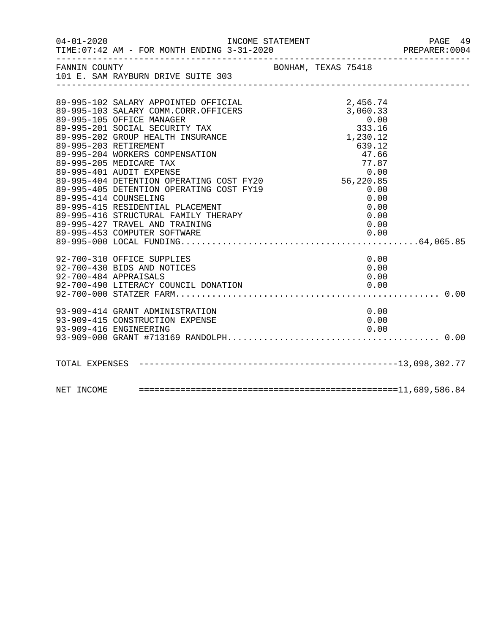|                                                                                                      | PREPARER: 0004 |
|------------------------------------------------------------------------------------------------------|----------------|
| FANNIN COUNTY<br>BONHAM, TEXAS 75418<br>101 E. SAM RAYBURN DRIVE SUITE 303                           |                |
|                                                                                                      |                |
|                                                                                                      |                |
| 89-995-102 SALARY APPOINTED OFFICIAL<br>2,456.74<br>89-995-103 SALARY COMM.CORR.OFFICERS<br>3,060.33 |                |
| 0.00<br>89-995-105 OFFICE MANAGER                                                                    |                |
| 89-995-201 SOCIAL SECURITY TAX<br>333.16                                                             |                |
| 1,230.12<br>89-995-202 GROUP HEALTH INSURANCE                                                        |                |
| 639.12<br>89-995-203 RETIREMENT                                                                      |                |
| 89-995-204 WORKERS COMPENSATION<br>47.66                                                             |                |
| 89-995-205 MEDICARE TAX<br>77.87                                                                     |                |
| 89-995-401 AUDIT EXPENSE                                                                             |                |
| 0.00<br>56,220.85<br>89-995-404 DETENTION OPERATING COST FY20                                        |                |
| 89-995-405 DETENTION OPERATING COST FY19<br>0.00                                                     |                |
| 89-995-414 COUNSELING<br>0.00                                                                        |                |
| 89-995-415 RESIDENTIAL PLACEMENT<br>0.00                                                             |                |
| 89-995-416 STRUCTURAL FAMILY THERAPY<br>0.00                                                         |                |
| 89-995-427 TRAVEL AND TRAINING<br>0.00                                                               |                |
|                                                                                                      |                |
|                                                                                                      |                |
| 92-700-310 OFFICE SUPPLIES<br>0.00                                                                   |                |
| 0.00<br>92-700-430 BIDS AND NOTICES                                                                  |                |
| 92-700-484 APPRAISALS<br>0.00                                                                        |                |
| 0.00<br>92-700-490 LITERACY COUNCIL DONATION                                                         |                |
|                                                                                                      |                |
| 93-909-414 GRANT ADMINISTRATION<br>0.00                                                              |                |
| 93-909-415 CONSTRUCTION EXPENSE<br>0.00                                                              |                |
| 93-909-416 ENGINEERING<br>0.00                                                                       |                |
|                                                                                                      |                |
|                                                                                                      |                |
|                                                                                                      |                |
|                                                                                                      |                |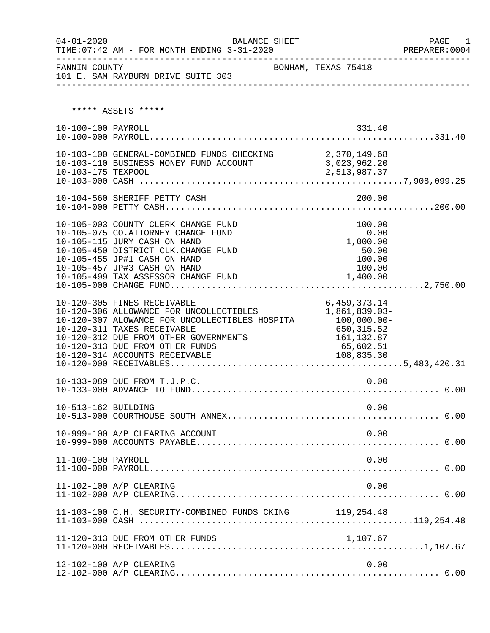| $04 - 01 - 2020$    | BALANCE SHEET                                                                                                                                                                                                                                                         |                                                                                                      | PAGE<br>1<br>PREPARER: 0004 |
|---------------------|-----------------------------------------------------------------------------------------------------------------------------------------------------------------------------------------------------------------------------------------------------------------------|------------------------------------------------------------------------------------------------------|-----------------------------|
| FANNIN COUNTY       | 101 E. SAM RAYBURN DRIVE SUITE 303                                                                                                                                                                                                                                    | BONHAM, TEXAS 75418                                                                                  |                             |
|                     | ***** ASSETS *****                                                                                                                                                                                                                                                    |                                                                                                      |                             |
| 10-100-100 PAYROLL  |                                                                                                                                                                                                                                                                       | 331.40                                                                                               |                             |
| 10-103-175 TEXPOOL  | 10-103-100 GENERAL-COMBINED FUNDS CHECKING 2,370,149.68<br>10-103-110 BUSINESS MONEY FUND ACCOUNT 3,023,962.20                                                                                                                                                        | 2,513,987.37                                                                                         |                             |
|                     |                                                                                                                                                                                                                                                                       |                                                                                                      |                             |
|                     | 10-105-003 COUNTY CLERK CHANGE FUND<br>10-105-075 CO.ATTORNEY CHANGE FUND<br>10-105-115 JURY CASH ON HAND<br>10-105-450 DISTRICT CLK. CHANGE FUND<br>10-105-455 JP#1 CASH ON HAND<br>10-105-457 JP#3 CASH ON HAND<br>10-105-499 TAX ASSESSOR CHANGE FUND              | 100.00<br>0.00<br>1,000.00<br>50.00<br>100.00<br>100.00<br>1,400.00                                  |                             |
|                     | 10-120-305 FINES RECEIVABLE<br>10-120-306 ALLOWANCE FOR UNCOLLECTIBLES<br>10-120-307 ALOWANCE FOR UNCOLLECTIBLES HOSPITA<br>10-120-311 TAXES RECEIVABLE<br>10-120-312 DUE FROM OTHER GOVERNMENTS<br>10-120-313 DUE FROM OTHER FUNDS<br>10-120-314 ACCOUNTS RECEIVABLE | 6,459,373.14<br>1,861,839.03-<br>100,000.00-<br>650,315.52<br>161, 132.87<br>65,602.51<br>108,835.30 |                             |
|                     | 10-133-089 DUE FROM T.J.P.C.                                                                                                                                                                                                                                          | 0.00                                                                                                 |                             |
| 10-513-162 BUILDING |                                                                                                                                                                                                                                                                       | 0.00                                                                                                 |                             |
|                     | 10-999-100 A/P CLEARING ACCOUNT                                                                                                                                                                                                                                       | 0.00                                                                                                 |                             |
| 11-100-100 PAYROLL  |                                                                                                                                                                                                                                                                       | 0.00                                                                                                 |                             |
|                     | 11-102-100 A/P CLEARING                                                                                                                                                                                                                                               | 0.00                                                                                                 |                             |
|                     | 11-103-100 C.H. SECURITY-COMBINED FUNDS CKING 119,254.48                                                                                                                                                                                                              |                                                                                                      |                             |
|                     | 11-120-313 DUE FROM OTHER FUNDS                                                                                                                                                                                                                                       | 1,107.67                                                                                             |                             |
|                     | 12-102-100 A/P CLEARING                                                                                                                                                                                                                                               | 0.00                                                                                                 |                             |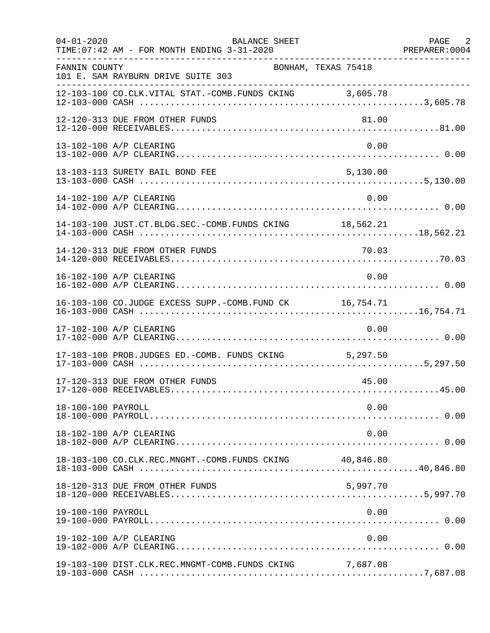| $04 - 01 - 2020$   | BALANCE SHEET<br>TIME: 07:42 AM - FOR MONTH ENDING 3-31-2020 |          | PAGE 2<br>PREPARER: 0004 |
|--------------------|--------------------------------------------------------------|----------|--------------------------|
| FANNIN COUNTY      | BONHAM, TEXAS 75418<br>101 E. SAM RAYBURN DRIVE SUITE 303    |          |                          |
|                    | 12-103-100 CO.CLK.VITAL STAT.-COMB.FUNDS CKING 3,605.78      |          |                          |
|                    | 12-120-313 DUE FROM OTHER FUNDS                              | 81.00    |                          |
|                    | 13-102-100 A/P CLEARING                                      | 0.00     |                          |
|                    | 13-103-113 SURETY BAIL BOND FEE                              | 5,130.00 |                          |
|                    | 14-102-100 A/P CLEARING                                      | 0.00     |                          |
|                    | 14-103-100 JUST.CT.BLDG.SEC.-COMB.FUNDS CKING 18,562.21      |          |                          |
|                    |                                                              |          |                          |
|                    | 16-102-100 A/P CLEARING                                      | 0.00     |                          |
|                    | 16-103-100 CO.JUDGE EXCESS SUPP.-COMB.FUND CK 16,754.71      |          |                          |
|                    | 17-102-100 A/P CLEARING                                      | 0.00     |                          |
|                    | 17-103-100 PROB.JUDGES ED.-COMB. FUNDS CKING 5,297.50        |          |                          |
|                    | 17-120-313 DUE FROM OTHER FUNDS                              | 45.00    |                          |
| 18-100-100 PAYROLL |                                                              | 0.00     |                          |
|                    | 18-102-100 A/P CLEARING                                      | 0.00     |                          |
|                    | 18-103-100 CO.CLK.REC.MNGMT.-COMB.FUNDS CKING 40,846.80      |          |                          |
|                    | 18-120-313 DUE FROM OTHER FUNDS                              | 5,997.70 |                          |
| 19-100-100 PAYROLL |                                                              | 0.00     |                          |
|                    | 19-102-100 A/P CLEARING                                      | 0.00     |                          |
|                    | 19-103-100 DIST.CLK.REC.MNGMT-COMB.FUNDS CKING 7,687.08      |          |                          |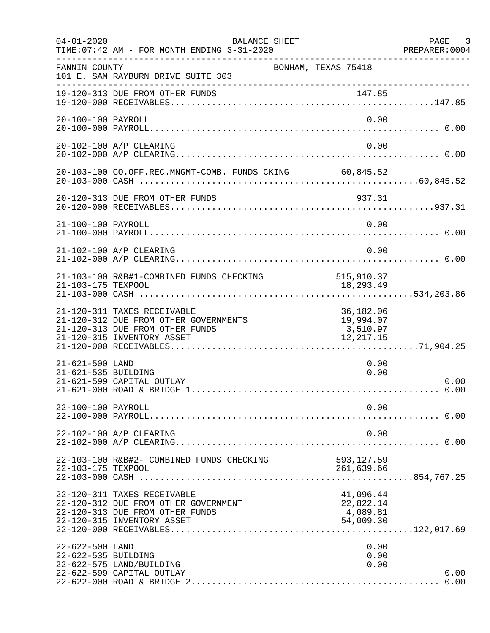| $04 - 01 - 2020$                       | BALANCE SHEET<br>TIME: 07:42 AM - FOR MONTH ENDING 3-31-2020                                                                          |                                                 | PAGE 3<br>PREPARER: 0004 |
|----------------------------------------|---------------------------------------------------------------------------------------------------------------------------------------|-------------------------------------------------|--------------------------|
| FANNIN COUNTY                          | 101 E. SAM RAYBURN DRIVE SUITE 303                                                                                                    | BONHAM, TEXAS 75418                             |                          |
|                                        | 19-120-313 DUE FROM OTHER FUNDS                                                                                                       |                                                 |                          |
| 20-100-100 PAYROLL                     |                                                                                                                                       | 0.00                                            |                          |
|                                        | 20-102-100 A/P CLEARING                                                                                                               | 0.00                                            |                          |
|                                        | 20-103-100 CO.OFF.REC.MNGMT-COMB. FUNDS CKING 60,845.52                                                                               |                                                 |                          |
|                                        | 20-120-313 DUE FROM OTHER FUNDS                                                                                                       | 937.31                                          |                          |
| 21-100-100 PAYROLL                     |                                                                                                                                       | 0.00                                            |                          |
|                                        | 21-102-100 A/P CLEARING                                                                                                               | 0.00                                            |                          |
|                                        | 21-103-100 R&B#1-COMBINED FUNDS CHECKING                                                                                              | 515, 910.37                                     |                          |
|                                        | 21-120-311 TAXES RECEIVABLE<br>21-120-312 DUE FROM OTHER GOVERNMENTS<br>21-120-313 DUE FROM OTHER FUNDS<br>21-120-315 INVENTORY ASSET | 36,182.06<br>19,994.07<br>3,510.97<br>12,217.15 |                          |
| 21-621-500 LAND<br>21-621-535 BUILDING | 21-621-599 CAPITAL OUTLAY                                                                                                             | 0.00<br>0.00                                    | 0.00                     |
| 22-100-100 PAYROLL                     |                                                                                                                                       | 0.00                                            |                          |
|                                        | 22-102-100 A/P CLEARING                                                                                                               | 0.00                                            |                          |
| 22-103-175 TEXPOOL                     | 22-103-100 R&B#2- COMBINED FUNDS CHECKING                                                                                             | 593, 127.59<br>261,639.66                       |                          |
|                                        | 22-120-311 TAXES RECEIVABLE<br>22-120-312 DUE FROM OTHER GOVERNMENT<br>22-120-313 DUE FROM OTHER FUNDS<br>22-120-315 INVENTORY ASSET  | 41,096.44<br>22,822.14<br>4,089.81<br>54,009.30 |                          |
| 22-622-500 LAND<br>22-622-535 BUILDING | 22-622-575 LAND/BUILDING<br>22-622-599 CAPITAL OUTLAY                                                                                 | 0.00<br>0.00<br>0.00                            | 0.00                     |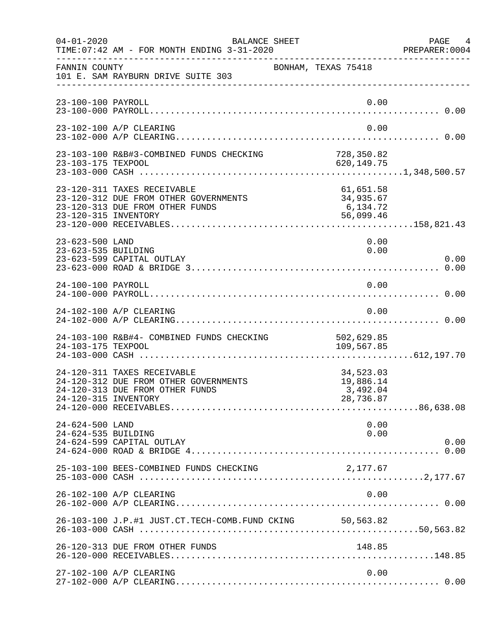| $04 - 01 - 2020$                       | BALANCE SHEET<br>TIME: 07:42 AM - FOR MONTH ENDING 3-31-2020                                                                    |                                                 | PAGE 4<br>PREPARER:0004 |
|----------------------------------------|---------------------------------------------------------------------------------------------------------------------------------|-------------------------------------------------|-------------------------|
| FANNIN COUNTY                          | 101 E. SAM RAYBURN DRIVE SUITE 303                                                                                              | BONHAM, TEXAS 75418                             |                         |
| 23-100-100 PAYROLL                     |                                                                                                                                 | 0.00                                            |                         |
|                                        | 23-102-100 A/P CLEARING                                                                                                         | 0.00                                            |                         |
| 23-103-175 TEXPOOL                     | 23-103-100 R&B#3-COMBINED FUNDS CHECKING 728,350.82                                                                             | 620,149.75                                      |                         |
|                                        | 23-120-311 TAXES RECEIVABLE<br>23-120-312 DUE FROM OTHER GOVERNMENTS<br>23-120-313 DUE FROM OTHER FUNDS<br>23-120-315 INVENTORY | 61,651.58<br>34,935.67<br>6,134.72<br>56,099.46 |                         |
| 23-623-500 LAND<br>23-623-535 BUILDING | 23-623-599 CAPITAL OUTLAY                                                                                                       | 0.00<br>0.00                                    | 0.00                    |
| 24-100-100 PAYROLL                     |                                                                                                                                 | 0.00                                            |                         |
|                                        | 24-102-100 A/P CLEARING                                                                                                         | 0.00                                            |                         |
| 24-103-175 TEXPOOL                     | 24-103-100 R&B#4- COMBINED FUNDS CHECKING                                                                                       | 502,629.85<br>109,567.85                        |                         |
|                                        | 24-120-311 TAXES RECEIVABLE<br>24-120-312 DUE FROM OTHER GOVERNMENTS<br>24-120-313 DUE FROM OTHER FUNDS<br>24-120-315 INVENTORY | 34,523.03<br>19,886.14<br>3,492.04<br>28,736.87 |                         |
| 24-624-500 LAND<br>24-624-535 BUILDING | 24-624-599 CAPITAL OUTLAY                                                                                                       | 0.00<br>0.00                                    | 0.00                    |
|                                        | 25-103-100 BEES-COMBINED FUNDS CHECKING                                                                                         | 2,177.67                                        |                         |
|                                        | 26-102-100 A/P CLEARING                                                                                                         | 0.00                                            |                         |
|                                        | 26-103-100 J.P.#1 JUST.CT.TECH-COMB.FUND CKING 50,563.82                                                                        |                                                 |                         |
|                                        | 26-120-313 DUE FROM OTHER FUNDS                                                                                                 | 148.85                                          |                         |
|                                        | 27-102-100 A/P CLEARING                                                                                                         | 0.00                                            |                         |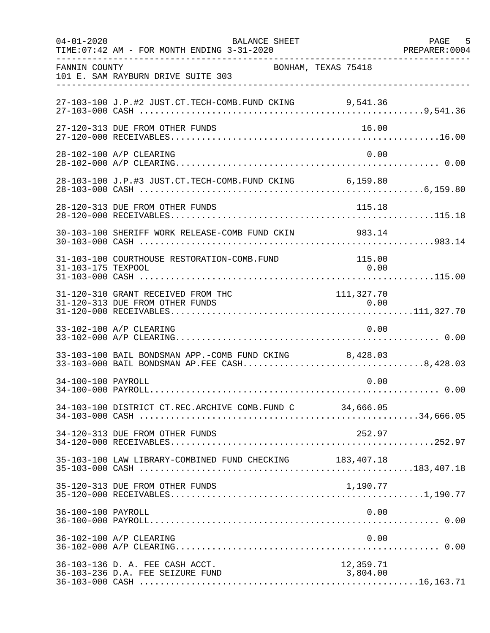| $04 - 01 - 2020$   | BALANCE SHEET<br>TIME: 07:42 AM - FOR MONTH ENDING 3-31-2020                                           |                       | PAGE 5<br>PREPARER: 0004 |
|--------------------|--------------------------------------------------------------------------------------------------------|-----------------------|--------------------------|
| FANNIN COUNTY      | BONHAM, TEXAS 75418<br>101 E. SAM RAYBURN DRIVE SUITE 303                                              |                       |                          |
|                    | 27-103-100 J.P.#2 JUST.CT.TECH-COMB.FUND CKING 9,541.36                                                |                       |                          |
|                    | 27-120-313 DUE FROM OTHER FUNDS                                                                        | 16.00                 |                          |
|                    | 28-102-100 A/P CLEARING                                                                                | 0.00                  |                          |
|                    | 28-103-100 J.P.#3 JUST.CT.TECH-COMB.FUND CKING 6,159.80                                                |                       |                          |
|                    | 28-120-313 DUE FROM OTHER FUNDS                                                                        | 115.18                |                          |
|                    | 30-103-100 SHERIFF WORK RELEASE-COMB FUND CKIN 983.14                                                  |                       |                          |
| 31-103-175 TEXPOOL | 31-103-100 COURTHOUSE RESTORATION-COMB.FUND                                                            | 115.00<br>0.00        |                          |
|                    | 31-120-310 GRANT RECEIVED FROM THC                                                                     | 111, 327.70           |                          |
|                    | 33-102-100 A/P CLEARING                                                                                | 0.00                  |                          |
|                    | 33-103-100 BAIL BONDSMAN APP.-COMB FUND CKING 8,428.03<br>33-103-000 BAIL BONDSMAN AP.FEE CASH8,428.03 |                       |                          |
| 34-100-100 PAYROLL |                                                                                                        | 0.00                  |                          |
|                    | 34-103-100 DISTRICT CT.REC.ARCHIVE COMB.FUND C 34,666.05                                               |                       |                          |
|                    | 34-120-313 DUE FROM OTHER FUNDS                                                                        | 252.97                |                          |
|                    | 35-103-100 LAW LIBRARY-COMBINED FUND CHECKING 183,407.18                                               |                       |                          |
|                    | 35-120-313 DUE FROM OTHER FUNDS                                                                        | 1,190.77              |                          |
| 36-100-100 PAYROLL |                                                                                                        | 0.00                  |                          |
|                    | 36-102-100 A/P CLEARING                                                                                | 0.00                  |                          |
|                    | 36-103-136 D. A. FEE CASH ACCT.<br>36-103-236 D.A. FEE SEIZURE FUND                                    | 12,359.71<br>3,804.00 |                          |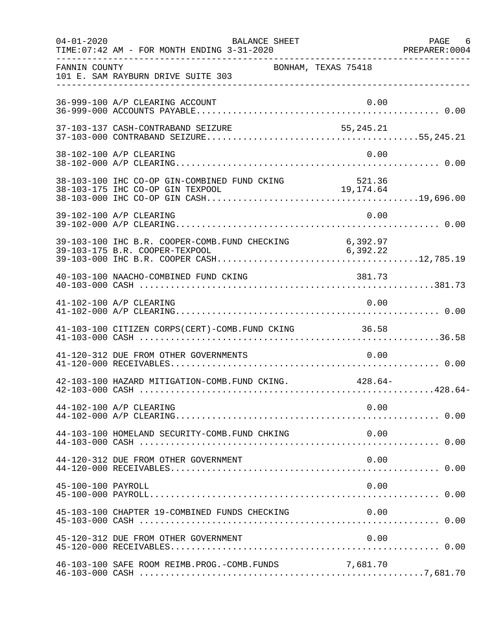| $04 - 01 - 2020$   | BALANCE SHEET<br>TIME: 07:42 AM - FOR MONTH ENDING 3-31-2020 |          | PAGE 6 |
|--------------------|--------------------------------------------------------------|----------|--------|
| FANNIN COUNTY      | BONHAM, TEXAS 75418<br>101 E. SAM RAYBURN DRIVE SUITE 303    |          |        |
|                    | 36-999-100 A/P CLEARING ACCOUNT                              | 0.00     |        |
|                    |                                                              |          |        |
|                    | 38-102-100 A/P CLEARING                                      | 0.00     |        |
|                    |                                                              |          |        |
|                    | 39-102-100 A/P CLEARING                                      | 0.00     |        |
|                    |                                                              |          |        |
|                    |                                                              |          |        |
|                    | 41-102-100 A/P CLEARING                                      | 0.00     |        |
|                    | 41-103-100 CITIZEN CORPS(CERT)-COMB. FUND CKING 36.58        |          |        |
|                    | 41-120-312 DUE FROM OTHER GOVERNMENTS                        | 0.00     |        |
|                    | 42-103-100 HAZARD MITIGATION-COMB. FUND CKING. 428.64-       |          |        |
|                    | 44-102-100 A/P CLEARING                                      | 0.00     |        |
|                    | 44-103-100 HOMELAND SECURITY-COMB.FUND CHKING                | 0.00     |        |
|                    | 44-120-312 DUE FROM OTHER GOVERNMENT                         | 0.00     |        |
| 45-100-100 PAYROLL |                                                              | 0.00     |        |
|                    | 45-103-100 CHAPTER 19-COMBINED FUNDS CHECKING                | 0.00     |        |
|                    | 45-120-312 DUE FROM OTHER GOVERNMENT                         | 0.00     |        |
|                    | 46-103-100 SAFE ROOM REIMB. PROG. - COMB. FUNDS              | 7,681.70 |        |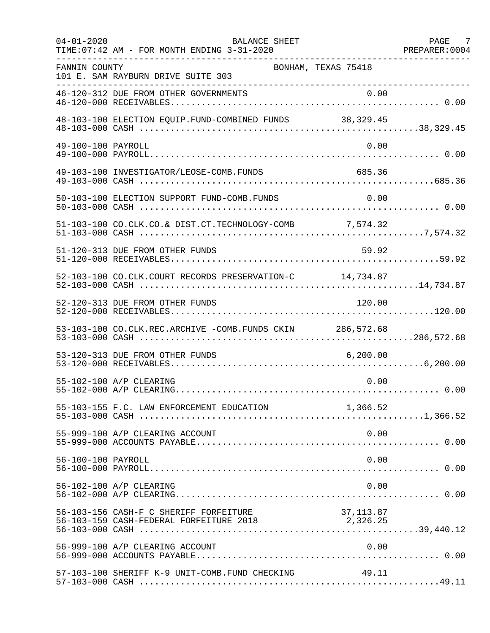| $04 - 01 - 2020$   | BALANCE SHEET<br>TIME: 07:42 AM - FOR MONTH ENDING 3-31-2020                      |                       | PAGE 7<br>PREPARER: 0004 |
|--------------------|-----------------------------------------------------------------------------------|-----------------------|--------------------------|
| FANNIN COUNTY      | BONHAM, TEXAS 75418<br>101 E. SAM RAYBURN DRIVE SUITE 303                         |                       |                          |
|                    | 46-120-312 DUE FROM OTHER GOVERNMENTS                                             |                       |                          |
|                    | 48-103-100 ELECTION EQUIP.FUND-COMBINED FUNDS 38,329.45                           |                       |                          |
| 49-100-100 PAYROLL |                                                                                   | 0.00                  |                          |
|                    | 49-103-100 INVESTIGATOR/LEOSE-COMB.FUNDS                                          | 685.36                |                          |
|                    | 50-103-100 ELECTION SUPPORT FUND-COMB.FUNDS                                       | 0.00                  |                          |
|                    | 51-103-100 CO.CLK.CO.& DIST.CT.TECHNOLOGY-COMB 7,574.32                           |                       |                          |
|                    | 51-120-313 DUE FROM OTHER FUNDS                                                   | 59.92                 |                          |
|                    | 52-103-100 CO.CLK.COURT RECORDS PRESERVATION-C 14,734.87                          |                       |                          |
|                    | 52-120-313 DUE FROM OTHER FUNDS                                                   | 120.00                |                          |
|                    | 53-103-100 CO.CLK.REC.ARCHIVE -COMB.FUNDS CKIN 286,572.68                         |                       |                          |
|                    | 53-120-313 DUE FROM OTHER FUNDS                                                   | 6, 200.00             |                          |
|                    | 55-102-100 A/P CLEARING                                                           | 0.00                  |                          |
|                    | 55-103-155 F.C. LAW ENFORCEMENT EDUCATION 1,366.52                                |                       |                          |
|                    | 55-999-100 A/P CLEARING ACCOUNT                                                   | 0.00                  |                          |
| 56-100-100 PAYROLL |                                                                                   | 0.00                  |                          |
|                    | 56-102-100 A/P CLEARING                                                           | 0.00                  |                          |
|                    | 56-103-156 CASH-F C SHERIFF FORFEITURE<br>56-103-159 CASH-FEDERAL FORFEITURE 2018 | 37,113.87<br>2,326.25 |                          |
|                    | 56-999-100 A/P CLEARING ACCOUNT                                                   | 0.00                  |                          |
|                    | 57-103-100 SHERIFF K-9 UNIT-COMB.FUND CHECKING                                    | 49.11                 |                          |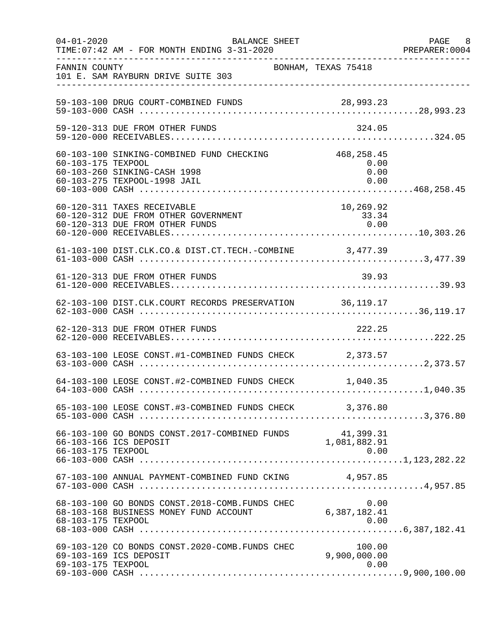| $04 - 01 - 2020$   | BALANCE SHEET<br>TIME: 07:42 AM - FOR MONTH ENDING 3-31-2020                                              |                                    | PAGE 8<br>PREPARER: 0004 |
|--------------------|-----------------------------------------------------------------------------------------------------------|------------------------------------|--------------------------|
| FANNIN COUNTY      | BONHAM, TEXAS 75418<br>101 E. SAM RAYBURN DRIVE SUITE 303                                                 |                                    |                          |
|                    | 59-103-100 DRUG COURT-COMBINED FUNDS                                                                      |                                    |                          |
|                    | 59-120-313 DUE FROM OTHER FUNDS                                                                           | 324.05                             |                          |
| 60-103-175 TEXPOOL | 60-103-100 SINKING-COMBINED FUND CHECKING<br>60-103-260 SINKING-CASH 1998<br>60-103-275 TEXPOOL-1998 JAIL | 468,258.45<br>0.00<br>0.00<br>0.00 |                          |
|                    | 60-120-311 TAXES RECEIVABLE<br>60-120-312 DUE FROM OTHER GOVERNMENT<br>60-120-313 DUE FROM OTHER FUNDS    | 10,269.92<br>33.34<br>0.00         |                          |
|                    |                                                                                                           |                                    |                          |
|                    | 61-120-313 DUE FROM OTHER FUNDS                                                                           | 39.93                              |                          |
|                    | 62-103-100 DIST.CLK.COURT RECORDS PRESERVATION 36,119.17                                                  |                                    |                          |
|                    | 62-120-313 DUE FROM OTHER FUNDS                                                                           | 222.25                             |                          |
|                    | 63-103-100 LEOSE CONST.#1-COMBINED FUNDS CHECK 2,373.57                                                   |                                    |                          |
|                    | 64-103-100 LEOSE CONST.#2-COMBINED FUNDS CHECK 1,040.35                                                   |                                    |                          |
|                    | 65-103-100 LEOSE CONST.#3-COMBINED FUNDS CHECK 3,376.80                                                   |                                    |                          |
| 66-103-175 TEXPOOL | 66-103-100 GO BONDS CONST.2017-COMBINED FUNDS 41,399.31<br>1,081,882.91<br>1,081,882.91                   | 0.00                               |                          |
|                    | 67-103-100 ANNUAL PAYMENT-COMBINED FUND CKING                                                             | 4,957.85                           |                          |
| 68-103-175 TEXPOOL | 68-103-100 GO BONDS CONST.2018-COMB.FUNDS CHEC<br>68-103-168 BUSINESS MONEY FUND ACCOUNT                  | 0.00<br>6,387,182.41<br>0.00       |                          |
| 69-103-175 TEXPOOL | 69-103-120 CO BONDS CONST.2020-COMB. FUNDS CHEC<br>69-103-169 ICS DEPOSIT                                 | 100.00<br>9,900,000.00<br>0.00     |                          |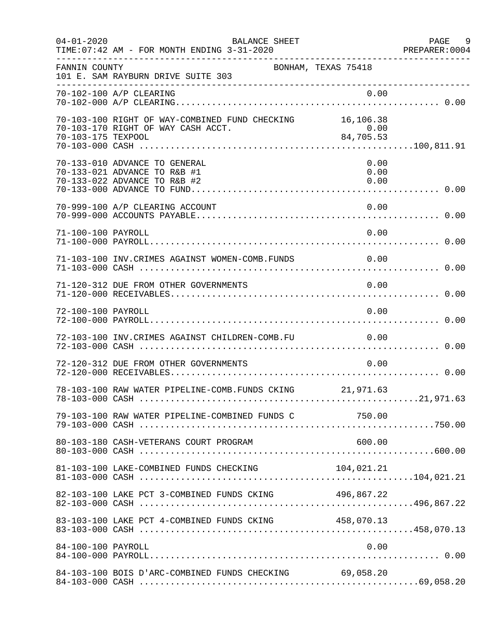| $04 - 01 - 2020$   | BALANCE SHEET                                                                                  |                      | PAGE 9<br>PREPARER: 0004 |
|--------------------|------------------------------------------------------------------------------------------------|----------------------|--------------------------|
| FANNIN COUNTY      | BONHAM, TEXAS 75418<br>101 E. SAM RAYBURN DRIVE SUITE 303                                      |                      |                          |
|                    | 70-102-100 A/P CLEARING                                                                        | 0.00                 |                          |
| 70-103-175 TEXPOOL | 70-103-100 RIGHT OF WAY-COMBINED FUND CHECKING 16,106.38<br>70-103-170 RIGHT OF WAY CASH ACCT. | $0.00$<br>84,705.53  |                          |
|                    | 70-133-010 ADVANCE TO GENERAL<br>70-133-021 ADVANCE TO R&B #1<br>70-133-022 ADVANCE TO R&B #2  | 0.00<br>0.00<br>0.00 |                          |
|                    | 70-999-100 A/P CLEARING ACCOUNT                                                                | 0.00                 |                          |
| 71-100-100 PAYROLL |                                                                                                | 0.00                 |                          |
|                    | 71-103-100 INV.CRIMES AGAINST WOMEN-COMB.FUNDS 0.00                                            |                      |                          |
|                    | 71-120-312 DUE FROM OTHER GOVERNMENTS                                                          | 0.00                 |                          |
| 72-100-100 PAYROLL |                                                                                                | 0.00                 |                          |
|                    | 72-103-100 INV. CRIMES AGAINST CHILDREN-COMB. FU                                               | 0.00                 |                          |
|                    | 72-120-312 DUE FROM OTHER GOVERNMENTS                                                          | 0.00                 |                          |
|                    | 78-103-100 RAW WATER PIPELINE-COMB.FUNDS CKING 21,971.63                                       |                      |                          |
|                    | 79-103-100 RAW WATER PIPELINE-COMBINED FUNDS C 750.00                                          |                      |                          |
|                    | 80-103-180 CASH-VETERANS COURT PROGRAM                                                         | 600.00               |                          |
|                    | 81-103-100 LAKE-COMBINED FUNDS CHECKING                                                        | 104,021.21           |                          |
|                    | 82-103-100 LAKE PCT 3-COMBINED FUNDS CKING 496,867.22                                          |                      |                          |
|                    | 83-103-100 LAKE PCT 4-COMBINED FUNDS CKING 458,070.13                                          |                      |                          |
| 84-100-100 PAYROLL |                                                                                                | 0.00                 |                          |
|                    | 84-103-100 BOIS D'ARC-COMBINED FUNDS CHECKING 69,058.20                                        |                      |                          |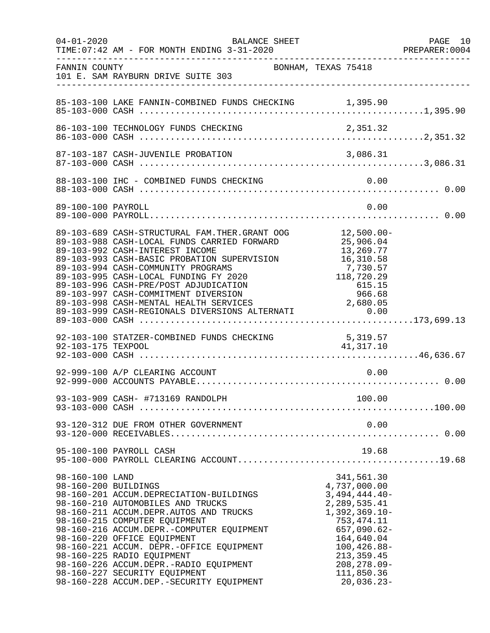| $04 - 01 - 2020$   | BALANCE SHEET                                                                                                                                                                                                                                                                                                                                                                                                                                                                                           |                                                                                                                                                                                                                   | PAGE 10<br>PREPARER:0004 |
|--------------------|---------------------------------------------------------------------------------------------------------------------------------------------------------------------------------------------------------------------------------------------------------------------------------------------------------------------------------------------------------------------------------------------------------------------------------------------------------------------------------------------------------|-------------------------------------------------------------------------------------------------------------------------------------------------------------------------------------------------------------------|--------------------------|
| FANNIN COUNTY      | 101 E. SAM RAYBURN DRIVE SUITE 303                                                                                                                                                                                                                                                                                                                                                                                                                                                                      | BONHAM, TEXAS 75418                                                                                                                                                                                               |                          |
|                    |                                                                                                                                                                                                                                                                                                                                                                                                                                                                                                         |                                                                                                                                                                                                                   |                          |
|                    |                                                                                                                                                                                                                                                                                                                                                                                                                                                                                                         |                                                                                                                                                                                                                   |                          |
|                    |                                                                                                                                                                                                                                                                                                                                                                                                                                                                                                         |                                                                                                                                                                                                                   |                          |
|                    |                                                                                                                                                                                                                                                                                                                                                                                                                                                                                                         |                                                                                                                                                                                                                   |                          |
| 89-100-100 PAYROLL |                                                                                                                                                                                                                                                                                                                                                                                                                                                                                                         | 0.00                                                                                                                                                                                                              |                          |
|                    | 89-103-689 CASH-STRUCTURAL FAM.THER.GRANT OOG 12,500.00-<br>89-103-988 CASH-LOCAL FUNDS CARRIED FORWARD<br>89-103-992 CASH-INTEREST INCOME<br>89-103-993 CASH-BASIC PROBATION SUPERVISION 16,310.58<br>89-103-994 CASH-COMMUNITY PROGRAMS<br>89-103-995 CASH-LOCAL FUNDING FY 2020<br>89-103-996 CASH-PRE/POST ADJUDICATION<br>89-103-997 CASH-COMMITMENT DIVERSION<br>89-103-997 CASH-COMMITMENT DIVERSION<br>89-103-998 CASH-MENTAL HEALTH SERVICES<br>89-103-999 CASH-REGIONALS DIVERSIONS ALTERNATI | 00.00, -<br>25,906.04<br>בריים<br>13,269.77<br>7,730.57<br>118,720.29<br>615.15<br>966.68<br>2,680.05<br>0.00                                                                                                     |                          |
|                    | 92-103-100 STATZER-COMBINED FUNDS CHECKING 5,319.57<br>41,317.10                                                                                                                                                                                                                                                                                                                                                                                                                                        |                                                                                                                                                                                                                   |                          |
|                    | 92-999-100 A/P CLEARING ACCOUNT                                                                                                                                                                                                                                                                                                                                                                                                                                                                         | 0.00                                                                                                                                                                                                              |                          |
|                    |                                                                                                                                                                                                                                                                                                                                                                                                                                                                                                         |                                                                                                                                                                                                                   |                          |
|                    | 93-120-312 DUE FROM OTHER GOVERNMENT                                                                                                                                                                                                                                                                                                                                                                                                                                                                    | 0.00                                                                                                                                                                                                              |                          |
|                    | 95-100-100 PAYROLL CASH                                                                                                                                                                                                                                                                                                                                                                                                                                                                                 | 19.68                                                                                                                                                                                                             |                          |
| 98-160-100 LAND    | 98-160-200 BUILDINGS<br>98-160-201 ACCUM.DEPRECIATION-BUILDINGS<br>98-160-210 AUTOMOBILES AND TRUCKS<br>98-160-211 ACCUM.DEPR.AUTOS AND TRUCKS<br>98-160-215 COMPUTER EQUIPMENT<br>98-160-216 ACCUM.DEPR.-COMPUTER EQUIPMENT<br>98-160-220 OFFICE EQUIPMENT<br>98-160-221 ACCUM. DEPR.-OFFICE EQUIPMENT<br>98-160-225 RADIO EQUIPMENT<br>98-160-226 ACCUM.DEPR.-RADIO EQUIPMENT<br>98-160-227 SECURITY EQUIPMENT<br>98-160-228 ACCUM.DEP.-SECURITY EQUIPMENT                                            | 341,561.30<br>4,737,000.00<br>$3,494,444.40-$<br>2,289,535.41<br>$1,392,369.10-$<br>753, 474.11<br>$657,090.62-$<br>164,640.04<br>$100, 426.88 -$<br>213, 359.45<br>$208, 278.09 -$<br>111,850.36<br>$20,036.23-$ |                          |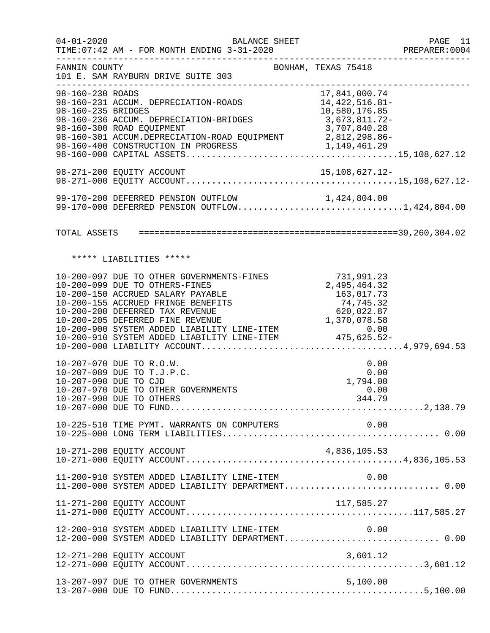| $04 - 01 - 2020$                       | BALANCE SHEET<br>TIME: 07:42 AM - FOR MONTH ENDING 3-31-2020                                                                                                                                                                                                                                                                                               |                                                | PAGE 11<br>PREPARER: 0004 |
|----------------------------------------|------------------------------------------------------------------------------------------------------------------------------------------------------------------------------------------------------------------------------------------------------------------------------------------------------------------------------------------------------------|------------------------------------------------|---------------------------|
| FANNIN COUNTY                          | BONHAM, TEXAS 75418<br>101 E. SAM RAYBURN DRIVE SUITE 303                                                                                                                                                                                                                                                                                                  |                                                |                           |
| 98-160-230 ROADS<br>98-160-235 BRIDGES | 98-160-231 ACCUM. DEPRECIATION-ROADS 14,422,516.81-<br>98-160-236 ACCUM. DEPRECIATION-BRIDGES 3,673,811.72-<br>98-160-300 ROAD EQUIPMENT                                                                                                                                                                                                                   | 17,841,000.74<br>10,580,176.85<br>3,707,840.28 |                           |
|                                        |                                                                                                                                                                                                                                                                                                                                                            |                                                |                           |
|                                        | 99-170-200 DEFERRED PENSION OUTFLOW 1,424,804.00<br>99-170-000 DEFERRED PENSION OUTFLOW1,424,804.00                                                                                                                                                                                                                                                        |                                                |                           |
|                                        |                                                                                                                                                                                                                                                                                                                                                            |                                                |                           |
|                                        | ***** LIABILITIES *****                                                                                                                                                                                                                                                                                                                                    |                                                |                           |
|                                        | 10-200-097 DUE TO OTHER GOVERNMENTS-FINES<br>10-200-099 DUE TO OTHERS-FINES<br>10-200-150 ACCRUED SALARY PAYABLE<br>10-200-150 ACCRUED SALARY PAYABLE<br>10-200-155 ACCRUED FRINGE BENEFITS 10-200-155 ACCRUED FRINGE BENEFITS 74,745.32<br>10-200-200 DEFERRED TAX REVENUE 620,022.87<br>10-200-900 SYSTEM ADDED LIABILITY LINE-ITEM 0.00<br>10-200-910 S | 731,991.23<br>2,495,464.32<br>163,017.73       |                           |
|                                        | 10-207-070 DUE TO R.O.W.<br>10-207-089 DUE TO T.J.P.C.<br>10-207-090 DUE TO CJD<br>10-207-970 DUE TO OTHER GOVERNMENTS<br>10-207-990 DUE TO OTHERS                                                                                                                                                                                                         | 0.00<br>0.00<br>1,794.00<br>0.00<br>344.79     |                           |
|                                        | 10-225-510 TIME PYMT. WARRANTS ON COMPUTERS                                                                                                                                                                                                                                                                                                                | 0.00                                           |                           |
|                                        | 10-271-200 EQUITY ACCOUNT                                                                                                                                                                                                                                                                                                                                  | 4,836,105.53                                   |                           |
|                                        | 11-200-910 SYSTEM ADDED LIABILITY LINE-ITEM<br>11-200-000 SYSTEM ADDED LIABILITY DEPARTMENT 0.00                                                                                                                                                                                                                                                           | 0.00                                           |                           |
|                                        | 11-271-200 EQUITY ACCOUNT                                                                                                                                                                                                                                                                                                                                  | 117,585.27                                     |                           |
|                                        | 12-200-910 SYSTEM ADDED LIABILITY LINE-ITEM<br>12-200-000 SYSTEM ADDED LIABILITY DEPARTMENT 0.00                                                                                                                                                                                                                                                           | 0.00                                           |                           |
|                                        | 12-271-200 EQUITY ACCOUNT                                                                                                                                                                                                                                                                                                                                  | 3,601.12                                       |                           |
|                                        | 13-207-097 DUE TO OTHER GOVERNMENTS                                                                                                                                                                                                                                                                                                                        | 5,100.00                                       |                           |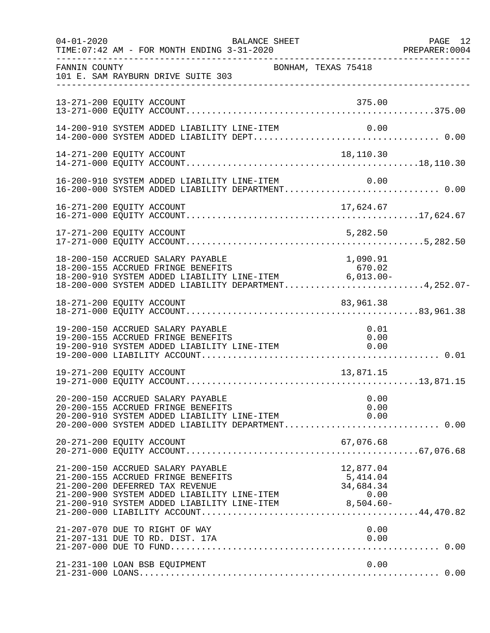| $04 - 01 - 2020$ | TIME: 07:42 AM - FOR MONTH ENDING 3-31-2020                                                                                                                                                                                                                                   | BALANCE SHEET |                     | PAGE 12<br>PREPARER:0004 |
|------------------|-------------------------------------------------------------------------------------------------------------------------------------------------------------------------------------------------------------------------------------------------------------------------------|---------------|---------------------|--------------------------|
| FANNIN COUNTY    | 101 E. SAM RAYBURN DRIVE SUITE 303                                                                                                                                                                                                                                            |               | BONHAM, TEXAS 75418 |                          |
|                  | 13-271-200 EQUITY ACCOUNT                                                                                                                                                                                                                                                     |               | 375.00              |                          |
|                  | 14-200-910 SYSTEM ADDED LIABILITY LINE-ITEM                                                                                                                                                                                                                                   |               | 0.00                |                          |
|                  | 14-271-200 EQUITY ACCOUNT                                                                                                                                                                                                                                                     |               | 18,110.30           |                          |
|                  | 16-200-910 SYSTEM ADDED LIABILITY LINE-ITEM 0.00<br>16-200-000 SYSTEM ADDED LIABILITY DEPARTMENT0.00                                                                                                                                                                          |               |                     |                          |
|                  | 16-271-200 EQUITY ACCOUNT                                                                                                                                                                                                                                                     |               | 17,624.67           |                          |
|                  | 17-271-200 EQUITY ACCOUNT                                                                                                                                                                                                                                                     |               | 5,282.50            |                          |
|                  | 18-200-150 ACCRUED SALARY PAYABLE<br>-3 200 100 ACCROSED FRINGE BENEFITS<br>18-200-910 SYSTEM ADDED LIABILITY LINE-ITEM 6,013.00-<br>18-200-000 SYSTEM ADDED LIABILITY DEDARFEMING<br>18-200-000 SYSTEM ADDED LIABILITY DEPARTMENT4,252.07-                                   |               | 1,090.91            |                          |
|                  | 18-271-200 EQUITY ACCOUNT                                                                                                                                                                                                                                                     |               | 83,961.38           |                          |
|                  | 19-200-150 ACCRUED SALARY PAYABLE<br>19-200-155 ACCRUED FRINGE BENEFITS<br>19-200-910 SYSTEM ADDED LIABILITY LINE-ITEM $0.00$                                                                                                                                                 |               | 0.01                |                          |
|                  | 19-271-200 EQUITY ACCOUNT                                                                                                                                                                                                                                                     |               | 13,871.15           |                          |
|                  | 20-200-150 ACCRUED SALARY PAYABLE<br>20-200-155 ACCRUED FRINGE BENEFITS<br>20-200-910 SYSTEM ADDED LIABILITY LINE-ITEM $0.00$<br>20-200-000 SYSTEM ADDED LIABILITY DEPARTMENT0.00                                                                                             |               | 0.00<br>0.00        |                          |
|                  | 20-271-200 EQUITY ACCOUNT                                                                                                                                                                                                                                                     |               | 67,076.68           |                          |
|                  | 21-200-150 ACCRUED SALARY PAYABLE<br>21-200-150 ACCRUED SALARY PAYABLE<br>21-200-155 ACCRUED FRINGE BENEFITS 5,414.04<br>21-200-200 DEFERRED TAX REVENUE<br>21-200-900 SYSTEM ADDED LIABILITY LINE-ITEM 0.00<br>21-200-910 SYSTEM ADDED LIABILITY LINE-ITEM 0.00<br>21-200-91 |               | 12,877.04           |                          |
|                  | 21-207-070 DUE TO RIGHT OF WAY<br>21-207-131 DUE TO RD. DIST. 17A<br>21-207-000 DUE TO RD. DIST. 17A 0.00                                                                                                                                                                     |               | 0.00                |                          |
|                  | 21-231-100 LOAN BSB EQUIPMENT                                                                                                                                                                                                                                                 |               | 0.00                |                          |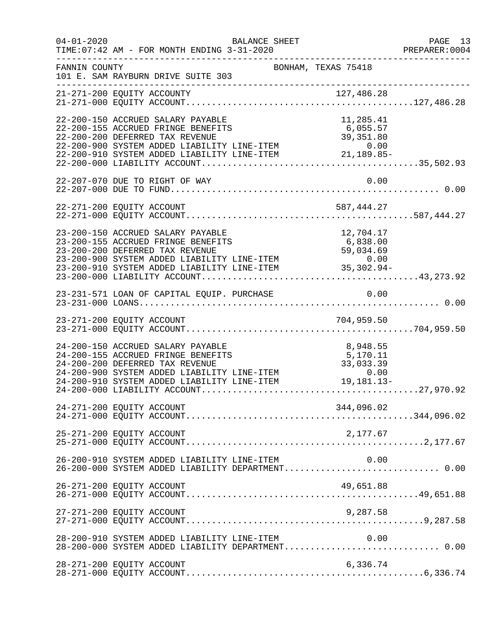| $04 - 01 - 2020$ | BALANCE SHEET<br>TIME: 07:42 AM - FOR MONTH ENDING 3-31-2020                                                                                                                                                                                                                    |                                   | PAGE 13<br>PREPARER:0004 |
|------------------|---------------------------------------------------------------------------------------------------------------------------------------------------------------------------------------------------------------------------------------------------------------------------------|-----------------------------------|--------------------------|
| FANNIN COUNTY    | BONHAM, TEXAS 75418<br>101 E. SAM RAYBURN DRIVE SUITE 303                                                                                                                                                                                                                       |                                   |                          |
|                  | _______________________                                                                                                                                                                                                                                                         |                                   |                          |
|                  | 22-200-150 ACCRUED SALARY PAYABLE<br>22-200-155 ACCRUED FRINGE BENEFITS<br>22-200-200 DEFERRED TAX REVENUE<br>22-200-900 SYSTEM ADDED LIABILITY LINE-ITEM<br>22-200-910 SYSTEM ADDED LIABILITY LINE-ITEM<br>22-200-910 SYSTEM ADDED LIABILITY LINE-ITEM<br>21,189.85-<br>22-200 | 11,285.41                         |                          |
|                  | 22-207-070 DUE TO RIGHT OF WAY                                                                                                                                                                                                                                                  | 0.00                              |                          |
|                  |                                                                                                                                                                                                                                                                                 |                                   |                          |
|                  | 23-200-150 ACCRUED SALARY PAYABLE<br>23-200-150 ACCRUED SALARY PAYABLE<br>23-200-155 ACCRUED FRINGE BENEFITS 6,838.00<br>23-200-200 DEFERRED TAX REVENUE 59,034.69<br>23-200-900 SYSTEM ADDED LIABILITY LINE-ITEM 0.00<br>23-200-910 SYSTEM ADDED LIABILITY LINE-ITEM 35,30     | 12,704.17                         |                          |
|                  |                                                                                                                                                                                                                                                                                 |                                   |                          |
|                  |                                                                                                                                                                                                                                                                                 |                                   |                          |
|                  | 24-200-150 ACCRUED SALARY PAYABLE<br>24-200-155 ACCRUED FRINGE BENEFITS<br>24-200-200 DEFERRED TAX REVENUE<br>24-200-900 SYSTEM ADDED LIABILITY LINE-ITEM 0.00<br>24-200-910 SYSTEM ADDED LIABILITY LINE-ITEM 19,181.13-                                                        | 8,948.55<br>5,170.11<br>33,033.39 |                          |
|                  | 24-271-200 EQUITY ACCOUNT                                                                                                                                                                                                                                                       | 344,096.02                        |                          |
|                  | 25-271-200 EQUITY ACCOUNT                                                                                                                                                                                                                                                       | 2,177.67                          |                          |
|                  | 26-200-910 SYSTEM ADDED LIABILITY LINE-ITEM                                                                                                                                                                                                                                     | 0.00                              |                          |
|                  | 26-271-200 EQUITY ACCOUNT                                                                                                                                                                                                                                                       | 49,651.88                         |                          |
|                  | 27-271-200 EQUITY ACCOUNT                                                                                                                                                                                                                                                       | 9,287.58                          |                          |
|                  | 28-200-910 SYSTEM ADDED LIABILITY LINE-ITEM                                                                                                                                                                                                                                     | 0.00                              |                          |
|                  | 28-271-200 EQUITY ACCOUNT                                                                                                                                                                                                                                                       | 6,336.74                          |                          |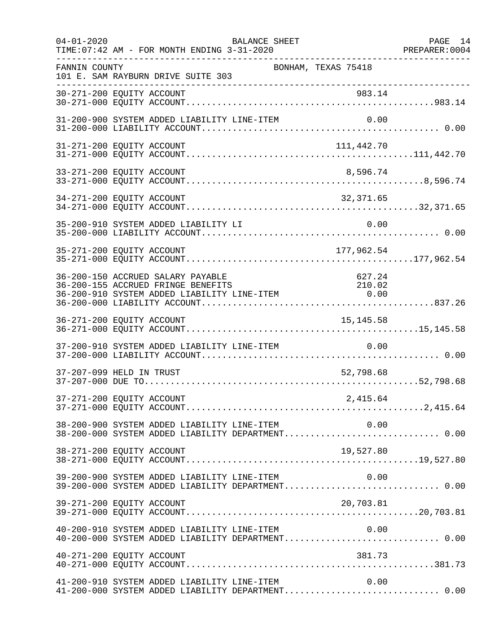| $04 - 01 - 2020$ | <b>BALANCE SHEET</b><br>TIME: 07:42 AM - FOR MONTH ENDING 3-31-2020                                                                                                      | -------------------- | PAGE 14<br>PREPARER: 0004 |
|------------------|--------------------------------------------------------------------------------------------------------------------------------------------------------------------------|----------------------|---------------------------|
| FANNIN COUNTY    | BONHAM, TEXAS 75418<br>101 E. SAM RAYBURN DRIVE SUITE 303                                                                                                                |                      |                           |
|                  | ------------------------------------                                                                                                                                     |                      |                           |
|                  | 31-200-900 SYSTEM ADDED LIABILITY LINE-ITEM                                                                                                                              |                      |                           |
|                  | 31-271-200 EQUITY ACCOUNT                                                                                                                                                | 111,442.70           |                           |
|                  | 33-271-200 EQUITY ACCOUNT                                                                                                                                                | 8,596.74             |                           |
|                  | 34-271-200 EQUITY ACCOUNT                                                                                                                                                | 32,371.65            |                           |
|                  | 35-200-910 SYSTEM ADDED LIABILITY LI                                                                                                                                     | 0.00                 |                           |
|                  | 35-271-200 EQUITY ACCOUNT                                                                                                                                                | 177,962.54           |                           |
|                  | 36-200-150 ACCRUED SALARY PAYABLE<br>36-200-155 ACCRUED FRINGE BENEFITS<br>210.02 36-200-155 ACCRUED FRINGE BENEFITS<br>36-200-910 SYSTEM ADDED LIABILITY LINE-ITEM 0.00 | 627.24<br>210.02     |                           |
|                  | 36-271-200 EQUITY ACCOUNT                                                                                                                                                | 15, 145.58           |                           |
|                  | 37-200-910 SYSTEM ADDED LIABILITY LINE-ITEM                                                                                                                              | 0.00                 |                           |
|                  | 37-207-099 HELD IN TRUST                                                                                                                                                 | 52,798.68            |                           |
|                  |                                                                                                                                                                          |                      |                           |
|                  | 0.00 SYSTEM ADDED LIABILITY LINE-ITEM 0.00<br>38-200-000 SYSTEM ADDED LIABILITY DEPARTMENT0.00                                                                           |                      |                           |
|                  | 38-271-200 EQUITY ACCOUNT                                                                                                                                                | 19,527.80            |                           |
|                  | 39-200-900 SYSTEM ADDED LIABILITY LINE-ITEM                                                                                                                              | 0.00                 |                           |
|                  | 39-271-200 EQUITY ACCOUNT                                                                                                                                                | 20,703.81            |                           |
|                  |                                                                                                                                                                          |                      |                           |
|                  | 40-271-200 EQUITY ACCOUNT                                                                                                                                                | 381.73               |                           |
|                  | 41-200-910 SYSTEM ADDED LIABILITY LINE-ITEM<br>41-200-000 SYSTEM ADDED LIABILITY DEPARTMENT 0.00                                                                         | 0.00                 |                           |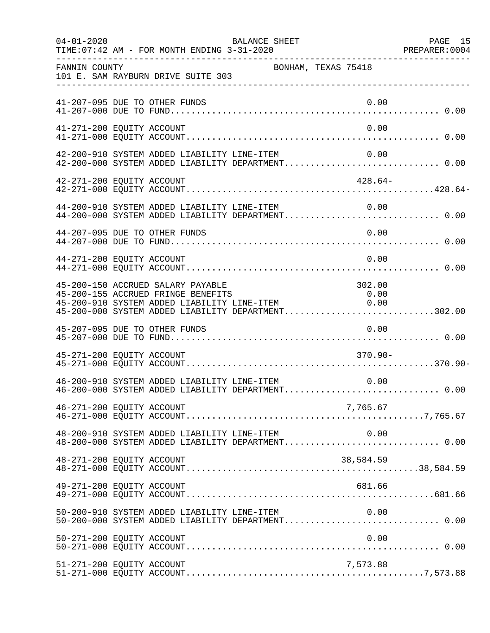| $04 - 01 - 2020$          | TIME: 07:42 AM - FOR MONTH ENDING 3-31-2020                             | BALANCE SHEET                                                                                              |                                                                   | PAGE 15 |
|---------------------------|-------------------------------------------------------------------------|------------------------------------------------------------------------------------------------------------|-------------------------------------------------------------------|---------|
| FANNIN COUNTY             | 101 E. SAM RAYBURN DRIVE SUITE 303                                      | BONHAM, TEXAS 75418                                                                                        |                                                                   |         |
|                           | 41-207-095 DUE TO OTHER FUNDS                                           |                                                                                                            | 0.00                                                              |         |
| 41-271-200 EQUITY ACCOUNT |                                                                         |                                                                                                            | 0.00                                                              |         |
|                           |                                                                         | 42-200-910 SYSTEM ADDED LIABILITY LINE-ITEM<br>42-200-000 SYSTEM ADDED LIABILITY DEPARTMENT 0.00           | 0.00                                                              |         |
| 42-271-200 EQUITY ACCOUNT |                                                                         |                                                                                                            | $428.64-$                                                         |         |
|                           |                                                                         | $44-200-910$ SYSTEM ADDED LIABILITY LINE-ITEM $0.00$<br>$44-200-000$ SYSTEM ADDED LIABILITY DEPARTMENT0.00 |                                                                   |         |
|                           | 44-207-095 DUE TO OTHER FUNDS                                           |                                                                                                            | 0.00                                                              |         |
| 44-271-200 EQUITY ACCOUNT |                                                                         |                                                                                                            | 0.00                                                              |         |
|                           | 45-200-150 ACCRUED SALARY PAYABLE<br>45-200-155 ACCRUED FRINGE BENEFITS | 45-200-910 SYSTEM ADDED LIABILITY LINE-ITEM<br>45-200-000 SYSTEM ADDED LIABILITY DEPARTMENT302.00          | 302.00<br>$\begin{array}{c} 0\, .\, 00 \\ 0\, .\, 00 \end{array}$ |         |
|                           | 45-207-095 DUE TO OTHER FUNDS                                           |                                                                                                            | 0.00                                                              |         |
| 45-271-200 EQUITY ACCOUNT |                                                                         |                                                                                                            | $370.90 -$                                                        |         |
|                           |                                                                         | 46-200-910 SYSTEM ADDED LIABILITY LINE-ITEM                                                                | 0.00                                                              |         |
| 46-271-200 EQUITY ACCOUNT |                                                                         |                                                                                                            | 7,765.67                                                          |         |
|                           |                                                                         | $48-200-910$ SYSTEM ADDED LIABILITY LINE-ITEM $0.00$<br>$48-200-000$ SYSTEM ADDED LIABILITY DEPARTMENT0.00 |                                                                   |         |
| 48-271-200 EQUITY ACCOUNT |                                                                         |                                                                                                            | 38,584.59                                                         |         |
| 49-271-200 EQUITY ACCOUNT |                                                                         |                                                                                                            | 681.66                                                            |         |
|                           |                                                                         | 50-200-910 SYSTEM ADDED LIABILITY LINE-ITEM 0.00<br>50-200-000 SYSTEM ADDED LIABILITY DEPARTMENT 0.00      |                                                                   |         |
| 50-271-200 EQUITY ACCOUNT |                                                                         |                                                                                                            | 0.00                                                              |         |
| 51-271-200 EQUITY ACCOUNT |                                                                         |                                                                                                            | 7,573.88                                                          |         |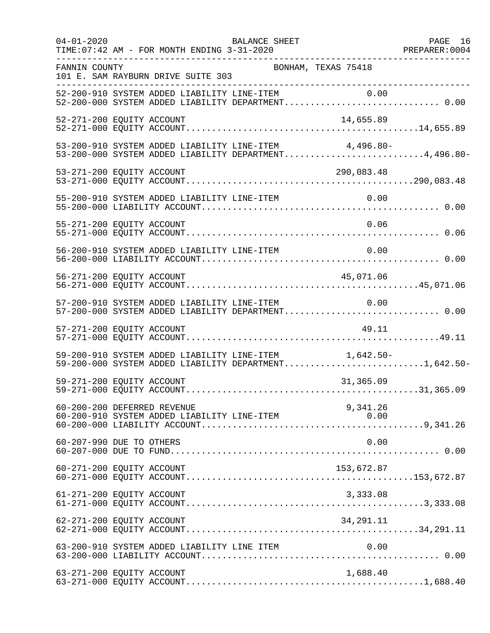| $04 - 01 - 2020$ | BALANCE SHEET<br>TIME: 07:42 AM - FOR MONTH ENDING 3-31-2020                                                   | PAGE 16 |
|------------------|----------------------------------------------------------------------------------------------------------------|---------|
| FANNIN COUNTY    | BONHAM, TEXAS 75418<br>101 E. SAM RAYBURN DRIVE SUITE 303                                                      |         |
|                  | 52-200-910 SYSTEM ADDED LIABILITY LINE-ITEM 0.00<br>52-200-000 SYSTEM ADDED LIABILITY DEPARTMENT 0.00          |         |
|                  | 52-271-200 EQUITY ACCOUNT<br>14,655.89                                                                         |         |
|                  | 53-200-910 SYSTEM ADDED LIABILITY LINE-ITEM 4,496.80-<br>53-200-000 SYSTEM ADDED LIABILITY DEPARTMENT4,496.80- |         |
|                  | 290,083.48                                                                                                     |         |
|                  |                                                                                                                |         |
|                  | 55-271-200 EQUITY ACCOUNT<br>0.06                                                                              |         |
|                  | 56-200-910 SYSTEM ADDED LIABILITY LINE-ITEM<br>0.00                                                            |         |
|                  | 45,071.06<br>56-271-200 EQUITY ACCOUNT                                                                         |         |
|                  | 57-200-910 SYSTEM ADDED LIABILITY LINE-ITEM 0.00                                                               |         |
|                  | 57-271-200 EQUITY ACCOUNT<br>49.11                                                                             |         |
|                  | 59-200-910 SYSTEM ADDED LIABILITY LINE-ITEM 1,642.50-<br>59-200-000 SYSTEM ADDED LIABILITY DEPARTMENT1,642.50- |         |
|                  | 59-271-200 EQUITY ACCOUNT<br>31,365.09                                                                         |         |
|                  | 60-200-200 DEFERRED REVENUE<br>9,341.26<br>60-200-910 SYSTEM ADDED LIABILITY LINE-ITEM<br>0.00                 |         |
|                  | 60-207-990 DUE TO OTHERS<br>0.00                                                                               |         |
|                  | 60-271-200 EQUITY ACCOUNT<br>153,672.87                                                                        |         |
|                  | 61-271-200 EQUITY ACCOUNT<br>3,333.08                                                                          |         |
|                  | 34, 291. 11<br>62-271-200 EQUITY ACCOUNT                                                                       |         |
|                  | 63-200-910 SYSTEM ADDED LIABILITY LINE ITEM<br>0.00                                                            |         |
|                  | 63-271-200 EQUITY ACCOUNT<br>1,688.40                                                                          |         |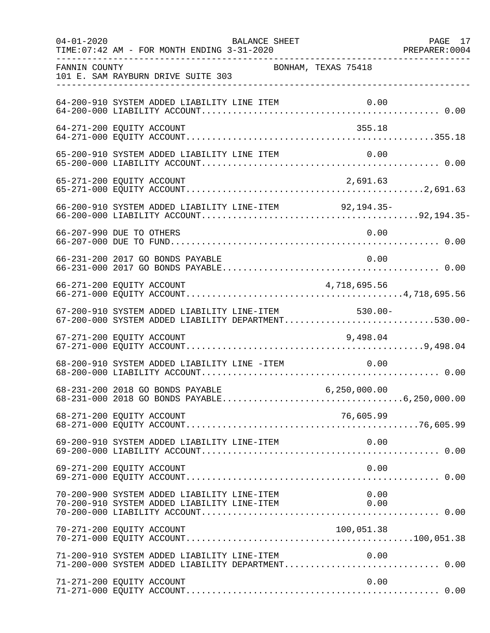| $04 - 01 - 2020$ | BALANCE SHEET<br>TIME: 07:42 AM - FOR MONTH ENDING 3-31-2020                                               |                     | PAGE 17 |
|------------------|------------------------------------------------------------------------------------------------------------|---------------------|---------|
| FANNIN COUNTY    | 101 E. SAM RAYBURN DRIVE SUITE 303                                                                         | BONHAM, TEXAS 75418 |         |
|                  | 64-200-910 SYSTEM ADDED LIABILITY LINE ITEM                                                                |                     |         |
|                  | 64-271-200 EQUITY ACCOUNT                                                                                  | 355.18              |         |
|                  | 65-200-910 SYSTEM ADDED LIABILITY LINE ITEM                                                                | 0.00                |         |
|                  | 65-271-200 EQUITY ACCOUNT                                                                                  | 2,691.63            |         |
|                  | 66-200-910 SYSTEM ADDED LIABILITY LINE-ITEM 92,194.35-                                                     |                     |         |
|                  | 66-207-990 DUE TO OTHERS                                                                                   | 0.00                |         |
|                  | 66-231-200 2017 GO BONDS PAYABLE                                                                           | 0.00                |         |
|                  | 66-271-200 EQUITY ACCOUNT                                                                                  | 4,718,695.56        |         |
|                  | 67-200-910 SYSTEM ADDED LIABILITY LINE-ITEM 530.00-<br>67-200-000 SYSTEM ADDED LIABILITY DEPARTMENT530.00- |                     |         |
|                  | 67-271-200 EQUITY ACCOUNT                                                                                  | 9,498.04            |         |
|                  | 68-200-910 SYSTEM ADDED LIABILITY LINE -ITEM                                                               | 0.00                |         |
|                  | 68-231-200 2018 GO BONDS PAYABLE                                                                           | 6, 250, 000.00      |         |
|                  | 68-271-200 EQUITY ACCOUNT                                                                                  | 76,605.99           |         |
|                  | 69-200-910 SYSTEM ADDED LIABILITY LINE-ITEM                                                                | 0.00                |         |
|                  | 69-271-200 EQUITY ACCOUNT                                                                                  | 0.00                |         |
|                  | 70-200-900 SYSTEM ADDED LIABILITY LINE-ITEM<br>70-200-910 SYSTEM ADDED LIABILITY LINE-ITEM                 | 0.00<br>0.00        |         |
|                  | 70-271-200 EQUITY ACCOUNT                                                                                  | 100,051.38          |         |
|                  | 71-200-910 SYSTEM ADDED LIABILITY LINE-ITEM                                                                | 0.00                |         |
|                  | 71-271-200 EQUITY ACCOUNT                                                                                  | 0.00                |         |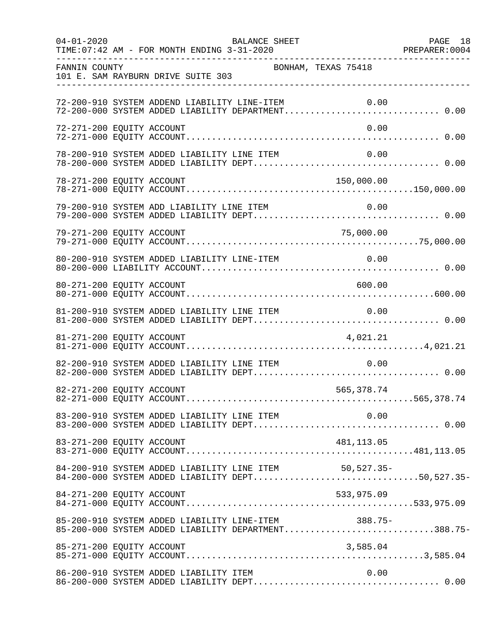| $04 - 01 - 2020$          | TIME: 07:42 AM - FOR MONTH ENDING 3-31-2020                                                                | BALANCE SHEET       |             | PAGE 18 |
|---------------------------|------------------------------------------------------------------------------------------------------------|---------------------|-------------|---------|
| FANNIN COUNTY             | 101 E. SAM RAYBURN DRIVE SUITE 303                                                                         | BONHAM, TEXAS 75418 |             |         |
|                           | 72-200-910 SYSTEM ADDEND LIABILITY LINE-ITEM<br>72-200-000 SYSTEM ADDED LIABILITY DEPARTMENT 0.00          |                     | 0.00        |         |
| 72-271-200 EQUITY ACCOUNT |                                                                                                            |                     | 0.00        |         |
|                           | 78-200-910 SYSTEM ADDED LIABILITY LINE ITEM                                                                |                     | 0.00        |         |
| 78-271-200 EQUITY ACCOUNT |                                                                                                            |                     | 150,000.00  |         |
|                           |                                                                                                            |                     |             |         |
| 79-271-200 EQUITY ACCOUNT |                                                                                                            |                     | 75,000.00   |         |
|                           | 80-200-910 SYSTEM ADDED LIABILITY LINE-ITEM                                                                |                     | 0.00        |         |
| 80-271-200 EQUITY ACCOUNT |                                                                                                            |                     | 600.00      |         |
|                           | 81-200-910 SYSTEM ADDED LIABILITY LINE ITEM                                                                |                     | 0.00        |         |
| 81-271-200 EQUITY ACCOUNT |                                                                                                            |                     | 4,021.21    |         |
|                           | 82-200-910 SYSTEM ADDED LIABILITY LINE ITEM                                                                |                     | 0.00        |         |
| 82-271-200 EQUITY ACCOUNT |                                                                                                            |                     | 565, 378.74 |         |
|                           |                                                                                                            |                     |             |         |
|                           |                                                                                                            |                     |             |         |
|                           | 84-200-910 SYSTEM ADDED LIABILITY LINE ITEM 50,527.35-<br>84-200-000 SYSTEM ADDED LIABILITY DEPT50,527.35- |                     |             |         |
| 84-271-200 EQUITY ACCOUNT |                                                                                                            |                     | 533,975.09  |         |
|                           | 85-200-910 SYSTEM ADDED LIABILITY LINE-ITEM 388.75-<br>85-200-000 SYSTEM ADDED LIABILITY DEPARTMENT388.75- |                     |             |         |
|                           |                                                                                                            |                     |             |         |
|                           | 86-200-910 SYSTEM ADDED LIABILITY ITEM                                                                     |                     | 0.00        |         |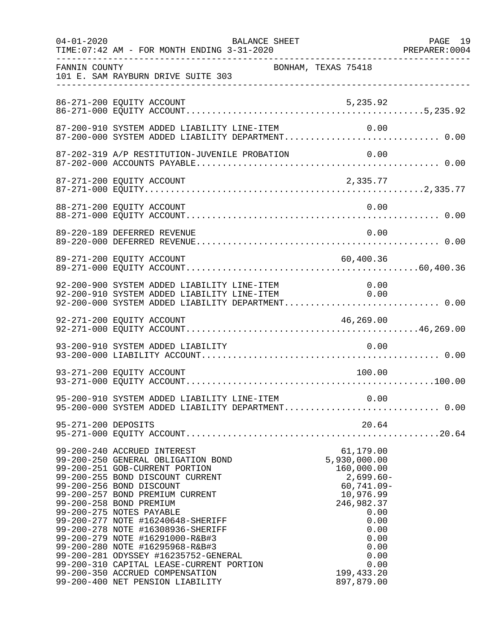| $04 - 01 - 2020$    | BALANCE SHEET<br>TIME: 07:42 AM - FOR MONTH ENDING 3-31-2020                                                                                                                                                                                                                                                                                                                                                                                                                                                                                                             |                                                                                                                                                                                          | PAGE 19 |
|---------------------|--------------------------------------------------------------------------------------------------------------------------------------------------------------------------------------------------------------------------------------------------------------------------------------------------------------------------------------------------------------------------------------------------------------------------------------------------------------------------------------------------------------------------------------------------------------------------|------------------------------------------------------------------------------------------------------------------------------------------------------------------------------------------|---------|
| FANNIN COUNTY       | 101 E. SAM RAYBURN DRIVE SUITE 303<br>________________________________                                                                                                                                                                                                                                                                                                                                                                                                                                                                                                   | BONHAM, TEXAS 75418                                                                                                                                                                      |         |
|                     | 86-271-200 EQUITY ACCOUNT                                                                                                                                                                                                                                                                                                                                                                                                                                                                                                                                                | 5,235.92                                                                                                                                                                                 |         |
|                     | 87-200-910 SYSTEM ADDED LIABILITY LINE-ITEM<br>87-200-000 SYSTEM ADDED LIABILITY DEPARTMENT 0.00                                                                                                                                                                                                                                                                                                                                                                                                                                                                         | 0.00                                                                                                                                                                                     |         |
|                     |                                                                                                                                                                                                                                                                                                                                                                                                                                                                                                                                                                          |                                                                                                                                                                                          |         |
|                     | 87-271-200 EQUITY ACCOUNT                                                                                                                                                                                                                                                                                                                                                                                                                                                                                                                                                | 2,335.77                                                                                                                                                                                 |         |
|                     | 88-271-200 EQUITY ACCOUNT                                                                                                                                                                                                                                                                                                                                                                                                                                                                                                                                                | 0.00                                                                                                                                                                                     |         |
|                     | 89-220-189 DEFERRED REVENUE                                                                                                                                                                                                                                                                                                                                                                                                                                                                                                                                              | 0.00                                                                                                                                                                                     |         |
|                     | 89-271-200 EQUITY ACCOUNT                                                                                                                                                                                                                                                                                                                                                                                                                                                                                                                                                | 60,400.36                                                                                                                                                                                |         |
|                     | 92-200-900 SYSTEM ADDED LIABILITY LINE-ITEM<br>92-200-910 SYSTEM ADDED LIABILITY LINE-ITEM<br>92-200-000 SYSTEM ADDED LIABILITY DEPARTMENT 0.00                                                                                                                                                                                                                                                                                                                                                                                                                          | $0.00$<br>$0.00$                                                                                                                                                                         |         |
|                     | 92-271-200 EQUITY ACCOUNT                                                                                                                                                                                                                                                                                                                                                                                                                                                                                                                                                | 46,269.00                                                                                                                                                                                |         |
|                     | 93-200-910 SYSTEM ADDED LIABILITY                                                                                                                                                                                                                                                                                                                                                                                                                                                                                                                                        | 0.00                                                                                                                                                                                     |         |
|                     | 93-271-200 EQUITY ACCOUNT                                                                                                                                                                                                                                                                                                                                                                                                                                                                                                                                                | 100.00                                                                                                                                                                                   |         |
|                     | 95-200-910 SYSTEM ADDED LIABILITY LINE-ITEM 0.00<br>95-200-000 SYSTEM ADDED LIABILITY DEPARTMENT 0.00                                                                                                                                                                                                                                                                                                                                                                                                                                                                    |                                                                                                                                                                                          |         |
| 95-271-200 DEPOSITS |                                                                                                                                                                                                                                                                                                                                                                                                                                                                                                                                                                          | 20.64                                                                                                                                                                                    |         |
|                     | 99-200-240 ACCRUED INTEREST<br>99-200-250 GENERAL OBLIGATION BOND<br>99-200-251 GOB-CURRENT PORTION<br>99-200-255 BOND DISCOUNT CURRENT<br>99-200-256 BOND DISCOUNT<br>99-200-257 BOND PREMIUM CURRENT<br>99-200-258 BOND PREMIUM<br>99-200-275 NOTES PAYABLE<br>99-200-277 NOTE #16240648-SHERIFF<br>99-200-278 NOTE #16308936-SHERIFF<br>99-200-279 NOTE #16291000-R&B#3<br>99-200-280 NOTE #16295968-R&B#3<br>99-200-281 ODYSSEY #16235752-GENERAL<br>99-200-310 CAPITAL LEASE-CURRENT PORTION<br>99-200-350 ACCRUED COMPENSATION<br>99-200-400 NET PENSION LIABILITY | 61,179.00<br>5,930,000.00<br>160,000.00<br>$2,699.60-$<br>$60, 741.09 -$<br>10,976.99<br>246,982.37<br>0.00<br>0.00<br>0.00<br>0.00<br>0.00<br>0.00<br>0.00<br>199, 433.20<br>897,879.00 |         |